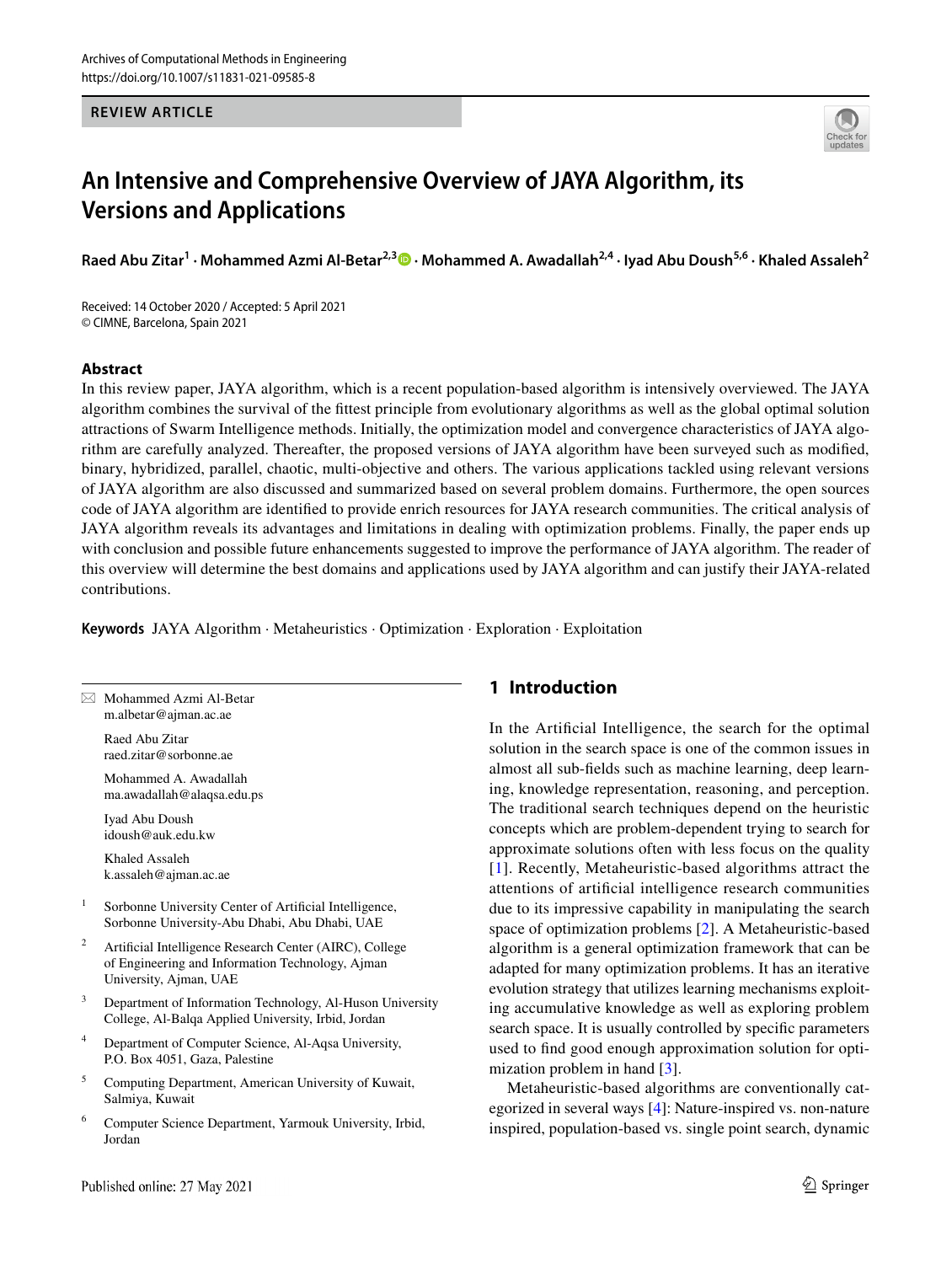**REVIEW ARTICLE**



# **An Intensive and Comprehensive Overview of JAYA Algorithm, its Versions and Applications**

**Raed Abu Zitar<sup>1</sup> · Mohammed Azmi Al‑Betar2,3 · Mohammed A. Awadallah2,4 · Iyad Abu Doush5,6 · Khaled Assaleh<sup>2</sup>**

Received: 14 October 2020 / Accepted: 5 April 2021 © CIMNE, Barcelona, Spain 2021

#### **Abstract**

In this review paper, JAYA algorithm, which is a recent population-based algorithm is intensively overviewed. The JAYA algorithm combines the survival of the fittest principle from evolutionary algorithms as well as the global optimal solution attractions of Swarm Intelligence methods. Initially, the optimization model and convergence characteristics of JAYA algorithm are carefully analyzed. Thereafter, the proposed versions of JAYA algorithm have been surveyed such as modified, binary, hybridized, parallel, chaotic, multi-objective and others. The various applications tackled using relevant versions of JAYA algorithm are also discussed and summarized based on several problem domains. Furthermore, the open sources code of JAYA algorithm are identified to provide enrich resources for JAYA research communities. The critical analysis of JAYA algorithm reveals its advantages and limitations in dealing with optimization problems. Finally, the paper ends up with conclusion and possible future enhancements suggested to improve the performance of JAYA algorithm. The reader of this overview will determine the best domains and applications used by JAYA algorithm and can justify their JAYA-related contributions.

**Keywords** JAYA Algorithm · Metaheuristics · Optimization · Exploration · Exploitation

 $\boxtimes$  Mohammed Azmi Al-Betar m.albetar@ajman.ac.ae

> Raed Abu Zitar raed.zitar@sorbonne.ae

 Mohammed A. Awadallah ma.awadallah@alaqsa.edu.ps

 Iyad Abu Doush idoush@auk.edu.kw

 Khaled Assaleh k.assaleh@ajman.ac.ae

- 1 Sorbonne University Center of Artificial Intelligence, Sorbonne University-Abu Dhabi, Abu Dhabi, UAE
- 2 Artificial Intelligence Research Center (AIRC), College of Engineering and Information Technology, Ajman University, Ajman, UAE
- 3 Department of Information Technology, Al-Huson University College, Al-Balqa Applied University, Irbid, Jordan
- 4 Department of Computer Science, Al-Aqsa University, P.O. Box 4051, Gaza, Palestine
- 5 Computing Department, American University of Kuwait, Salmiya, Kuwait
- 6 Computer Science Department, Yarmouk University, Irbid, Jordan

## **1 Introduction**

In the Artificial Intelligence, the search for the optimal solution in the search space is one of the common issues in almost all sub-fields such as machine learning, deep learning, knowledge representation, reasoning, and perception. The traditional search techniques depend on the heuristic concepts which are problem-dependent trying to search for approximate solutions often with less focus on the quality [[1\]](#page-24-0). Recently, Metaheuristic-based algorithms attract the attentions of artificial intelligence research communities due to its impressive capability in manipulating the search space of optimization problems [[2](#page-24-1)]. A Metaheuristic-based algorithm is a general optimization framework that can be adapted for many optimization problems. It has an iterative evolution strategy that utilizes learning mechanisms exploiting accumulative knowledge as well as exploring problem search space. It is usually controlled by specific parameters used to find good enough approximation solution for optimization problem in hand [[3\]](#page-24-2).

Metaheuristic-based algorithms are conventionally categorized in several ways [[4\]](#page-24-3): Nature-inspired vs. non-nature inspired, population-based vs. single point search, dynamic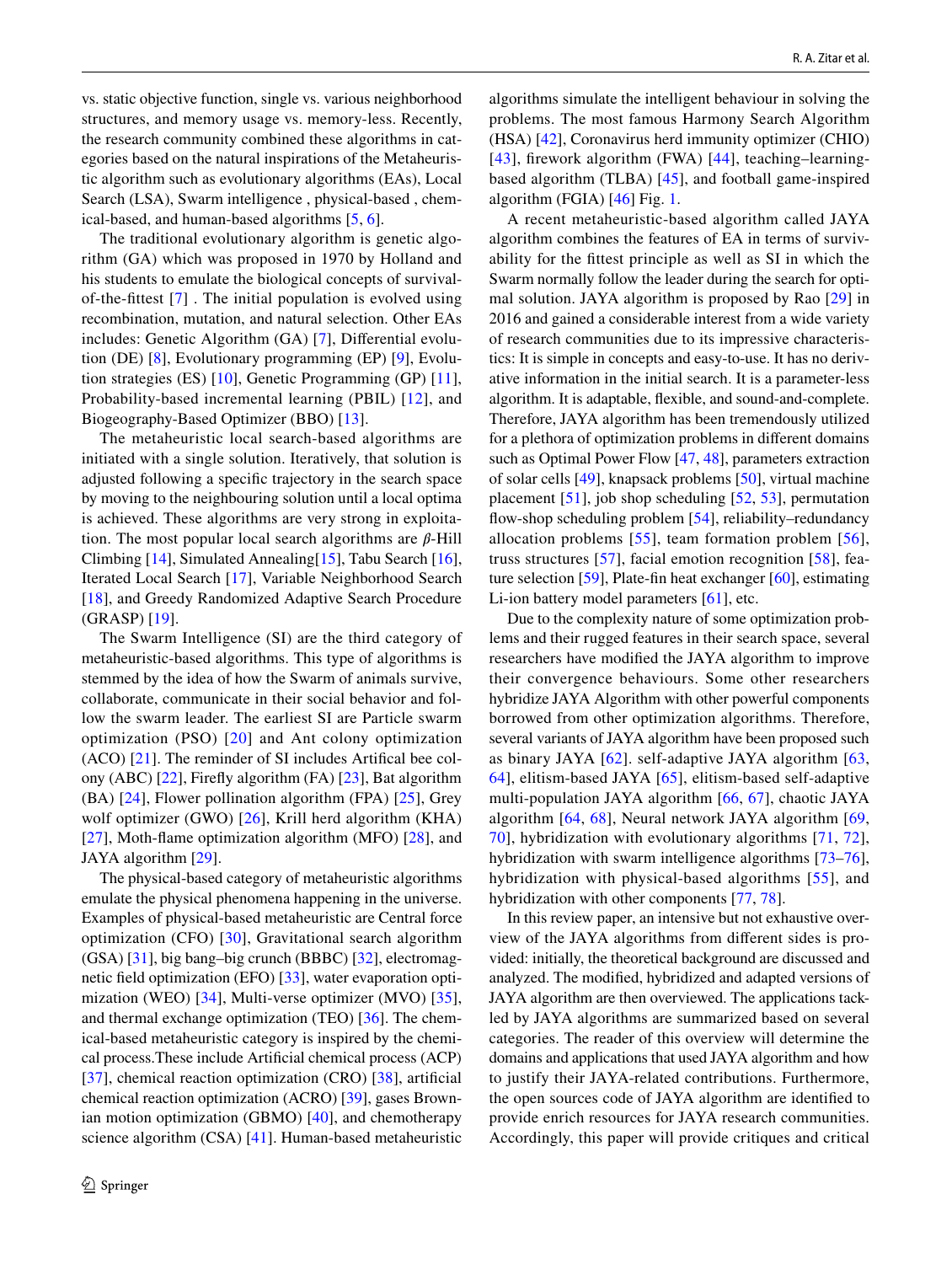vs. static objective function, single vs. various neighborhood structures, and memory usage vs. memory-less. Recently, the research community combined these algorithms in categories based on the natural inspirations of the Metaheuristic algorithm such as evolutionary algorithms (EAs), Local Search (LSA), Swarm intelligence , physical-based , chemical-based, and human-based algorithms [[5,](#page-24-4) [6\]](#page-24-5).

The traditional evolutionary algorithm is genetic algorithm (GA) which was proposed in 1970 by Holland and his students to emulate the biological concepts of survivalof-the-fittest [\[7\]](#page-24-6) . The initial population is evolved using recombination, mutation, and natural selection. Other EAs includes: Genetic Algorithm (GA) [\[7](#page-24-6)], Differential evolution (DE) [\[8](#page-24-7)], Evolutionary programming (EP) [\[9](#page-24-8)], Evolution strategies (ES) [[10\]](#page-24-9), Genetic Programming (GP) [[11](#page-24-10)], Probability-based incremental learning (PBIL) [\[12\]](#page-24-11), and Biogeography-Based Optimizer (BBO) [[13\]](#page-24-12).

The metaheuristic local search-based algorithms are initiated with a single solution. Iteratively, that solution is adjusted following a specific trajectory in the search space by moving to the neighbouring solution until a local optima is achieved. These algorithms are very strong in exploitation. The most popular local search algorithms are  $\beta$ -Hill Climbing [\[14](#page-24-13)], Simulated Annealing[\[15](#page-24-14)], Tabu Search [\[16](#page-24-15)], Iterated Local Search [\[17\]](#page-24-16), Variable Neighborhood Search [\[18\]](#page-24-17), and Greedy Randomized Adaptive Search Procedure (GRASP) [\[19](#page-24-18)].

The Swarm Intelligence (SI) are the third category of metaheuristic-based algorithms. This type of algorithms is stemmed by the idea of how the Swarm of animals survive, collaborate, communicate in their social behavior and follow the swarm leader. The earliest SI are Particle swarm optimization (PSO) [[20\]](#page-24-19) and Ant colony optimization (ACO) [[21\]](#page-24-20). The reminder of SI includes Artifical bee colony (ABC) [\[22](#page-24-21)], Firefly algorithm (FA) [\[23](#page-24-22)], Bat algorithm (BA) [[24](#page-24-23)], Flower pollination algorithm (FPA) [[25](#page-24-24)], Grey wolf optimizer (GWO) [[26](#page-24-25)], Krill herd algorithm (KHA) [\[27\]](#page-24-26), Moth-flame optimization algorithm (MFO) [[28\]](#page-25-0), and JAYA algorithm [[29\]](#page-25-1).

The physical-based category of metaheuristic algorithms emulate the physical phenomena happening in the universe. Examples of physical-based metaheuristic are Central force optimization (CFO) [[30](#page-25-2)], Gravitational search algorithm (GSA) [[31\]](#page-25-3), big bang–big crunch (BBBC) [[32\]](#page-25-4), electromagnetic field optimization (EFO) [[33\]](#page-25-5), water evaporation optimization (WEO) [[34\]](#page-25-6), Multi-verse optimizer (MVO) [[35](#page-25-7)], and thermal exchange optimization (TEO) [\[36\]](#page-25-8). The chemical-based metaheuristic category is inspired by the chemical process.These include Artificial chemical process (ACP) [\[37\]](#page-25-9), chemical reaction optimization (CRO) [[38](#page-25-10)], artificial chemical reaction optimization (ACRO) [[39\]](#page-25-11), gases Brownian motion optimization (GBMO) [\[40\]](#page-25-12), and chemotherapy science algorithm (CSA) [\[41](#page-25-13)]. Human-based metaheuristic algorithms simulate the intelligent behaviour in solving the problems. The most famous Harmony Search Algorithm (HSA) [[42\]](#page-25-14), Coronavirus herd immunity optimizer (CHIO) [[43](#page-25-15)], firework algorithm (FWA) [[44\]](#page-25-16), teaching–learningbased algorithm (TLBA) [[45\]](#page-25-17), and football game-inspired algorithm (FGIA) [\[46](#page-25-18)] Fig. [1.](#page-2-0)

A recent metaheuristic-based algorithm called JAYA algorithm combines the features of EA in terms of survivability for the fittest principle as well as SI in which the Swarm normally follow the leader during the search for optimal solution. JAYA algorithm is proposed by Rao [[29](#page-25-1)] in 2016 and gained a considerable interest from a wide variety of research communities due to its impressive characteristics: It is simple in concepts and easy-to-use. It has no derivative information in the initial search. It is a parameter-less algorithm. It is adaptable, flexible, and sound-and-complete. Therefore, JAYA algorithm has been tremendously utilized for a plethora of optimization problems in different domains such as Optimal Power Flow [\[47,](#page-25-19) [48](#page-25-20)], parameters extraction of solar cells [[49\]](#page-25-21), knapsack problems [\[50](#page-25-22)], virtual machine placement [[51](#page-25-23)], job shop scheduling [[52,](#page-25-24) [53](#page-25-25)], permutation flow-shop scheduling problem [\[54](#page-25-26)], reliability–redundancy allocation problems [[55\]](#page-25-27), team formation problem [[56](#page-25-28)], truss structures [\[57](#page-25-29)], facial emotion recognition [[58\]](#page-25-30), feature selection [\[59](#page-25-31)], Plate-fin heat exchanger [\[60](#page-25-32)], estimating Li-ion battery model parameters [\[61](#page-25-33)], etc.

Due to the complexity nature of some optimization problems and their rugged features in their search space, several researchers have modified the JAYA algorithm to improve their convergence behaviours. Some other researchers hybridize JAYA Algorithm with other powerful components borrowed from other optimization algorithms. Therefore, several variants of JAYA algorithm have been proposed such as binary JAYA [\[62\]](#page-25-34). self-adaptive JAYA algorithm [\[63,](#page-25-35) [64](#page-25-36)], elitism-based JAYA [[65](#page-25-37)], elitism-based self-adaptive multi-population JAYA algorithm [\[66,](#page-25-38) [67\]](#page-25-39), chaotic JAYA algorithm [\[64,](#page-25-36) [68\]](#page-25-40), Neural network JAYA algorithm [\[69,](#page-25-41) [70](#page-26-0)], hybridization with evolutionary algorithms [[71](#page-26-1), [72](#page-26-2)], hybridization with swarm intelligence algorithms [[73](#page-26-3)[–76](#page-26-4)], hybridization with physical-based algorithms [[55](#page-25-27)], and hybridization with other components [[77,](#page-26-5) [78](#page-26-6)].

In this review paper, an intensive but not exhaustive overview of the JAYA algorithms from different sides is provided: initially, the theoretical background are discussed and analyzed. The modified, hybridized and adapted versions of JAYA algorithm are then overviewed. The applications tackled by JAYA algorithms are summarized based on several categories. The reader of this overview will determine the domains and applications that used JAYA algorithm and how to justify their JAYA-related contributions. Furthermore, the open sources code of JAYA algorithm are identified to provide enrich resources for JAYA research communities. Accordingly, this paper will provide critiques and critical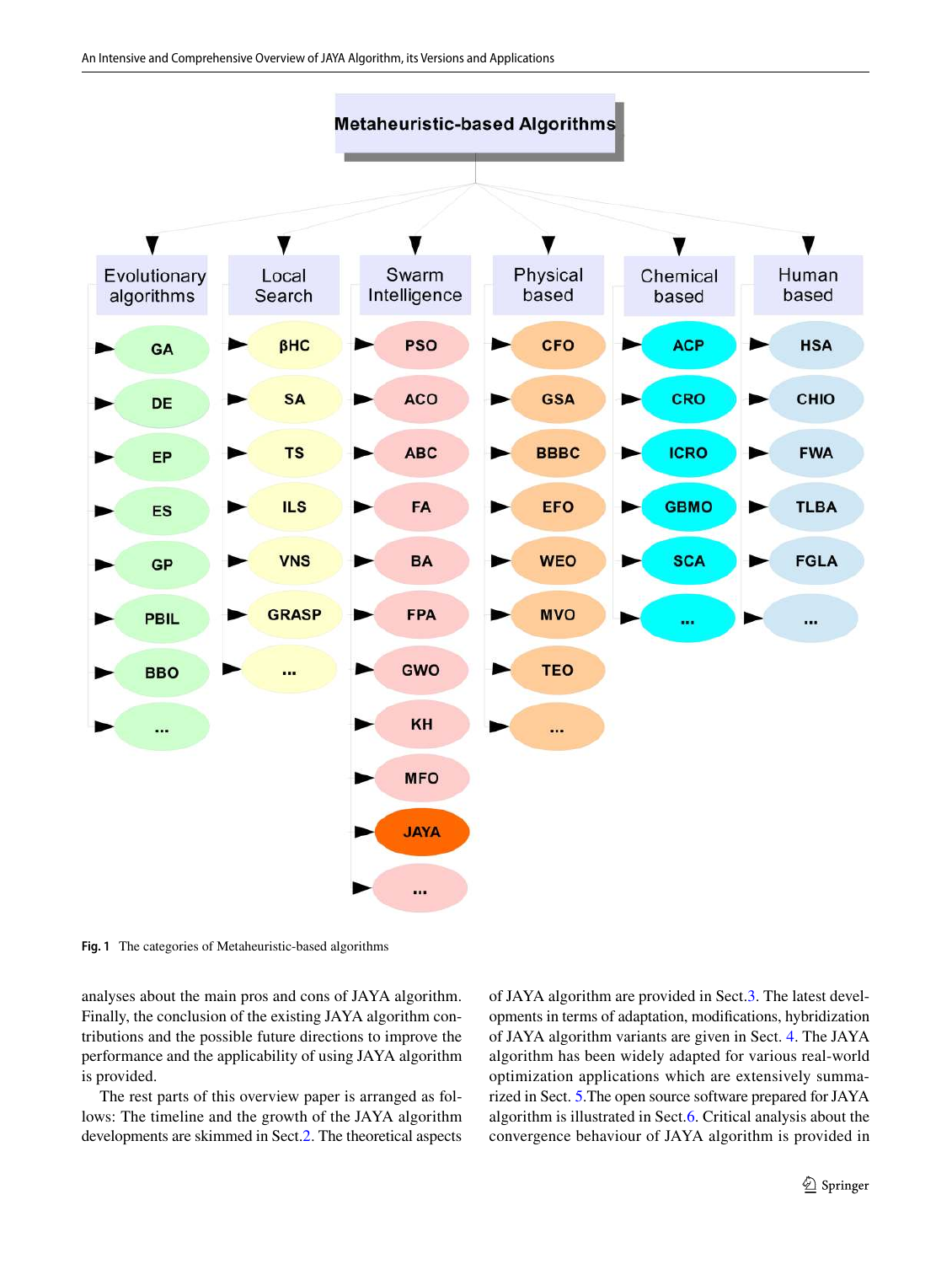

<span id="page-2-0"></span>**Fig. 1** The categories of Metaheuristic-based algorithms

analyses about the main pros and cons of JAYA algorithm. Finally, the conclusion of the existing JAYA algorithm contributions and the possible future directions to improve the performance and the applicability of using JAYA algorithm is provided.

The rest parts of this overview paper is arranged as follows: The timeline and the growth of the JAYA algorithm developments are skimmed in Sect.[2.](#page-3-0) The theoretical aspects of JAYA algorithm are provided in Sect.[3.](#page-5-0) The latest developments in terms of adaptation, modifications, hybridization of JAYA algorithm variants are given in Sect. [4](#page-9-0). The JAYA algorithm has been widely adapted for various real-world optimization applications which are extensively summarized in Sect. [5.](#page-18-0)The open source software prepared for JAYA algorithm is illustrated in Sect.[6.](#page-21-0) Critical analysis about the convergence behaviour of JAYA algorithm is provided in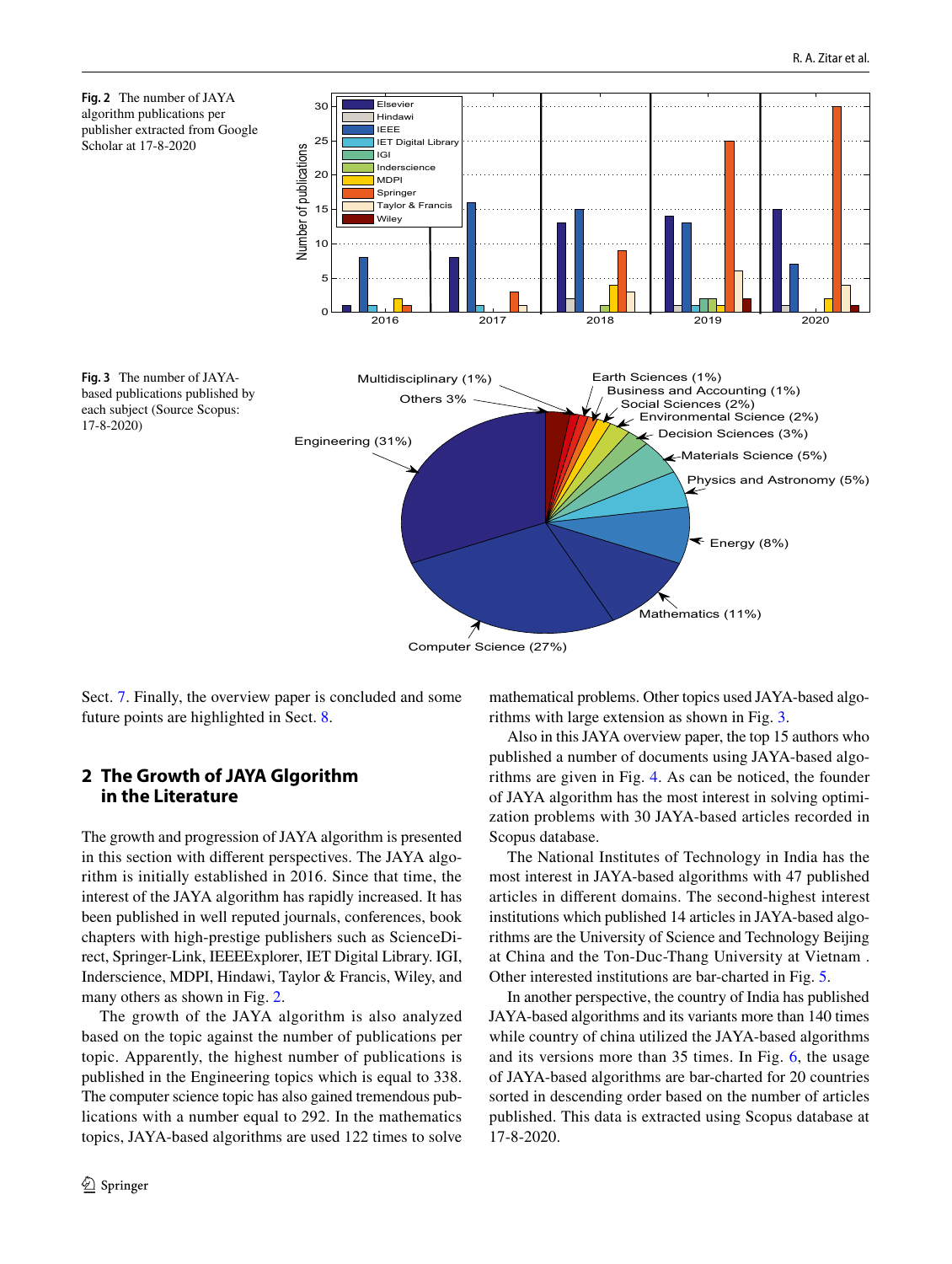<span id="page-3-2"></span><span id="page-3-1"></span>

Computer Science (27%)

Sect. [7.](#page-22-0) Finally, the overview paper is concluded and some future points are highlighted in Sect. [8.](#page-23-0)

## <span id="page-3-0"></span>**2 The Growth of JAYA Glgorithm in the Literature**

The growth and progression of JAYA algorithm is presented in this section with different perspectives. The JAYA algorithm is initially established in 2016. Since that time, the interest of the JAYA algorithm has rapidly increased. It has been published in well reputed journals, conferences, book chapters with high-prestige publishers such as ScienceDirect, Springer-Link, IEEEExplorer, IET Digital Library. IGI, Inderscience, MDPI, Hindawi, Taylor & Francis, Wiley, and many others as shown in Fig. [2.](#page-3-1)

The growth of the JAYA algorithm is also analyzed based on the topic against the number of publications per topic. Apparently, the highest number of publications is published in the Engineering topics which is equal to 338. The computer science topic has also gained tremendous publications with a number equal to 292. In the mathematics topics, JAYA-based algorithms are used 122 times to solve mathematical problems. Other topics used JAYA-based algorithms with large extension as shown in Fig. [3.](#page-3-2)

Also in this JAYA overview paper, the top 15 authors who published a number of documents using JAYA-based algorithms are given in Fig. [4.](#page-4-0) As can be noticed, the founder of JAYA algorithm has the most interest in solving optimization problems with 30 JAYA-based articles recorded in Scopus database.

The National Institutes of Technology in India has the most interest in JAYA-based algorithms with 47 published articles in different domains. The second-highest interest institutions which published 14 articles in JAYA-based algorithms are the University of Science and Technology Beijing at China and the Ton-Duc-Thang University at Vietnam . Other interested institutions are bar-charted in Fig. [5.](#page-4-1)

In another perspective, the country of India has published JAYA-based algorithms and its variants more than 140 times while country of china utilized the JAYA-based algorithms and its versions more than 35 times. In Fig. [6](#page-4-2), the usage of JAYA-based algorithms are bar-charted for 20 countries sorted in descending order based on the number of articles published. This data is extracted using Scopus database at 17-8-2020.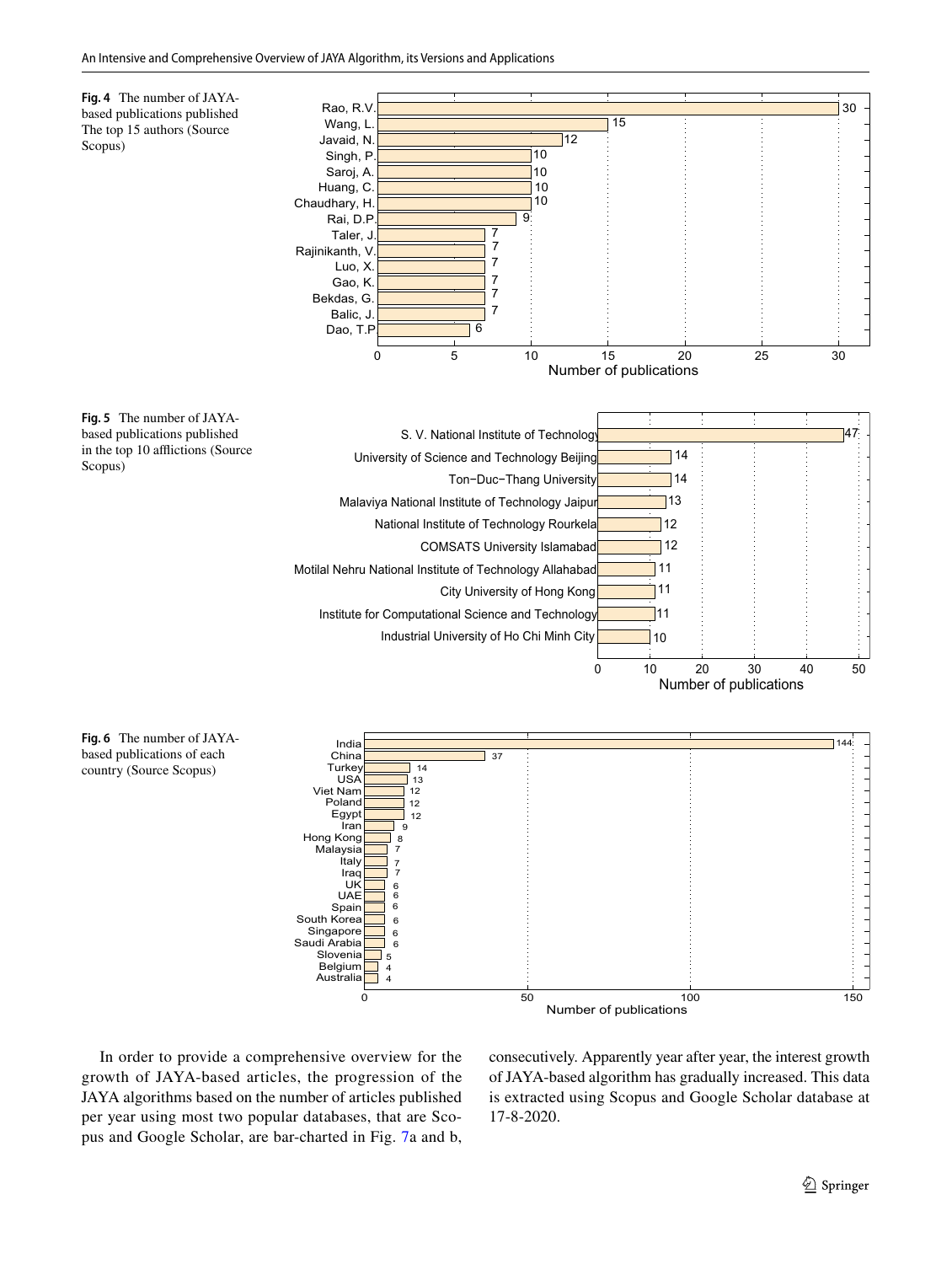<span id="page-4-1"></span><span id="page-4-0"></span>

<span id="page-4-2"></span>In order to provide a comprehensive overview for the growth of JAYA-based articles, the progression of the JAYA algorithms based on the number of articles published per year using most two popular databases, that are Scopus and Google Scholar, are bar-charted in Fig. [7](#page-5-1)a and b,

consecutively. Apparently year after year, the interest growth of JAYA-based algorithm has gradually increased. This data is extracted using Scopus and Google Scholar database at 17-8-2020.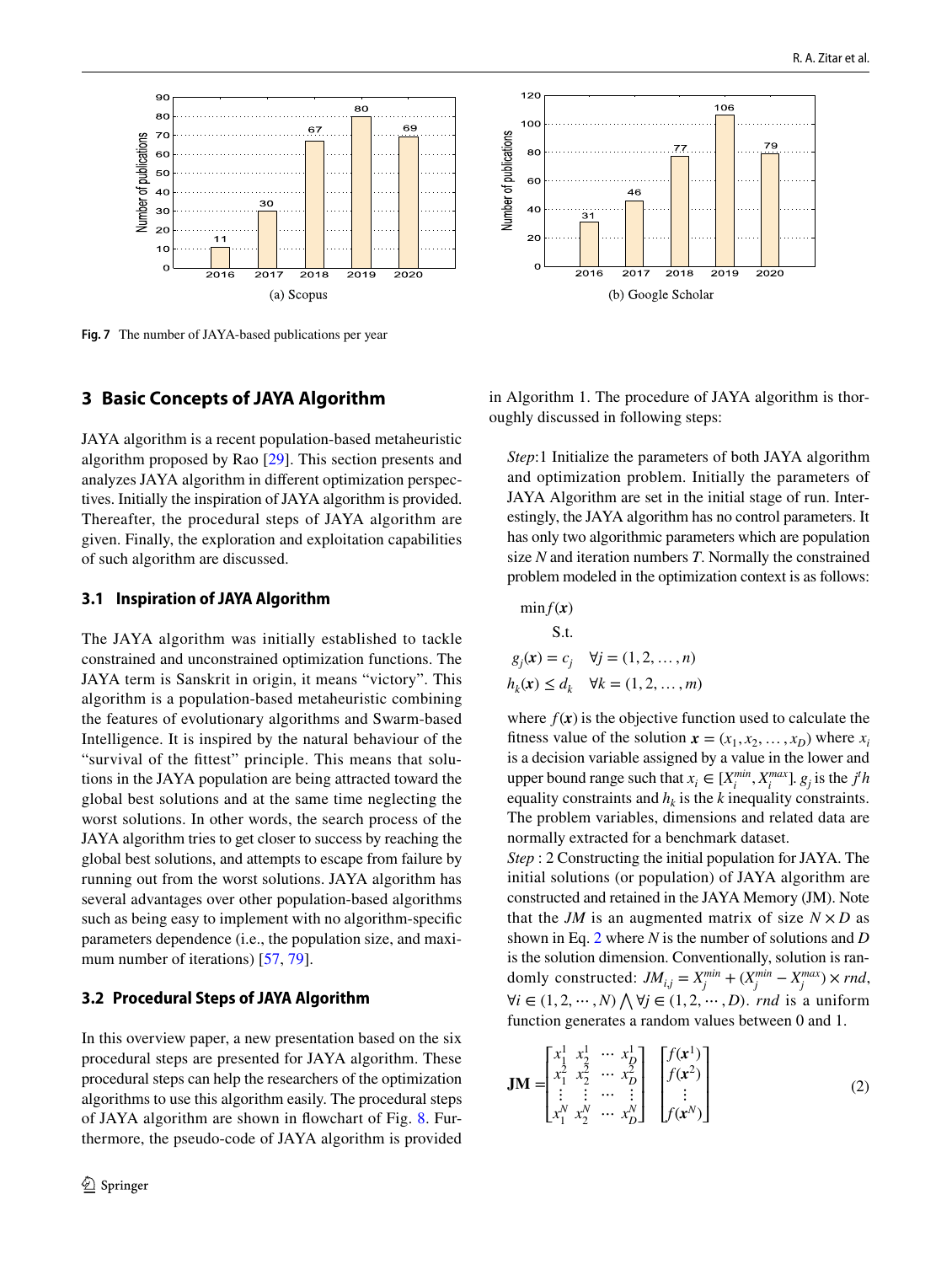

<span id="page-5-1"></span>**Fig. 7** The number of JAYA-based publications per year

## <span id="page-5-0"></span>**3 Basic Concepts of JAYA Algorithm**

JAYA algorithm is a recent population-based metaheuristic algorithm proposed by Rao [[29](#page-25-1)]. This section presents and analyzes JAYA algorithm in different optimization perspectives. Initially the inspiration of JAYA algorithm is provided. Thereafter, the procedural steps of JAYA algorithm are given. Finally, the exploration and exploitation capabilities of such algorithm are discussed.

## **3.1 Inspiration of JAYA Algorithm**

The JAYA algorithm was initially established to tackle constrained and unconstrained optimization functions. The JAYA term is Sanskrit in origin, it means "victory". This algorithm is a population-based metaheuristic combining the features of evolutionary algorithms and Swarm-based Intelligence. It is inspired by the natural behaviour of the "survival of the fittest" principle. This means that solutions in the JAYA population are being attracted toward the global best solutions and at the same time neglecting the worst solutions. In other words, the search process of the JAYA algorithm tries to get closer to success by reaching the global best solutions, and attempts to escape from failure by running out from the worst solutions. JAYA algorithm has several advantages over other population-based algorithms such as being easy to implement with no algorithm-specific parameters dependence (i.e., the population size, and maxi-mum number of iterations) [\[57](#page-25-29), [79](#page-26-7)].

#### **3.2 Procedural Steps of JAYA Algorithm**

In this overview paper, a new presentation based on the six procedural steps are presented for JAYA algorithm. These procedural steps can help the researchers of the optimization algorithms to use this algorithm easily. The procedural steps of JAYA algorithm are shown in flowchart of Fig. [8](#page-6-0). Furthermore, the pseudo-code of JAYA algorithm is provided



2018

(b) Google Scholar

 $46$ 

2017

 $\ddot{3}$ 

2016

106

2019

 $79$ 

2020

*Step*:1 Initialize the parameters of both JAYA algorithm and optimization problem. Initially the parameters of JAYA Algorithm are set in the initial stage of run. Interestingly, the JAYA algorithm has no control parameters. It has only two algorithmic parameters which are population size *N* and iteration numbers *T*. Normally the constrained problem modeled in the optimization context is as follows:

$$
\min f(\mathbf{x})
$$
  
S.t.  

$$
g_j(\mathbf{x}) = c_j \quad \forall j = (1, 2, ..., n)
$$

$$
h_k(\mathbf{x}) \le d_k \quad \forall k = (1, 2, ..., m)
$$

 $120$ 

 $100$ 

**80** 

60

 $40$ 

20

 $\Omega$ 

Number of publications

where  $f(x)$  is the objective function used to calculate the fitness value of the solution  $\mathbf{x} = (x_1, x_2, \dots, x_D)$  where  $x_i$ is a decision variable assigned by a value in the lower and upper bound range such that  $x_i \in [X_i^{\text{min}}, X_i^{\text{max}}]$ .  $g_j$  is the *j<sup>t</sup>h* equality constraints and  $h_k$  is the  $k$  inequality constraints. The problem variables, dimensions and related data are normally extracted for a benchmark dataset.

*Step* : 2 Constructing the initial population for JAYA. The initial solutions (or population) of JAYA algorithm are constructed and retained in the JAYA Memory (JM). Note that the *JM* is an augmented matrix of size  $N \times D$  as shown in Eq. [2](#page-5-2) where *N* is the number of solutions and *D* is the solution dimension. Conventionally, solution is randomly constructed:  $JM_{i,j} = X_j^{min} + (X_j^{min} - X_j^{max}) \times rnd$ ,  $∀i ∈ (1, 2, ..., N) ∧ ∀j ∈ (1, 2, ..., D)$ . *rnd* is a uniform function generates a random values between 0 and 1.

<span id="page-5-2"></span>
$$
\mathbf{JM} = \begin{bmatrix} x_1^1 & x_2^1 & \cdots & x_D^1 \\ x_1^2 & x_2^2 & \cdots & x_D^2 \\ \vdots & \vdots & \cdots & \vdots \\ x_1^N & x_2^N & \cdots & x_D^N \end{bmatrix} \begin{bmatrix} f(\mathbf{x}^1) \\ f(\mathbf{x}^2) \\ \vdots \\ f(\mathbf{x}^N) \end{bmatrix}
$$
(2)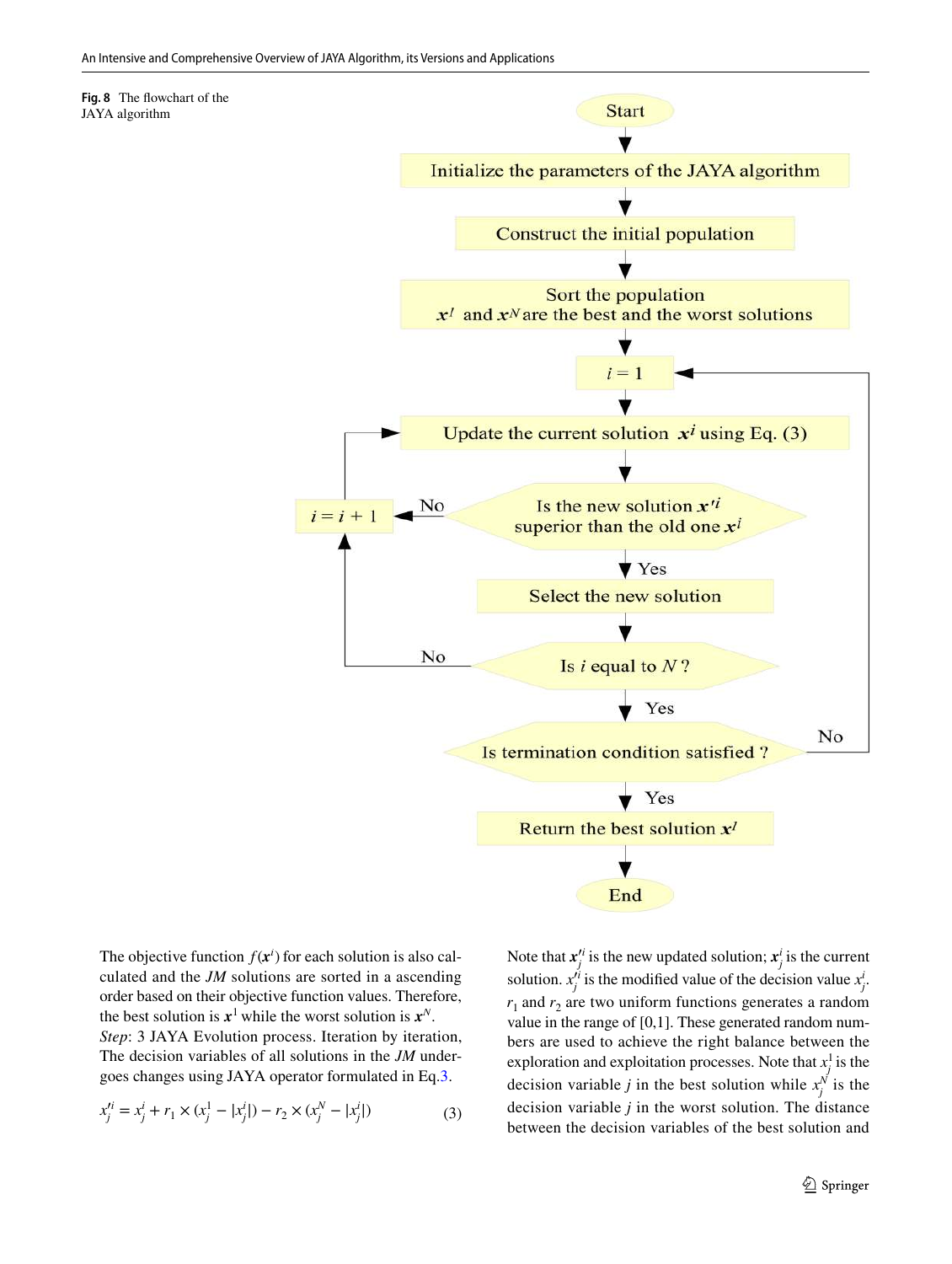<span id="page-6-0"></span>

The objective function  $f(x^i)$  for each solution is also calculated and the *JM* solutions are sorted in a ascending order based on their objective function values. Therefore, the best solution is  $x^1$  while the worst solution is  $x^N$ . *Step*: 3 JAYA Evolution process. Iteration by iteration, The decision variables of all solutions in the *JM* undergoes changes using JAYA operator formulated in Eq.[3.](#page-6-1)

$$
x_j'^i = x_j^i + r_1 \times (x_j^1 - |x_j^i|) - r_2 \times (x_j^N - |x_j^i|)
$$
 (3)

<span id="page-6-1"></span>Note that  $x_j^i$  is the new updated solution;  $x_j^i$  is the current solution.  $x_j^{j_i}$  is the modified value of the decision value  $x_j^i$ .  $r_1$  and  $r_2$  are two uniform functions generates a random value in the range of [0,1]. These generated random numbers are used to achieve the right balance between the exploration and exploitation processes. Note that  $x_i^1$  $\frac{1}{j}$  is the decision variable *j* in the best solution while  $x_j^N$  is the decision variable *j* in the worst solution. The distance between the decision variables of the best solution and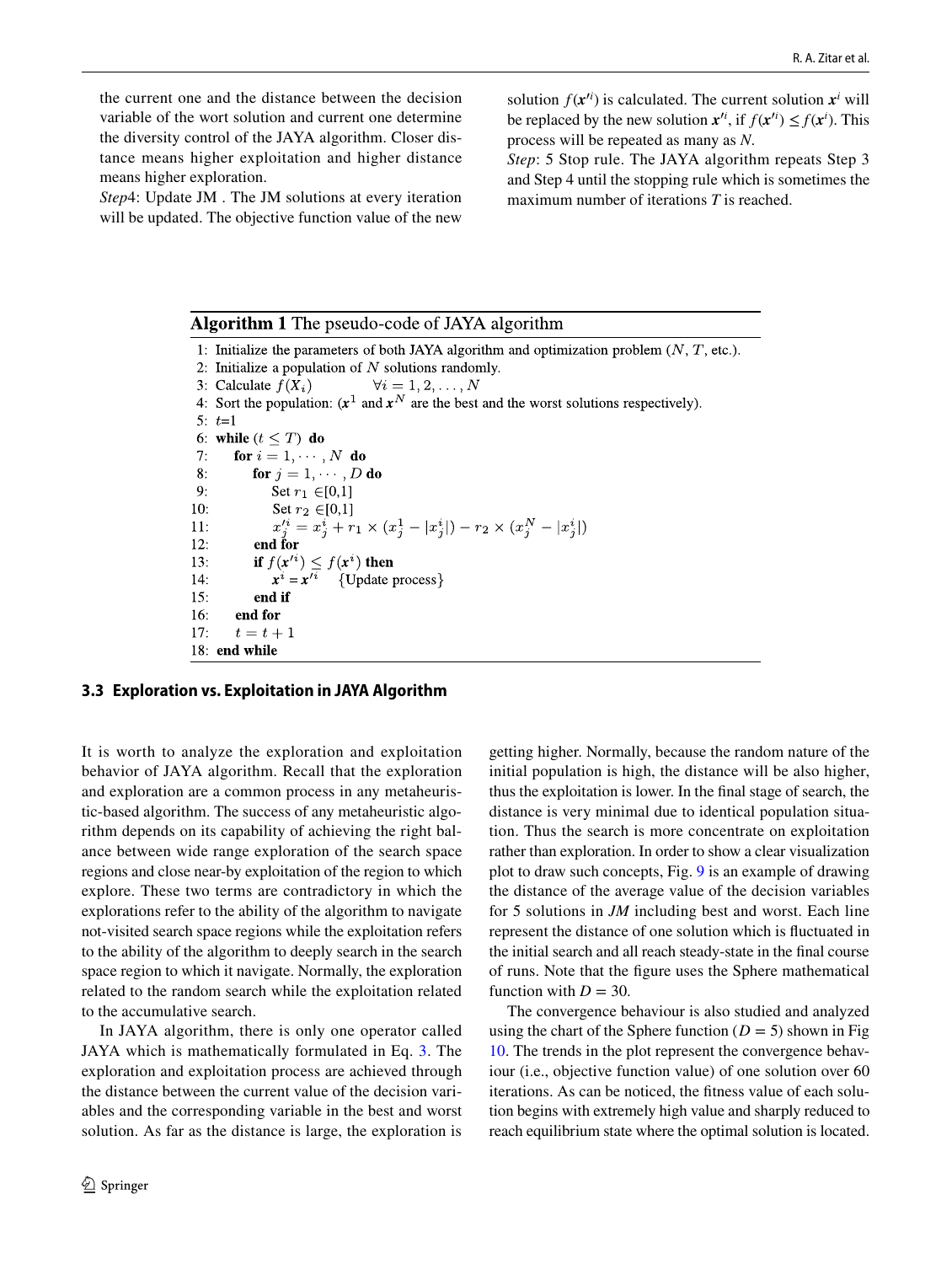the current one and the distance between the decision variable of the wort solution and current one determine the diversity control of the JAYA algorithm. Closer distance means higher exploitation and higher distance means higher exploration.

*Step*4: Update JM . The JM solutions at every iteration will be updated. The objective function value of the new

solution  $f(x^{i})$  is calculated. The current solution  $x^{i}$  will be replaced by the new solution  $x'^i$ , if  $f(x'^i) \leq f(x^i)$ . This process will be repeated as many as *N*.

*Step*: 5 Stop rule. The JAYA algorithm repeats Step 3 and Step 4 until the stopping rule which is sometimes the maximum number of iterations *T* is reached.

#### Algorithm 1 The pseudo-code of JAYA algorithm 1: Initialize the parameters of both JAYA algorithm and optimization problem  $(N, T, etc.).$ 2: Initialize a population of  $N$  solutions randomly. 3: Calculate  $f(X_i)$  $\forall i=1,2,\ldots,N$ 4: Sort the population:  $(x^1 \text{ and } x^N \text{ are the best and the worst solutions respectively).$ 5:  $t=1$ 6: while  $(t < T)$  do  $7:$ for  $i = 1, \dots, N$  do 8: for  $j = 1, \dots, D$  do  $9:$ Set  $r_1 \in [0,1]$  $10:$ Set  $r_2 \in [0,1]$  $x_j^{\prime i} = x_j^i + r_1 \times (x_j^1 - |x_j^i|) - r_2 \times (x_j^N - |x_j^i|)$  $11:$  $12:$ end for  $13:$ if  $f(x^i) \leq f(x^i)$  then  $\vec{x}^i = \vec{x}^{\prime\bar{i}}$  {Update process}  $14:$  $15:$ end if  $16:$ end for  $17:$  $t=t+1$ 18: end while

#### **3.3 Exploration vs. Exploitation in JAYA Algorithm**

It is worth to analyze the exploration and exploitation behavior of JAYA algorithm. Recall that the exploration and exploration are a common process in any metaheuristic-based algorithm. The success of any metaheuristic algorithm depends on its capability of achieving the right balance between wide range exploration of the search space regions and close near-by exploitation of the region to which explore. These two terms are contradictory in which the explorations refer to the ability of the algorithm to navigate not-visited search space regions while the exploitation refers to the ability of the algorithm to deeply search in the search space region to which it navigate. Normally, the exploration related to the random search while the exploitation related to the accumulative search.

In JAYA algorithm, there is only one operator called JAYA which is mathematically formulated in Eq. [3](#page-6-1). The exploration and exploitation process are achieved through the distance between the current value of the decision variables and the corresponding variable in the best and worst solution. As far as the distance is large, the exploration is getting higher. Normally, because the random nature of the initial population is high, the distance will be also higher, thus the exploitation is lower. In the final stage of search, the distance is very minimal due to identical population situation. Thus the search is more concentrate on exploitation rather than exploration. In order to show a clear visualization plot to draw such concepts, Fig. [9](#page-8-0) is an example of drawing the distance of the average value of the decision variables for 5 solutions in *JM* including best and worst. Each line represent the distance of one solution which is fluctuated in the initial search and all reach steady-state in the final course of runs. Note that the figure uses the Sphere mathematical function with  $D = 30$ .

The convergence behaviour is also studied and analyzed using the chart of the Sphere function  $(D = 5)$  shown in Fig. [10](#page-8-1). The trends in the plot represent the convergence behaviour (i.e., objective function value) of one solution over 60 iterations. As can be noticed, the fitness value of each solution begins with extremely high value and sharply reduced to reach equilibrium state where the optimal solution is located.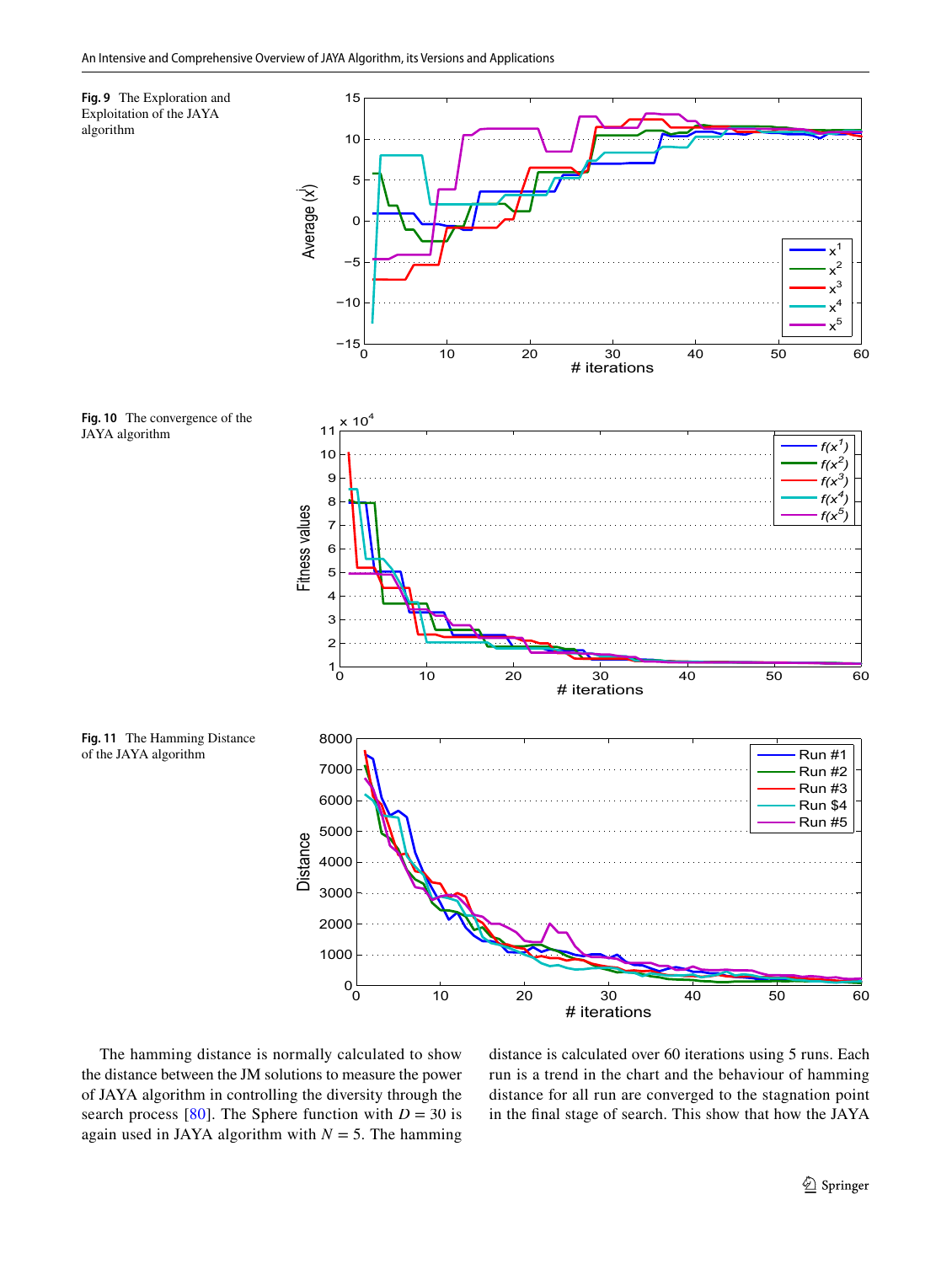<span id="page-8-1"></span><span id="page-8-0"></span>

<span id="page-8-2"></span>The hamming distance is normally calculated to show the distance between the JM solutions to measure the power of JAYA algorithm in controlling the diversity through the search process  $[80]$  $[80]$ . The Sphere function with  $D = 30$  is again used in JAYA algorithm with  $N = 5$ . The hamming distance is calculated over 60 iterations using 5 runs. Each run is a trend in the chart and the behaviour of hamming distance for all run are converged to the stagnation point in the final stage of search. This show that how the JAYA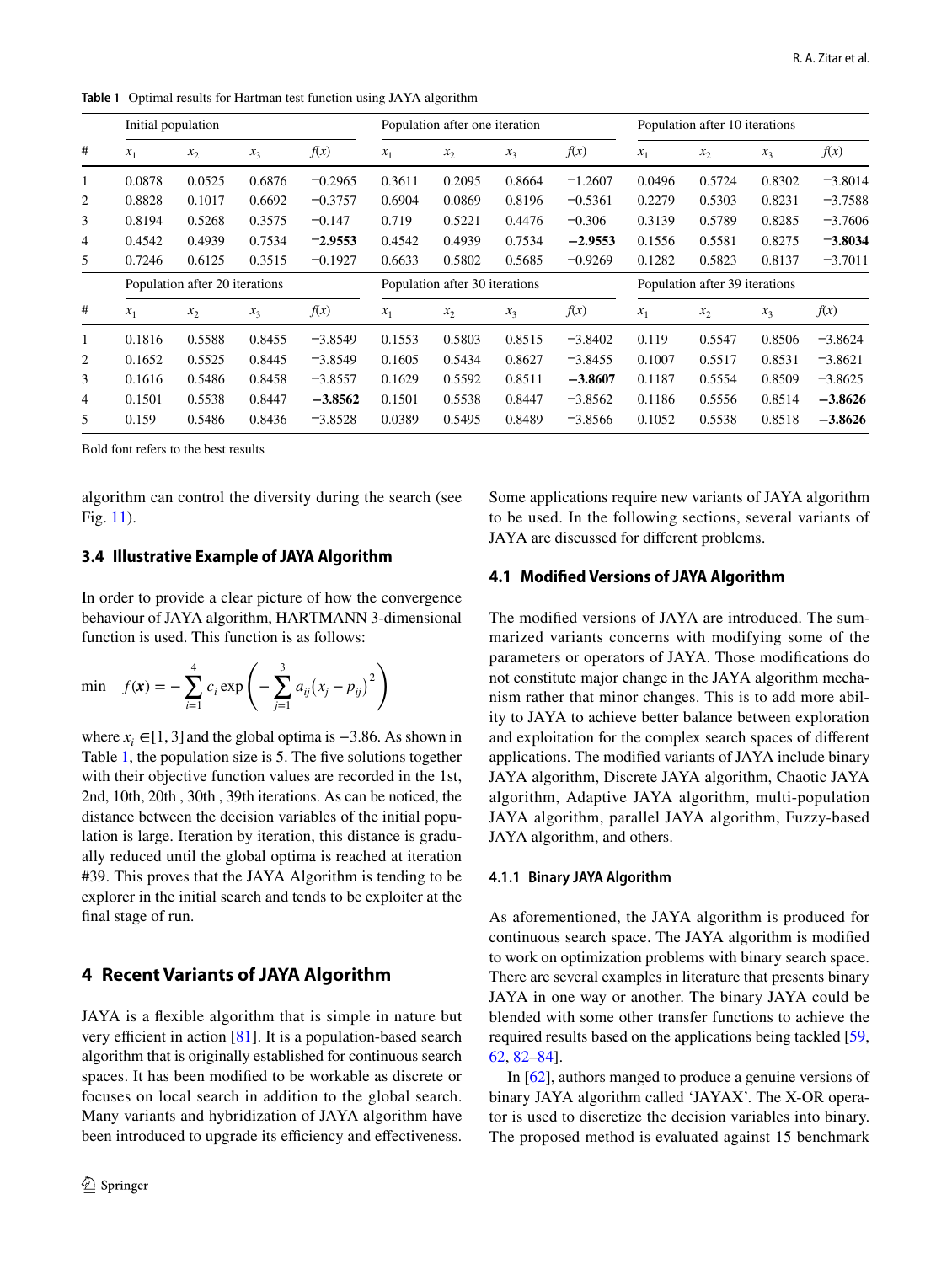|   | Initial population             |        |        |                                | Population after one iteration |        |                                |           | Population after 10 iterations |        |        |           |
|---|--------------------------------|--------|--------|--------------------------------|--------------------------------|--------|--------------------------------|-----------|--------------------------------|--------|--------|-----------|
| # | $x_1$                          | $x_2$  | $x_3$  | f(x)                           | $x_1$                          | $x_2$  | $x_3$                          | f(x)      | $x_1$                          | $x_2$  | $x_3$  | f(x)      |
| 1 | 0.0878                         | 0.0525 | 0.6876 | $-0.2965$                      | 0.3611                         | 0.2095 | 0.8664                         | $-1.2607$ | 0.0496                         | 0.5724 | 0.8302 | $-3.8014$ |
| 2 | 0.8828                         | 0.1017 | 0.6692 | $-0.3757$                      | 0.6904                         | 0.0869 | 0.8196                         | $-0.5361$ | 0.2279                         | 0.5303 | 0.8231 | $-3.7588$ |
| 3 | 0.8194                         | 0.5268 | 0.3575 | $-0.147$                       | 0.719                          | 0.5221 | 0.4476                         | $-0.306$  | 0.3139                         | 0.5789 | 0.8285 | $-3.7606$ |
| 4 | 0.4542                         | 0.4939 | 0.7534 | $-2.9553$                      | 0.4542                         | 0.4939 | 0.7534                         | $-2.9553$ | 0.1556                         | 0.5581 | 0.8275 | $-3.8034$ |
| 5 | 0.7246                         | 0.6125 | 0.3515 | $-0.1927$                      | 0.6633                         | 0.5802 | 0.5685                         | $-0.9269$ | 0.1282                         | 0.5823 | 0.8137 | $-3.7011$ |
|   | Population after 20 iterations |        |        | Population after 30 iterations |                                |        | Population after 39 iterations |           |                                |        |        |           |
| # | $x_1$                          | $x_2$  | $x_3$  | f(x)                           | $x_1$                          | $x_2$  | $x_3$                          | f(x)      | $x_1$                          | $x_2$  | $x_3$  | f(x)      |
| 1 | 0.1816                         | 0.5588 | 0.8455 | $-3.8549$                      | 0.1553                         | 0.5803 | 0.8515                         | $-3.8402$ | 0.119                          | 0.5547 | 0.8506 | $-3.8624$ |
| 2 | 0.1652                         | 0.5525 | 0.8445 | $-3.8549$                      | 0.1605                         | 0.5434 | 0.8627                         | $-3.8455$ | 0.1007                         | 0.5517 | 0.8531 | $-3.8621$ |
| 3 | 0.1616                         | 0.5486 | 0.8458 | $-3.8557$                      | 0.1629                         | 0.5592 | 0.8511                         | $-3.8607$ | 0.1187                         | 0.5554 | 0.8509 | $-3.8625$ |
| 4 | 0.1501                         | 0.5538 | 0.8447 | $-3.8562$                      | 0.1501                         | 0.5538 | 0.8447                         | $-3.8562$ | 0.1186                         | 0.5556 | 0.8514 | $-3.8626$ |
| 5 | 0.159                          | 0.5486 | 0.8436 | $-3.8528$                      | 0.0389                         | 0.5495 | 0.8489                         | $-3.8566$ | 0.1052                         | 0.5538 | 0.8518 | $-3.8626$ |

<span id="page-9-1"></span>**Table 1** Optimal results for Hartman test function using JAYA algorithm

Bold font refers to the best results

algorithm can control the diversity during the search (see Fig. [11\)](#page-8-2).

## **3.4 Illustrative Example of JAYA Algorithm**

In order to provide a clear picture of how the convergence behaviour of JAYA algorithm, HARTMANN 3-dimensional function is used. This function is as follows:

min 
$$
f(\mathbf{x}) = -\sum_{i=1}^{4} c_i \exp\left(-\sum_{j=1}^{3} a_{ij} (x_j - p_{ij})^2\right)
$$

where  $x_i \in [1, 3]$  and the global optima is  $-3.86$ . As shown in Table [1,](#page-9-1) the population size is 5. The five solutions together with their objective function values are recorded in the 1st, 2nd, 10th, 20th , 30th , 39th iterations. As can be noticed, the distance between the decision variables of the initial population is large. Iteration by iteration, this distance is gradually reduced until the global optima is reached at iteration #39. This proves that the JAYA Algorithm is tending to be explorer in the initial search and tends to be exploiter at the final stage of run.

## <span id="page-9-0"></span>**4 Recent Variants of JAYA Algorithm**

JAYA is a flexible algorithm that is simple in nature but very efficient in action [[81\]](#page-26-9). It is a population-based search algorithm that is originally established for continuous search spaces. It has been modified to be workable as discrete or focuses on local search in addition to the global search. Many variants and hybridization of JAYA algorithm have been introduced to upgrade its efficiency and effectiveness.

Some applications require new variants of JAYA algorithm to be used. In the following sections, several variants of JAYA are discussed for different problems.

#### **4.1 Modified Versions of JAYA Algorithm**

The modified versions of JAYA are introduced. The summarized variants concerns with modifying some of the parameters or operators of JAYA. Those modifications do not constitute major change in the JAYA algorithm mechanism rather that minor changes. This is to add more ability to JAYA to achieve better balance between exploration and exploitation for the complex search spaces of different applications. The modified variants of JAYA include binary JAYA algorithm, Discrete JAYA algorithm, Chaotic JAYA algorithm, Adaptive JAYA algorithm, multi-population JAYA algorithm, parallel JAYA algorithm, Fuzzy-based JAYA algorithm, and others.

#### **4.1.1 Binary JAYA Algorithm**

As aforementioned, the JAYA algorithm is produced for continuous search space. The JAYA algorithm is modified to work on optimization problems with binary search space. There are several examples in literature that presents binary JAYA in one way or another. The binary JAYA could be blended with some other transfer functions to achieve the required results based on the applications being tackled [[59,](#page-25-31) [62](#page-25-34), [82](#page-26-10)[–84](#page-26-11)].

In [\[62](#page-25-34)], authors manged to produce a genuine versions of binary JAYA algorithm called 'JAYAX'. The X-OR operator is used to discretize the decision variables into binary. The proposed method is evaluated against 15 benchmark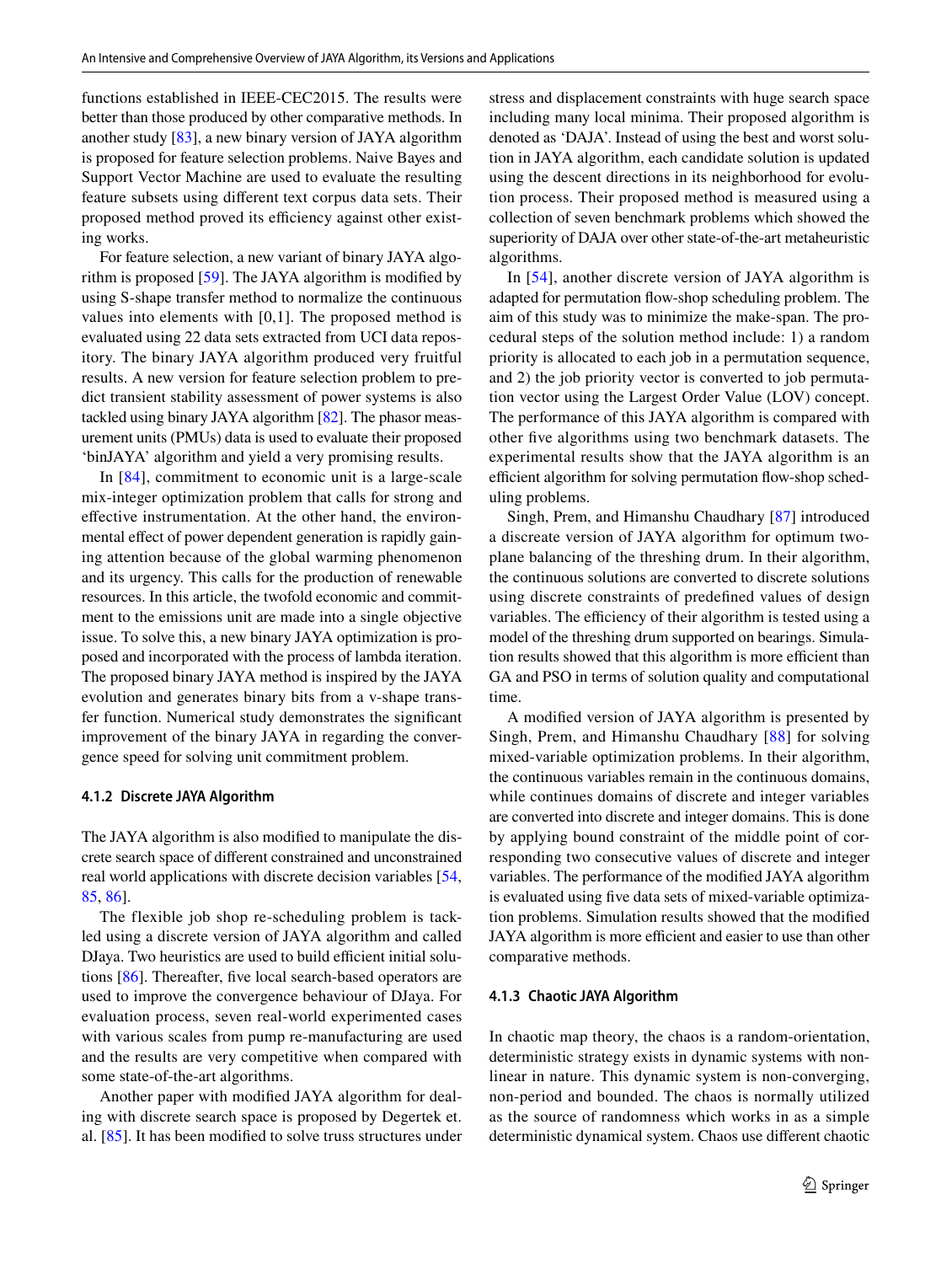functions established in IEEE-CEC2015. The results were better than those produced by other comparative methods. In another study [\[83](#page-26-12)], a new binary version of JAYA algorithm is proposed for feature selection problems. Naive Bayes and Support Vector Machine are used to evaluate the resulting feature subsets using different text corpus data sets. Their proposed method proved its efficiency against other existing works.

For feature selection, a new variant of binary JAYA algorithm is proposed [\[59](#page-25-31)]. The JAYA algorithm is modified by using S-shape transfer method to normalize the continuous values into elements with [0,1]. The proposed method is evaluated using 22 data sets extracted from UCI data repository. The binary JAYA algorithm produced very fruitful results. A new version for feature selection problem to predict transient stability assessment of power systems is also tackled using binary JAYA algorithm [\[82\]](#page-26-10). The phasor measurement units (PMUs) data is used to evaluate their proposed 'binJAYA' algorithm and yield a very promising results.

In [[84](#page-26-11)], commitment to economic unit is a large-scale mix-integer optimization problem that calls for strong and effective instrumentation. At the other hand, the environmental effect of power dependent generation is rapidly gaining attention because of the global warming phenomenon and its urgency. This calls for the production of renewable resources. In this article, the twofold economic and commitment to the emissions unit are made into a single objective issue. To solve this, a new binary JAYA optimization is proposed and incorporated with the process of lambda iteration. The proposed binary JAYA method is inspired by the JAYA evolution and generates binary bits from a v-shape transfer function. Numerical study demonstrates the significant improvement of the binary JAYA in regarding the convergence speed for solving unit commitment problem.

#### **4.1.2 Discrete JAYA Algorithm**

The JAYA algorithm is also modified to manipulate the discrete search space of different constrained and unconstrained real world applications with discrete decision variables [[54,](#page-25-26) [85](#page-26-13), [86](#page-26-14)].

The flexible job shop re-scheduling problem is tackled using a discrete version of JAYA algorithm and called DJaya. Two heuristics are used to build efficient initial solutions [[86\]](#page-26-14). Thereafter, five local search-based operators are used to improve the convergence behaviour of DJaya. For evaluation process, seven real-world experimented cases with various scales from pump re-manufacturing are used and the results are very competitive when compared with some state-of-the-art algorithms.

Another paper with modified JAYA algorithm for dealing with discrete search space is proposed by Degertek et. al. [[85\]](#page-26-13). It has been modified to solve truss structures under stress and displacement constraints with huge search space including many local minima. Their proposed algorithm is denoted as 'DAJA'. Instead of using the best and worst solution in JAYA algorithm, each candidate solution is updated using the descent directions in its neighborhood for evolution process. Their proposed method is measured using a collection of seven benchmark problems which showed the superiority of DAJA over other state-of-the-art metaheuristic algorithms.

In [[54\]](#page-25-26), another discrete version of JAYA algorithm is adapted for permutation flow-shop scheduling problem. The aim of this study was to minimize the make-span. The procedural steps of the solution method include: 1) a random priority is allocated to each job in a permutation sequence, and 2) the job priority vector is converted to job permutation vector using the Largest Order Value (LOV) concept. The performance of this JAYA algorithm is compared with other five algorithms using two benchmark datasets. The experimental results show that the JAYA algorithm is an efficient algorithm for solving permutation flow-shop scheduling problems.

Singh, Prem, and Himanshu Chaudhary [[87](#page-26-15)] introduced a discreate version of JAYA algorithm for optimum twoplane balancing of the threshing drum. In their algorithm, the continuous solutions are converted to discrete solutions using discrete constraints of predefined values of design variables. The efficiency of their algorithm is tested using a model of the threshing drum supported on bearings. Simulation results showed that this algorithm is more efficient than GA and PSO in terms of solution quality and computational time.

A modified version of JAYA algorithm is presented by Singh, Prem, and Himanshu Chaudhary [\[88\]](#page-26-16) for solving mixed-variable optimization problems. In their algorithm, the continuous variables remain in the continuous domains, while continues domains of discrete and integer variables are converted into discrete and integer domains. This is done by applying bound constraint of the middle point of corresponding two consecutive values of discrete and integer variables. The performance of the modified JAYA algorithm is evaluated using five data sets of mixed-variable optimization problems. Simulation results showed that the modified JAYA algorithm is more efficient and easier to use than other comparative methods.

#### **4.1.3 Chaotic JAYA Algorithm**

In chaotic map theory, the chaos is a random-orientation, deterministic strategy exists in dynamic systems with nonlinear in nature. This dynamic system is non-converging, non-period and bounded. The chaos is normally utilized as the source of randomness which works in as a simple deterministic dynamical system. Chaos use different chaotic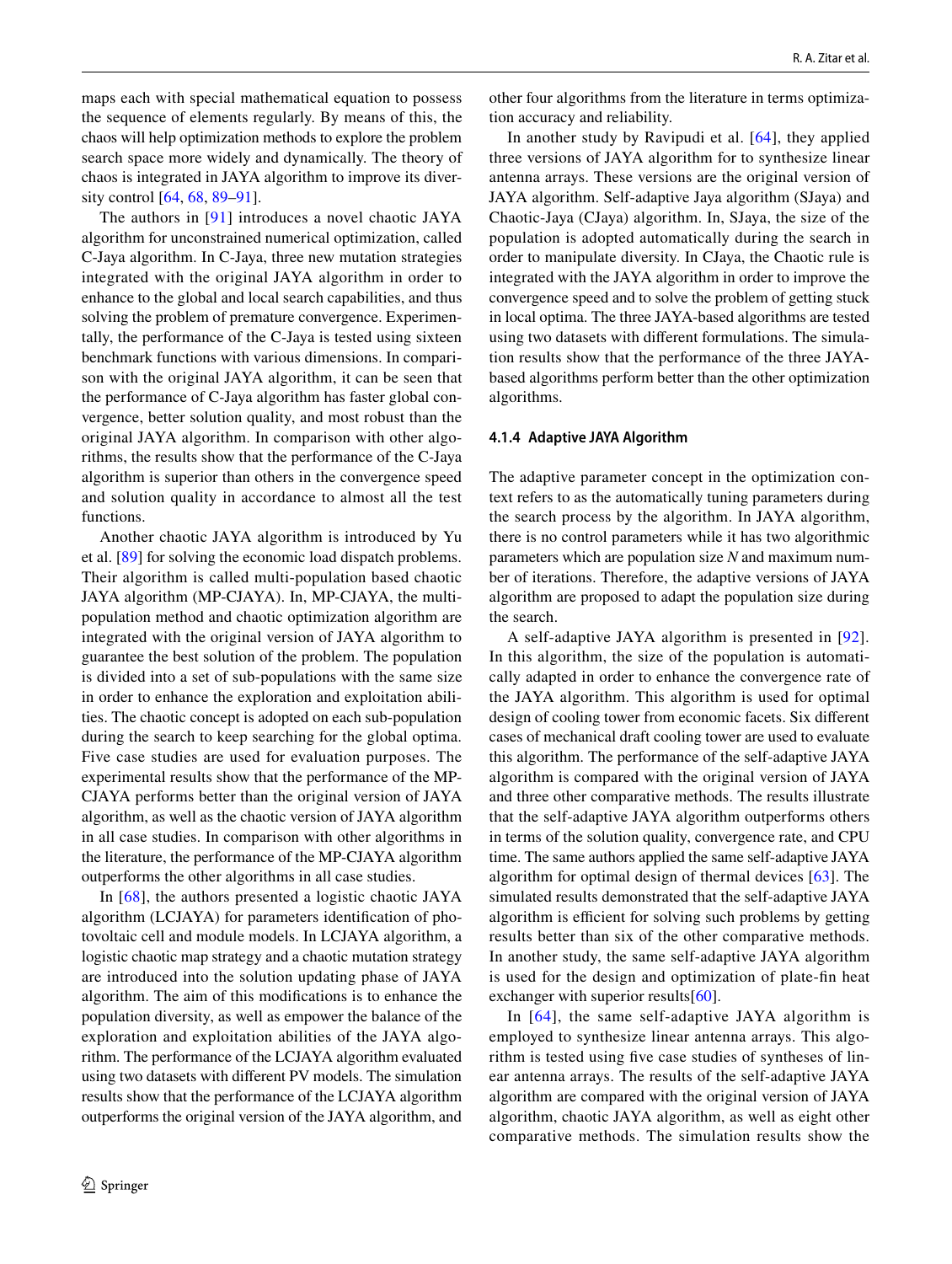maps each with special mathematical equation to possess the sequence of elements regularly. By means of this, the chaos will help optimization methods to explore the problem search space more widely and dynamically. The theory of chaos is integrated in JAYA algorithm to improve its diversity control [[64,](#page-25-36) [68,](#page-25-40) [89–](#page-26-17)[91\]](#page-26-18).

The authors in [[91](#page-26-18)] introduces a novel chaotic JAYA algorithm for unconstrained numerical optimization, called C-Jaya algorithm. In C-Jaya, three new mutation strategies integrated with the original JAYA algorithm in order to enhance to the global and local search capabilities, and thus solving the problem of premature convergence. Experimentally, the performance of the C-Jaya is tested using sixteen benchmark functions with various dimensions. In comparison with the original JAYA algorithm, it can be seen that the performance of C-Jaya algorithm has faster global convergence, better solution quality, and most robust than the original JAYA algorithm. In comparison with other algorithms, the results show that the performance of the C-Jaya algorithm is superior than others in the convergence speed and solution quality in accordance to almost all the test functions.

Another chaotic JAYA algorithm is introduced by Yu et al. [[89](#page-26-17)] for solving the economic load dispatch problems. Their algorithm is called multi-population based chaotic JAYA algorithm (MP-CJAYA). In, MP-CJAYA, the multipopulation method and chaotic optimization algorithm are integrated with the original version of JAYA algorithm to guarantee the best solution of the problem. The population is divided into a set of sub-populations with the same size in order to enhance the exploration and exploitation abilities. The chaotic concept is adopted on each sub-population during the search to keep searching for the global optima. Five case studies are used for evaluation purposes. The experimental results show that the performance of the MP-CJAYA performs better than the original version of JAYA algorithm, as well as the chaotic version of JAYA algorithm in all case studies. In comparison with other algorithms in the literature, the performance of the MP-CJAYA algorithm outperforms the other algorithms in all case studies.

In [[68](#page-25-40)], the authors presented a logistic chaotic JAYA algorithm (LCJAYA) for parameters identification of photovoltaic cell and module models. In LCJAYA algorithm, a logistic chaotic map strategy and a chaotic mutation strategy are introduced into the solution updating phase of JAYA algorithm. The aim of this modifications is to enhance the population diversity, as well as empower the balance of the exploration and exploitation abilities of the JAYA algorithm. The performance of the LCJAYA algorithm evaluated using two datasets with different PV models. The simulation results show that the performance of the LCJAYA algorithm outperforms the original version of the JAYA algorithm, and other four algorithms from the literature in terms optimization accuracy and reliability.

In another study by Ravipudi et al. [[64\]](#page-25-36), they applied three versions of JAYA algorithm for to synthesize linear antenna arrays. These versions are the original version of JAYA algorithm. Self-adaptive Jaya algorithm (SJaya) and Chaotic-Jaya (CJaya) algorithm. In, SJaya, the size of the population is adopted automatically during the search in order to manipulate diversity. In CJaya, the Chaotic rule is integrated with the JAYA algorithm in order to improve the convergence speed and to solve the problem of getting stuck in local optima. The three JAYA-based algorithms are tested using two datasets with different formulations. The simulation results show that the performance of the three JAYAbased algorithms perform better than the other optimization algorithms.

#### **4.1.4 Adaptive JAYA Algorithm**

The adaptive parameter concept in the optimization context refers to as the automatically tuning parameters during the search process by the algorithm. In JAYA algorithm, there is no control parameters while it has two algorithmic parameters which are population size *N* and maximum number of iterations. Therefore, the adaptive versions of JAYA algorithm are proposed to adapt the population size during the search.

A self-adaptive JAYA algorithm is presented in [[92](#page-26-19)]. In this algorithm, the size of the population is automatically adapted in order to enhance the convergence rate of the JAYA algorithm. This algorithm is used for optimal design of cooling tower from economic facets. Six different cases of mechanical draft cooling tower are used to evaluate this algorithm. The performance of the self-adaptive JAYA algorithm is compared with the original version of JAYA and three other comparative methods. The results illustrate that the self-adaptive JAYA algorithm outperforms others in terms of the solution quality, convergence rate, and CPU time. The same authors applied the same self-adaptive JAYA algorithm for optimal design of thermal devices [\[63\]](#page-25-35). The simulated results demonstrated that the self-adaptive JAYA algorithm is efficient for solving such problems by getting results better than six of the other comparative methods. In another study, the same self-adaptive JAYA algorithm is used for the design and optimization of plate-fin heat exchanger with superior results $[60]$ .

In [[64](#page-25-36)], the same self-adaptive JAYA algorithm is employed to synthesize linear antenna arrays. This algorithm is tested using five case studies of syntheses of linear antenna arrays. The results of the self-adaptive JAYA algorithm are compared with the original version of JAYA algorithm, chaotic JAYA algorithm, as well as eight other comparative methods. The simulation results show the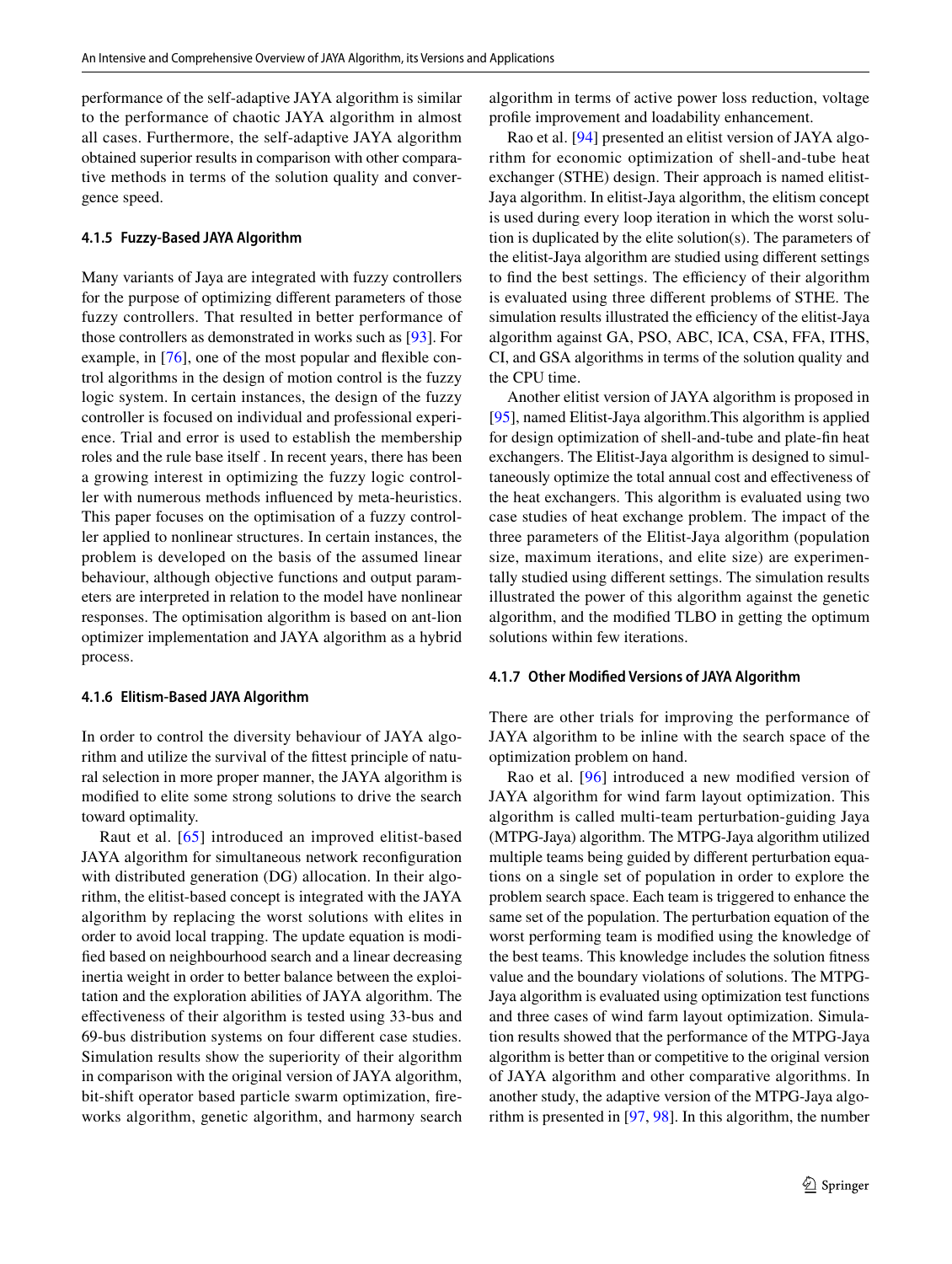performance of the self-adaptive JAYA algorithm is similar to the performance of chaotic JAYA algorithm in almost all cases. Furthermore, the self-adaptive JAYA algorithm obtained superior results in comparison with other comparative methods in terms of the solution quality and convergence speed.

#### **4.1.5 Fuzzy‑Based JAYA Algorithm**

Many variants of Jaya are integrated with fuzzy controllers for the purpose of optimizing different parameters of those fuzzy controllers. That resulted in better performance of those controllers as demonstrated in works such as [\[93](#page-26-20)]. For example, in [[76\]](#page-26-4), one of the most popular and flexible control algorithms in the design of motion control is the fuzzy logic system. In certain instances, the design of the fuzzy controller is focused on individual and professional experience. Trial and error is used to establish the membership roles and the rule base itself . In recent years, there has been a growing interest in optimizing the fuzzy logic controller with numerous methods influenced by meta-heuristics. This paper focuses on the optimisation of a fuzzy controller applied to nonlinear structures. In certain instances, the problem is developed on the basis of the assumed linear behaviour, although objective functions and output parameters are interpreted in relation to the model have nonlinear responses. The optimisation algorithm is based on ant-lion optimizer implementation and JAYA algorithm as a hybrid process.

#### **4.1.6 Elitism‑Based JAYA Algorithm**

In order to control the diversity behaviour of JAYA algorithm and utilize the survival of the fittest principle of natural selection in more proper manner, the JAYA algorithm is modified to elite some strong solutions to drive the search toward optimality.

Raut et al. [[65](#page-25-37)] introduced an improved elitist-based JAYA algorithm for simultaneous network reconfiguration with distributed generation (DG) allocation. In their algorithm, the elitist-based concept is integrated with the JAYA algorithm by replacing the worst solutions with elites in order to avoid local trapping. The update equation is modified based on neighbourhood search and a linear decreasing inertia weight in order to better balance between the exploitation and the exploration abilities of JAYA algorithm. The effectiveness of their algorithm is tested using 33-bus and 69-bus distribution systems on four different case studies. Simulation results show the superiority of their algorithm in comparison with the original version of JAYA algorithm, bit-shift operator based particle swarm optimization, fireworks algorithm, genetic algorithm, and harmony search algorithm in terms of active power loss reduction, voltage profile improvement and loadability enhancement.

Rao et al. [\[94](#page-26-21)] presented an elitist version of JAYA algorithm for economic optimization of shell-and-tube heat exchanger (STHE) design. Their approach is named elitist-Jaya algorithm. In elitist-Jaya algorithm, the elitism concept is used during every loop iteration in which the worst solution is duplicated by the elite solution(s). The parameters of the elitist-Jaya algorithm are studied using different settings to find the best settings. The efficiency of their algorithm is evaluated using three different problems of STHE. The simulation results illustrated the efficiency of the elitist-Jaya algorithm against GA, PSO, ABC, ICA, CSA, FFA, ITHS, CI, and GSA algorithms in terms of the solution quality and the CPU time.

Another elitist version of JAYA algorithm is proposed in [\[95](#page-26-22)], named Elitist-Jaya algorithm.This algorithm is applied for design optimization of shell-and-tube and plate-fin heat exchangers. The Elitist-Jaya algorithm is designed to simultaneously optimize the total annual cost and effectiveness of the heat exchangers. This algorithm is evaluated using two case studies of heat exchange problem. The impact of the three parameters of the Elitist-Jaya algorithm (population size, maximum iterations, and elite size) are experimentally studied using different settings. The simulation results illustrated the power of this algorithm against the genetic algorithm, and the modified TLBO in getting the optimum solutions within few iterations.

#### **4.1.7 Other Modified Versions of JAYA Algorithm**

There are other trials for improving the performance of JAYA algorithm to be inline with the search space of the optimization problem on hand.

Rao et al. [[96\]](#page-26-23) introduced a new modified version of JAYA algorithm for wind farm layout optimization. This algorithm is called multi-team perturbation-guiding Jaya (MTPG-Jaya) algorithm. The MTPG-Jaya algorithm utilized multiple teams being guided by different perturbation equations on a single set of population in order to explore the problem search space. Each team is triggered to enhance the same set of the population. The perturbation equation of the worst performing team is modified using the knowledge of the best teams. This knowledge includes the solution fitness value and the boundary violations of solutions. The MTPG-Jaya algorithm is evaluated using optimization test functions and three cases of wind farm layout optimization. Simulation results showed that the performance of the MTPG-Jaya algorithm is better than or competitive to the original version of JAYA algorithm and other comparative algorithms. In another study, the adaptive version of the MTPG-Jaya algorithm is presented in [[97,](#page-26-24) [98\]](#page-26-25). In this algorithm, the number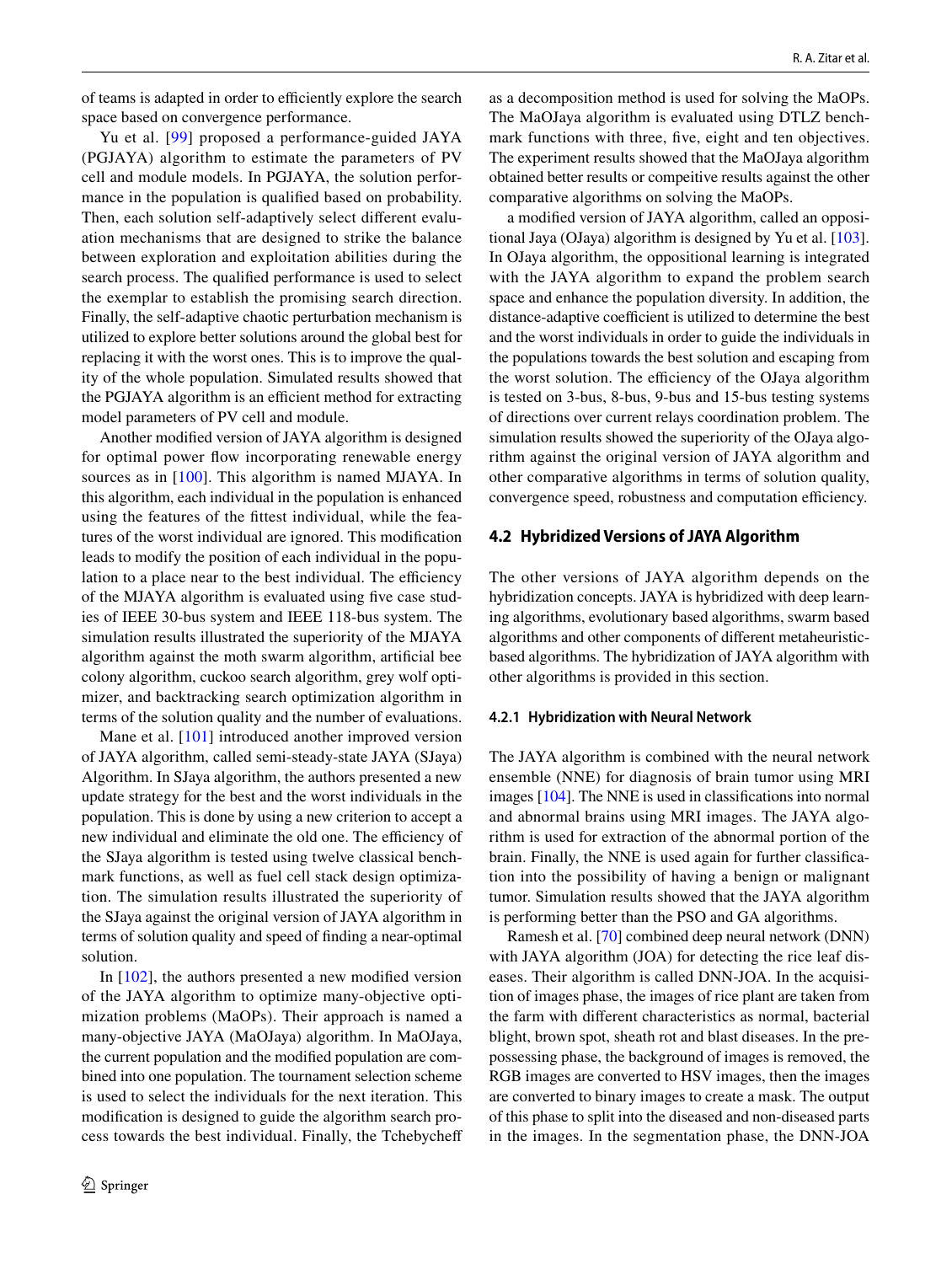of teams is adapted in order to efficiently explore the search space based on convergence performance.

Yu et al. [[99\]](#page-26-26) proposed a performance-guided JAYA (PGJAYA) algorithm to estimate the parameters of PV cell and module models. In PGJAYA, the solution performance in the population is qualified based on probability. Then, each solution self-adaptively select different evaluation mechanisms that are designed to strike the balance between exploration and exploitation abilities during the search process. The qualified performance is used to select the exemplar to establish the promising search direction. Finally, the self-adaptive chaotic perturbation mechanism is utilized to explore better solutions around the global best for replacing it with the worst ones. This is to improve the quality of the whole population. Simulated results showed that the PGJAYA algorithm is an efficient method for extracting model parameters of PV cell and module.

Another modified version of JAYA algorithm is designed for optimal power flow incorporating renewable energy sources as in [\[100\]](#page-26-27). This algorithm is named MJAYA. In this algorithm, each individual in the population is enhanced using the features of the fittest individual, while the features of the worst individual are ignored. This modification leads to modify the position of each individual in the population to a place near to the best individual. The efficiency of the MJAYA algorithm is evaluated using five case studies of IEEE 30-bus system and IEEE 118-bus system. The simulation results illustrated the superiority of the MJAYA algorithm against the moth swarm algorithm, artificial bee colony algorithm, cuckoo search algorithm, grey wolf optimizer, and backtracking search optimization algorithm in terms of the solution quality and the number of evaluations.

Mane et al. [\[101\]](#page-26-28) introduced another improved version of JAYA algorithm, called semi-steady-state JAYA (SJaya) Algorithm. In SJaya algorithm, the authors presented a new update strategy for the best and the worst individuals in the population. This is done by using a new criterion to accept a new individual and eliminate the old one. The efficiency of the SJaya algorithm is tested using twelve classical benchmark functions, as well as fuel cell stack design optimization. The simulation results illustrated the superiority of the SJaya against the original version of JAYA algorithm in terms of solution quality and speed of finding a near-optimal solution.

In [\[102\]](#page-26-29), the authors presented a new modified version of the JAYA algorithm to optimize many-objective optimization problems (MaOPs). Their approach is named a many-objective JAYA (MaOJaya) algorithm. In MaOJaya, the current population and the modified population are combined into one population. The tournament selection scheme is used to select the individuals for the next iteration. This modification is designed to guide the algorithm search process towards the best individual. Finally, the Tchebycheff as a decomposition method is used for solving the MaOPs. The MaOJaya algorithm is evaluated using DTLZ benchmark functions with three, five, eight and ten objectives. The experiment results showed that the MaOJaya algorithm obtained better results or compeitive results against the other comparative algorithms on solving the MaOPs.

a modified version of JAYA algorithm, called an oppositional Jaya (OJaya) algorithm is designed by Yu et al. [\[103](#page-26-30)]. In OJaya algorithm, the oppositional learning is integrated with the JAYA algorithm to expand the problem search space and enhance the population diversity. In addition, the distance-adaptive coefficient is utilized to determine the best and the worst individuals in order to guide the individuals in the populations towards the best solution and escaping from the worst solution. The efficiency of the OJaya algorithm is tested on 3-bus, 8-bus, 9-bus and 15-bus testing systems of directions over current relays coordination problem. The simulation results showed the superiority of the OJaya algorithm against the original version of JAYA algorithm and other comparative algorithms in terms of solution quality, convergence speed, robustness and computation efficiency.

#### **4.2 Hybridized Versions of JAYA Algorithm**

The other versions of JAYA algorithm depends on the hybridization concepts. JAYA is hybridized with deep learning algorithms, evolutionary based algorithms, swarm based algorithms and other components of different metaheuristicbased algorithms. The hybridization of JAYA algorithm with other algorithms is provided in this section.

#### **4.2.1 Hybridization with Neural Network**

The JAYA algorithm is combined with the neural network ensemble (NNE) for diagnosis of brain tumor using MRI images [\[104](#page-26-31)]. The NNE is used in classifications into normal and abnormal brains using MRI images. The JAYA algorithm is used for extraction of the abnormal portion of the brain. Finally, the NNE is used again for further classification into the possibility of having a benign or malignant tumor. Simulation results showed that the JAYA algorithm is performing better than the PSO and GA algorithms.

Ramesh et al. [\[70](#page-26-0)] combined deep neural network (DNN) with JAYA algorithm (JOA) for detecting the rice leaf diseases. Their algorithm is called DNN-JOA. In the acquisition of images phase, the images of rice plant are taken from the farm with different characteristics as normal, bacterial blight, brown spot, sheath rot and blast diseases. In the prepossessing phase, the background of images is removed, the RGB images are converted to HSV images, then the images are converted to binary images to create a mask. The output of this phase to split into the diseased and non-diseased parts in the images. In the segmentation phase, the DNN-JOA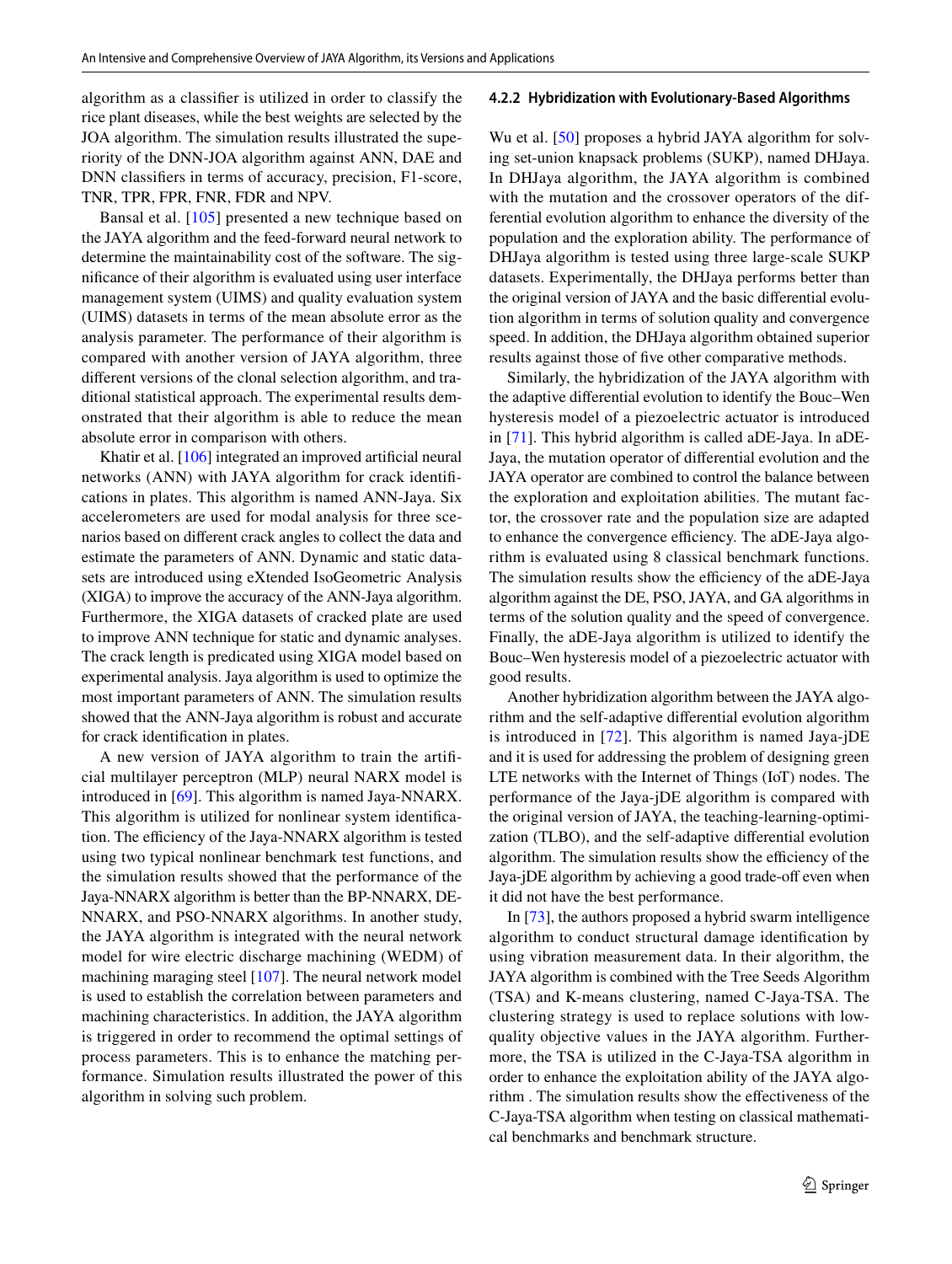algorithm as a classifier is utilized in order to classify the rice plant diseases, while the best weights are selected by the JOA algorithm. The simulation results illustrated the superiority of the DNN-JOA algorithm against ANN, DAE and DNN classifiers in terms of accuracy, precision, F1-score, TNR, TPR, FPR, FNR, FDR and NPV.

Bansal et al. [[105\]](#page-26-32) presented a new technique based on the JAYA algorithm and the feed-forward neural network to determine the maintainability cost of the software. The significance of their algorithm is evaluated using user interface management system (UIMS) and quality evaluation system (UIMS) datasets in terms of the mean absolute error as the analysis parameter. The performance of their algorithm is compared with another version of JAYA algorithm, three different versions of the clonal selection algorithm, and traditional statistical approach. The experimental results demonstrated that their algorithm is able to reduce the mean absolute error in comparison with others.

Khatir et al. [[106](#page-26-33)] integrated an improved artificial neural networks (ANN) with JAYA algorithm for crack identifications in plates. This algorithm is named ANN-Jaya. Six accelerometers are used for modal analysis for three scenarios based on different crack angles to collect the data and estimate the parameters of ANN. Dynamic and static datasets are introduced using eXtended IsoGeometric Analysis (XIGA) to improve the accuracy of the ANN-Jaya algorithm. Furthermore, the XIGA datasets of cracked plate are used to improve ANN technique for static and dynamic analyses. The crack length is predicated using XIGA model based on experimental analysis. Jaya algorithm is used to optimize the most important parameters of ANN. The simulation results showed that the ANN-Jaya algorithm is robust and accurate for crack identification in plates.

A new version of JAYA algorithm to train the artificial multilayer perceptron (MLP) neural NARX model is introduced in [\[69\]](#page-25-41). This algorithm is named Jaya-NNARX. This algorithm is utilized for nonlinear system identification. The efficiency of the Jaya-NNARX algorithm is tested using two typical nonlinear benchmark test functions, and the simulation results showed that the performance of the Jaya-NNARX algorithm is better than the BP-NNARX, DE-NNARX, and PSO-NNARX algorithms. In another study, the JAYA algorithm is integrated with the neural network model for wire electric discharge machining (WEDM) of machining maraging steel  $[107]$  $[107]$ . The neural network model is used to establish the correlation between parameters and machining characteristics. In addition, the JAYA algorithm is triggered in order to recommend the optimal settings of process parameters. This is to enhance the matching performance. Simulation results illustrated the power of this algorithm in solving such problem.

#### **4.2.2 Hybridization with Evolutionary‑Based Algorithms**

Wu et al. [\[50](#page-25-22)] proposes a hybrid JAYA algorithm for solving set-union knapsack problems (SUKP), named DHJaya. In DHJaya algorithm, the JAYA algorithm is combined with the mutation and the crossover operators of the differential evolution algorithm to enhance the diversity of the population and the exploration ability. The performance of DHJaya algorithm is tested using three large-scale SUKP datasets. Experimentally, the DHJaya performs better than the original version of JAYA and the basic differential evolution algorithm in terms of solution quality and convergence speed. In addition, the DHJaya algorithm obtained superior results against those of five other comparative methods.

Similarly, the hybridization of the JAYA algorithm with the adaptive differential evolution to identify the Bouc–Wen hysteresis model of a piezoelectric actuator is introduced in [\[71](#page-26-1)]. This hybrid algorithm is called aDE-Jaya. In aDE-Jaya, the mutation operator of differential evolution and the JAYA operator are combined to control the balance between the exploration and exploitation abilities. The mutant factor, the crossover rate and the population size are adapted to enhance the convergence efficiency. The aDE-Jaya algorithm is evaluated using 8 classical benchmark functions. The simulation results show the efficiency of the aDE-Jaya algorithm against the DE, PSO, JAYA, and GA algorithms in terms of the solution quality and the speed of convergence. Finally, the aDE-Jaya algorithm is utilized to identify the Bouc–Wen hysteresis model of a piezoelectric actuator with good results.

Another hybridization algorithm between the JAYA algorithm and the self-adaptive differential evolution algorithm is introduced in [\[72\]](#page-26-2). This algorithm is named Jaya-jDE and it is used for addressing the problem of designing green LTE networks with the Internet of Things (IoT) nodes. The performance of the Jaya-jDE algorithm is compared with the original version of JAYA, the teaching-learning-optimization (TLBO), and the self-adaptive differential evolution algorithm. The simulation results show the efficiency of the Jaya-jDE algorithm by achieving a good trade-off even when it did not have the best performance.

In [\[73](#page-26-3)], the authors proposed a hybrid swarm intelligence algorithm to conduct structural damage identification by using vibration measurement data. In their algorithm, the JAYA algorithm is combined with the Tree Seeds Algorithm (TSA) and K-means clustering, named C-Jaya-TSA. The clustering strategy is used to replace solutions with lowquality objective values in the JAYA algorithm. Furthermore, the TSA is utilized in the C-Jaya-TSA algorithm in order to enhance the exploitation ability of the JAYA algorithm . The simulation results show the effectiveness of the C-Jaya-TSA algorithm when testing on classical mathematical benchmarks and benchmark structure.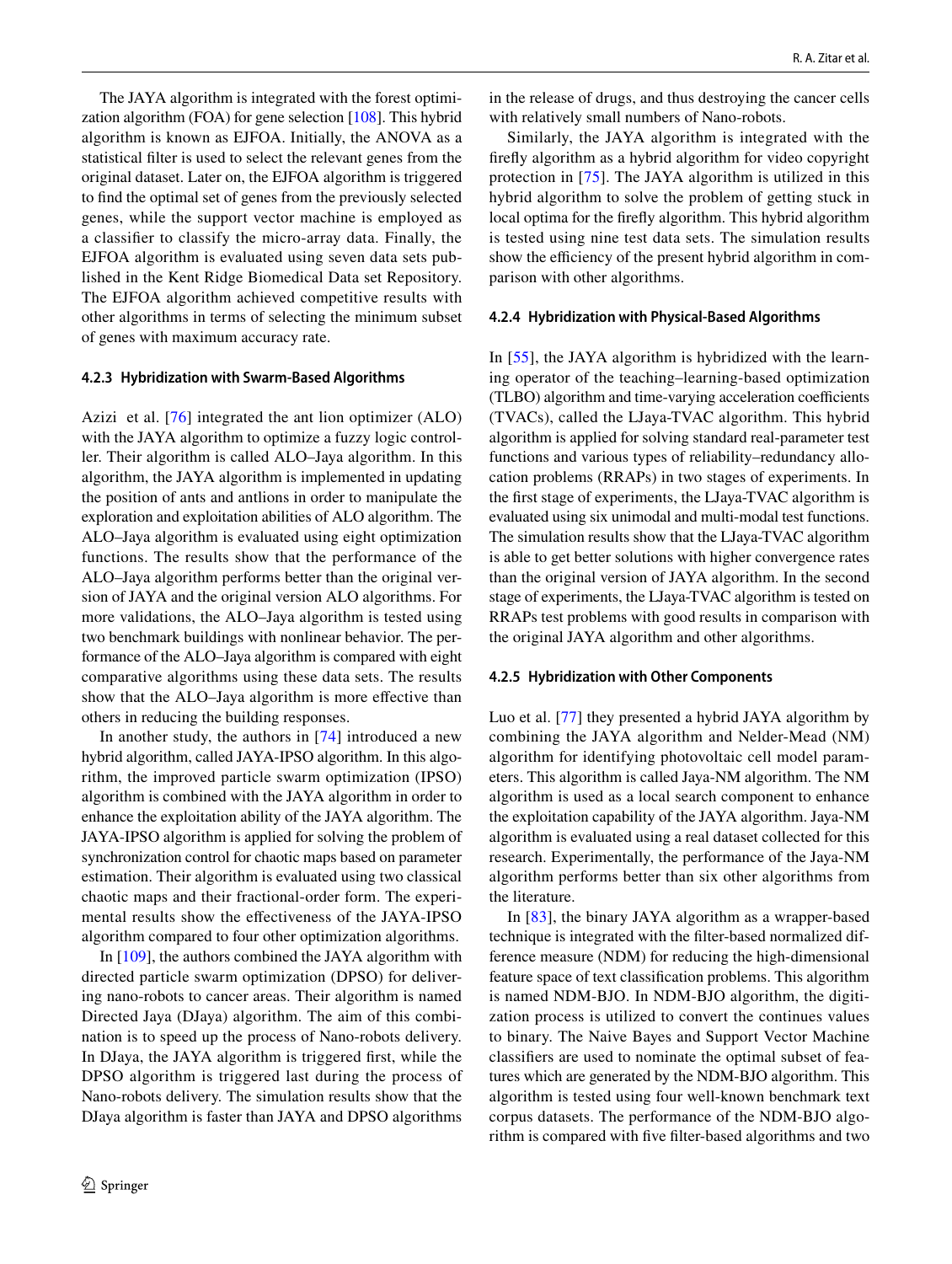The JAYA algorithm is integrated with the forest optimization algorithm (FOA) for gene selection [[108\]](#page-27-0). This hybrid algorithm is known as EJFOA. Initially, the ANOVA as a statistical filter is used to select the relevant genes from the original dataset. Later on, the EJFOA algorithm is triggered to find the optimal set of genes from the previously selected genes, while the support vector machine is employed as a classifier to classify the micro-array data. Finally, the EJFOA algorithm is evaluated using seven data sets published in the Kent Ridge Biomedical Data set Repository. The EJFOA algorithm achieved competitive results with other algorithms in terms of selecting the minimum subset of genes with maximum accuracy rate.

#### **4.2.3 Hybridization with Swarm‑Based Algorithms**

Azizi et al. [[76\]](#page-26-4) integrated the ant lion optimizer (ALO) with the JAYA algorithm to optimize a fuzzy logic controller. Their algorithm is called ALO–Jaya algorithm. In this algorithm, the JAYA algorithm is implemented in updating the position of ants and antlions in order to manipulate the exploration and exploitation abilities of ALO algorithm. The ALO–Jaya algorithm is evaluated using eight optimization functions. The results show that the performance of the ALO–Jaya algorithm performs better than the original version of JAYA and the original version ALO algorithms. For more validations, the ALO–Jaya algorithm is tested using two benchmark buildings with nonlinear behavior. The performance of the ALO–Jaya algorithm is compared with eight comparative algorithms using these data sets. The results show that the ALO–Jaya algorithm is more effective than others in reducing the building responses.

In another study, the authors in [\[74\]](#page-26-35) introduced a new hybrid algorithm, called JAYA-IPSO algorithm. In this algorithm, the improved particle swarm optimization (IPSO) algorithm is combined with the JAYA algorithm in order to enhance the exploitation ability of the JAYA algorithm. The JAYA-IPSO algorithm is applied for solving the problem of synchronization control for chaotic maps based on parameter estimation. Their algorithm is evaluated using two classical chaotic maps and their fractional-order form. The experimental results show the effectiveness of the JAYA-IPSO algorithm compared to four other optimization algorithms.

In [\[109\]](#page-27-1), the authors combined the JAYA algorithm with directed particle swarm optimization (DPSO) for delivering nano-robots to cancer areas. Their algorithm is named Directed Jaya (DJaya) algorithm. The aim of this combination is to speed up the process of Nano-robots delivery. In DJaya, the JAYA algorithm is triggered first, while the DPSO algorithm is triggered last during the process of Nano-robots delivery. The simulation results show that the DJaya algorithm is faster than JAYA and DPSO algorithms in the release of drugs, and thus destroying the cancer cells with relatively small numbers of Nano-robots.

Similarly, the JAYA algorithm is integrated with the firefly algorithm as a hybrid algorithm for video copyright protection in [\[75\]](#page-26-36). The JAYA algorithm is utilized in this hybrid algorithm to solve the problem of getting stuck in local optima for the firefly algorithm. This hybrid algorithm is tested using nine test data sets. The simulation results show the efficiency of the present hybrid algorithm in comparison with other algorithms.

#### **4.2.4 Hybridization with Physical‑Based Algorithms**

In [[55](#page-25-27)], the JAYA algorithm is hybridized with the learning operator of the teaching–learning-based optimization (TLBO) algorithm and time-varying acceleration coefficients (TVACs), called the LJaya-TVAC algorithm. This hybrid algorithm is applied for solving standard real-parameter test functions and various types of reliability–redundancy allocation problems (RRAPs) in two stages of experiments. In the first stage of experiments, the LJaya-TVAC algorithm is evaluated using six unimodal and multi-modal test functions. The simulation results show that the LJaya-TVAC algorithm is able to get better solutions with higher convergence rates than the original version of JAYA algorithm. In the second stage of experiments, the LJaya-TVAC algorithm is tested on RRAPs test problems with good results in comparison with the original JAYA algorithm and other algorithms.

#### **4.2.5 Hybridization with Other Components**

Luo et al. [\[77](#page-26-5)] they presented a hybrid JAYA algorithm by combining the JAYA algorithm and Nelder-Mead (NM) algorithm for identifying photovoltaic cell model parameters. This algorithm is called Jaya-NM algorithm. The NM algorithm is used as a local search component to enhance the exploitation capability of the JAYA algorithm. Jaya-NM algorithm is evaluated using a real dataset collected for this research. Experimentally, the performance of the Jaya-NM algorithm performs better than six other algorithms from the literature.

In [\[83](#page-26-12)], the binary JAYA algorithm as a wrapper-based technique is integrated with the filter-based normalized difference measure (NDM) for reducing the high-dimensional feature space of text classification problems. This algorithm is named NDM-BJO. In NDM-BJO algorithm, the digitization process is utilized to convert the continues values to binary. The Naive Bayes and Support Vector Machine classifiers are used to nominate the optimal subset of features which are generated by the NDM-BJO algorithm. This algorithm is tested using four well-known benchmark text corpus datasets. The performance of the NDM-BJO algorithm is compared with five filter-based algorithms and two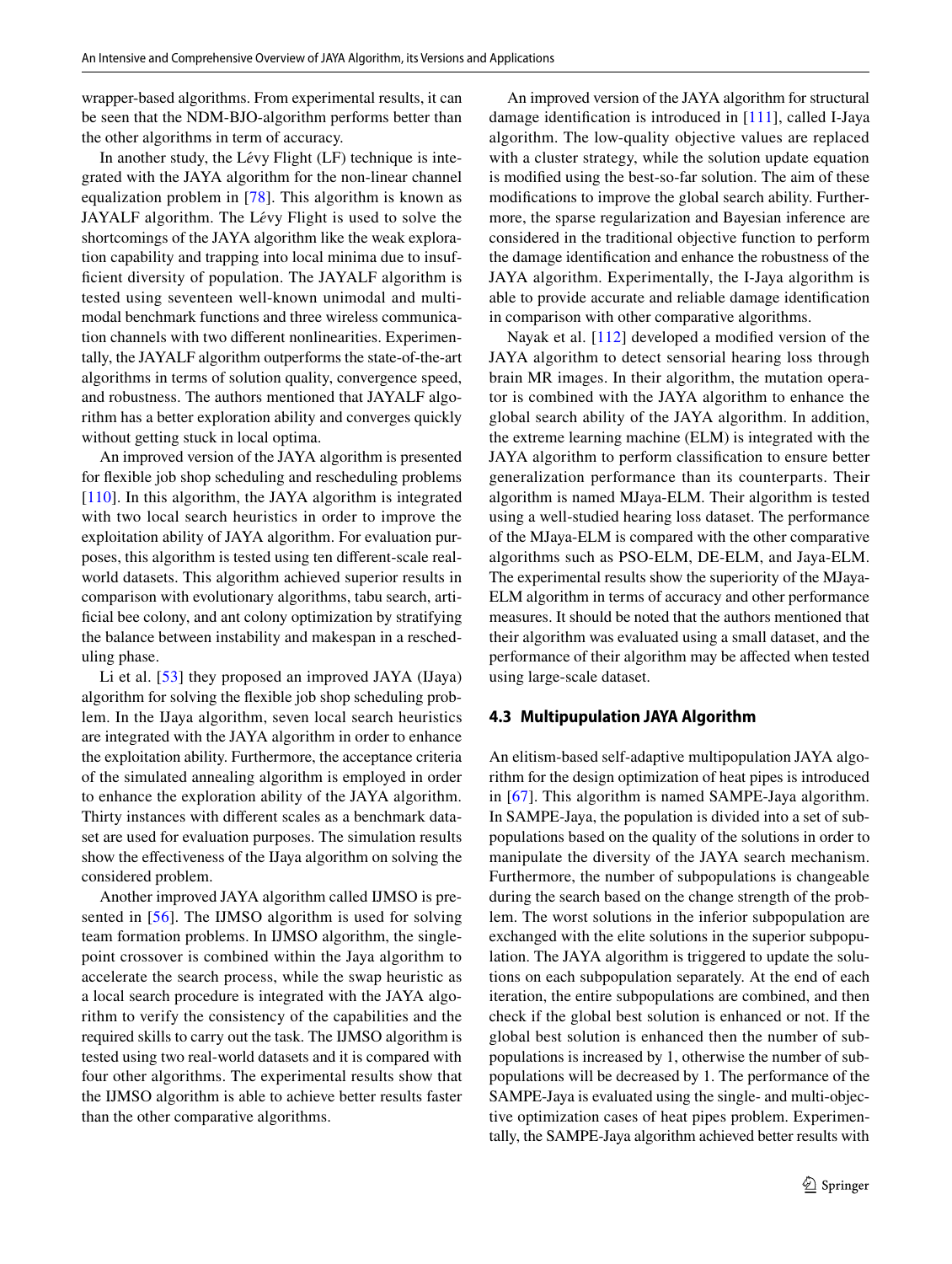wrapper-based algorithms. From experimental results, it can be seen that the NDM-BJO-algorithm performs better than the other algorithms in term of accuracy.

In another study, the Lévy Flight (LF) technique is integrated with the JAYA algorithm for the non-linear channel equalization problem in [[78](#page-26-6)]. This algorithm is known as JAYALF algorithm. The L*é*vy Flight is used to solve the shortcomings of the JAYA algorithm like the weak exploration capability and trapping into local minima due to insufficient diversity of population. The JAYALF algorithm is tested using seventeen well-known unimodal and multimodal benchmark functions and three wireless communication channels with two different nonlinearities. Experimentally, the JAYALF algorithm outperforms the state-of-the-art algorithms in terms of solution quality, convergence speed, and robustness. The authors mentioned that JAYALF algorithm has a better exploration ability and converges quickly without getting stuck in local optima.

An improved version of the JAYA algorithm is presented for flexible job shop scheduling and rescheduling problems [\[110\]](#page-27-2). In this algorithm, the JAYA algorithm is integrated with two local search heuristics in order to improve the exploitation ability of JAYA algorithm. For evaluation purposes, this algorithm is tested using ten different-scale realworld datasets. This algorithm achieved superior results in comparison with evolutionary algorithms, tabu search, artificial bee colony, and ant colony optimization by stratifying the balance between instability and makespan in a rescheduling phase.

Li et al. [\[53\]](#page-25-25) they proposed an improved JAYA (IJaya) algorithm for solving the flexible job shop scheduling problem. In the IJaya algorithm, seven local search heuristics are integrated with the JAYA algorithm in order to enhance the exploitation ability. Furthermore, the acceptance criteria of the simulated annealing algorithm is employed in order to enhance the exploration ability of the JAYA algorithm. Thirty instances with different scales as a benchmark dataset are used for evaluation purposes. The simulation results show the effectiveness of the IJaya algorithm on solving the considered problem.

Another improved JAYA algorithm called IJMSO is presented in [[56](#page-25-28)]. The IJMSO algorithm is used for solving team formation problems. In IJMSO algorithm, the singlepoint crossover is combined within the Jaya algorithm to accelerate the search process, while the swap heuristic as a local search procedure is integrated with the JAYA algorithm to verify the consistency of the capabilities and the required skills to carry out the task. The IJMSO algorithm is tested using two real-world datasets and it is compared with four other algorithms. The experimental results show that the IJMSO algorithm is able to achieve better results faster than the other comparative algorithms.

An improved version of the JAYA algorithm for structural damage identification is introduced in [\[111\]](#page-27-3), called I-Jaya algorithm. The low-quality objective values are replaced with a cluster strategy, while the solution update equation is modified using the best-so-far solution. The aim of these modifications to improve the global search ability. Furthermore, the sparse regularization and Bayesian inference are considered in the traditional objective function to perform the damage identification and enhance the robustness of the JAYA algorithm. Experimentally, the I-Jaya algorithm is able to provide accurate and reliable damage identification in comparison with other comparative algorithms.

Nayak et al. [\[112\]](#page-27-4) developed a modified version of the JAYA algorithm to detect sensorial hearing loss through brain MR images. In their algorithm, the mutation operator is combined with the JAYA algorithm to enhance the global search ability of the JAYA algorithm. In addition, the extreme learning machine (ELM) is integrated with the JAYA algorithm to perform classification to ensure better generalization performance than its counterparts. Their algorithm is named MJaya-ELM. Their algorithm is tested using a well-studied hearing loss dataset. The performance of the MJaya-ELM is compared with the other comparative algorithms such as PSO-ELM, DE-ELM, and Jaya-ELM. The experimental results show the superiority of the MJaya-ELM algorithm in terms of accuracy and other performance measures. It should be noted that the authors mentioned that their algorithm was evaluated using a small dataset, and the performance of their algorithm may be affected when tested using large-scale dataset.

#### **4.3 Multipupulation JAYA Algorithm**

An elitism-based self-adaptive multipopulation JAYA algorithm for the design optimization of heat pipes is introduced in [\[67\]](#page-25-39). This algorithm is named SAMPE-Jaya algorithm. In SAMPE-Jaya, the population is divided into a set of subpopulations based on the quality of the solutions in order to manipulate the diversity of the JAYA search mechanism. Furthermore, the number of subpopulations is changeable during the search based on the change strength of the problem. The worst solutions in the inferior subpopulation are exchanged with the elite solutions in the superior subpopulation. The JAYA algorithm is triggered to update the solutions on each subpopulation separately. At the end of each iteration, the entire subpopulations are combined, and then check if the global best solution is enhanced or not. If the global best solution is enhanced then the number of subpopulations is increased by 1, otherwise the number of subpopulations will be decreased by 1. The performance of the SAMPE-Jaya is evaluated using the single- and multi-objective optimization cases of heat pipes problem. Experimentally, the SAMPE-Jaya algorithm achieved better results with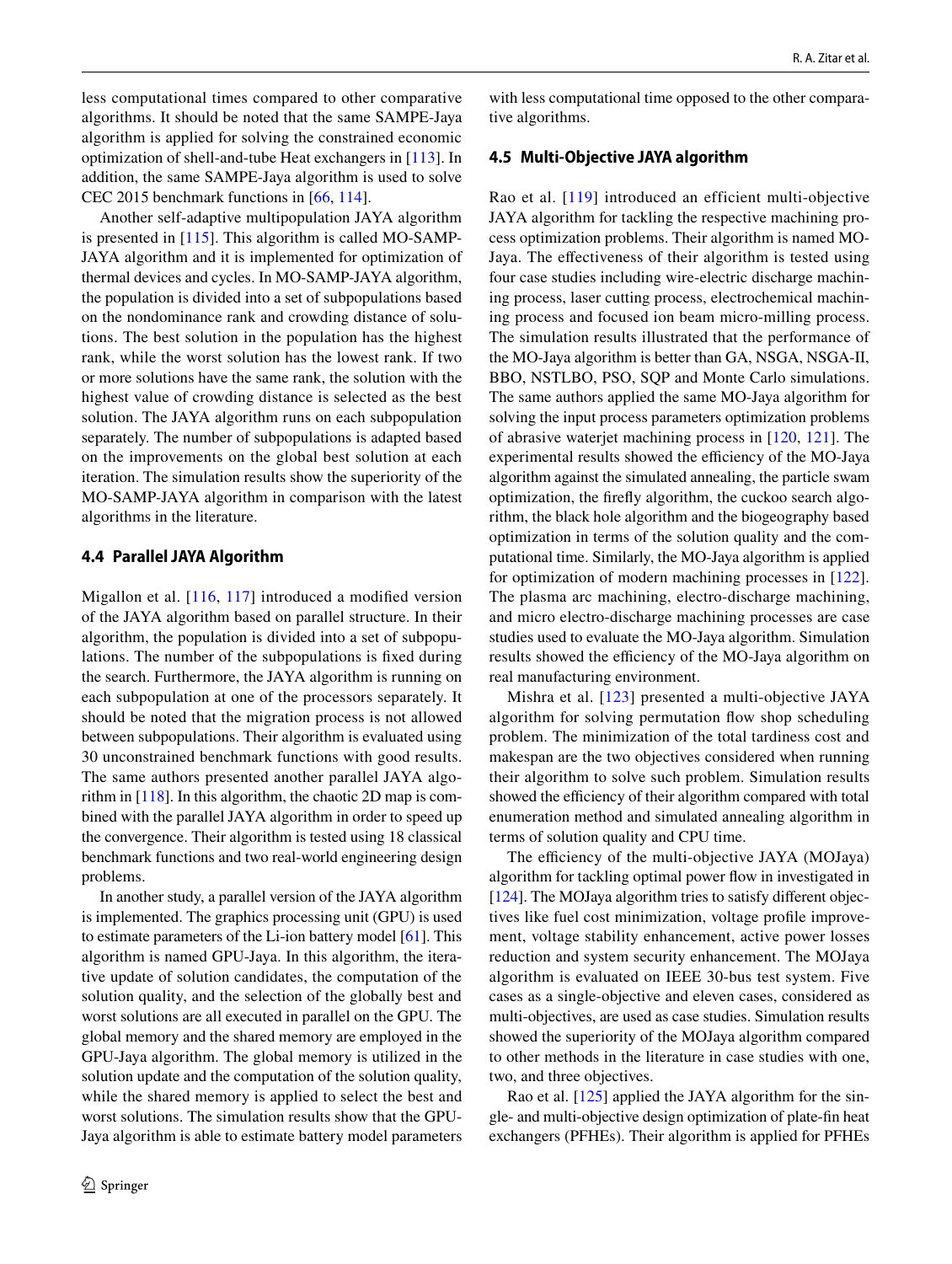less computational times compared to other comparative algorithms. It should be noted that the same SAMPE-Jaya algorithm is applied for solving the constrained economic optimization of shell-and-tube Heat exchangers in [\[113\]](#page-27-5). In addition, the same SAMPE-Jaya algorithm is used to solve CEC 2015 benchmark functions in [[66,](#page-25-38) [114\]](#page-27-6).

Another self-adaptive multipopulation JAYA algorithm is presented in [[115](#page-27-7)]. This algorithm is called MO-SAMP-JAYA algorithm and it is implemented for optimization of thermal devices and cycles. In MO-SAMP-JAYA algorithm, the population is divided into a set of subpopulations based on the nondominance rank and crowding distance of solutions. The best solution in the population has the highest rank, while the worst solution has the lowest rank. If two or more solutions have the same rank, the solution with the highest value of crowding distance is selected as the best solution. The JAYA algorithm runs on each subpopulation separately. The number of subpopulations is adapted based on the improvements on the global best solution at each iteration. The simulation results show the superiority of the MO-SAMP-JAYA algorithm in comparison with the latest algorithms in the literature.

## **4.4 Parallel JAYA Algorithm**

Migallon et al. [[116](#page-27-8), [117\]](#page-27-9) introduced a modified version of the JAYA algorithm based on parallel structure. In their algorithm, the population is divided into a set of subpopulations. The number of the subpopulations is fixed during the search. Furthermore, the JAYA algorithm is running on each subpopulation at one of the processors separately. It should be noted that the migration process is not allowed between subpopulations. Their algorithm is evaluated using 30 unconstrained benchmark functions with good results. The same authors presented another parallel JAYA algorithm in [\[118](#page-27-10)]. In this algorithm, the chaotic 2D map is combined with the parallel JAYA algorithm in order to speed up the convergence. Their algorithm is tested using 18 classical benchmark functions and two real-world engineering design problems.

In another study, a parallel version of the JAYA algorithm is implemented. The graphics processing unit (GPU) is used to estimate parameters of the Li-ion battery model [[61\]](#page-25-33). This algorithm is named GPU-Jaya. In this algorithm, the iterative update of solution candidates, the computation of the solution quality, and the selection of the globally best and worst solutions are all executed in parallel on the GPU. The global memory and the shared memory are employed in the GPU-Jaya algorithm. The global memory is utilized in the solution update and the computation of the solution quality, while the shared memory is applied to select the best and worst solutions. The simulation results show that the GPU-Jaya algorithm is able to estimate battery model parameters

with less computational time opposed to the other comparative algorithms.

## **4.5 Multi‑Objective JAYA algorithm**

Rao et al. [\[119](#page-27-11)] introduced an efficient multi-objective JAYA algorithm for tackling the respective machining process optimization problems. Their algorithm is named MO-Jaya. The effectiveness of their algorithm is tested using four case studies including wire-electric discharge machining process, laser cutting process, electrochemical machining process and focused ion beam micro-milling process. The simulation results illustrated that the performance of the MO-Jaya algorithm is better than GA, NSGA, NSGA-II, BBO, NSTLBO, PSO, SQP and Monte Carlo simulations. The same authors applied the same MO-Jaya algorithm for solving the input process parameters optimization problems of abrasive waterjet machining process in [[120,](#page-27-12) [121\]](#page-27-13). The experimental results showed the efficiency of the MO-Jaya algorithm against the simulated annealing, the particle swam optimization, the firefly algorithm, the cuckoo search algorithm, the black hole algorithm and the biogeography based optimization in terms of the solution quality and the computational time. Similarly, the MO-Jaya algorithm is applied for optimization of modern machining processes in [[122](#page-27-14)]. The plasma arc machining, electro-discharge machining, and micro electro-discharge machining processes are case studies used to evaluate the MO-Jaya algorithm. Simulation results showed the efficiency of the MO-Jaya algorithm on real manufacturing environment.

Mishra et al. [[123](#page-27-15)] presented a multi-objective JAYA algorithm for solving permutation flow shop scheduling problem. The minimization of the total tardiness cost and makespan are the two objectives considered when running their algorithm to solve such problem. Simulation results showed the efficiency of their algorithm compared with total enumeration method and simulated annealing algorithm in terms of solution quality and CPU time.

The efficiency of the multi-objective JAYA (MOJaya) algorithm for tackling optimal power flow in investigated in [\[124](#page-27-16)]. The MOJaya algorithm tries to satisfy different objectives like fuel cost minimization, voltage profile improvement, voltage stability enhancement, active power losses reduction and system security enhancement. The MOJaya algorithm is evaluated on IEEE 30-bus test system. Five cases as a single-objective and eleven cases, considered as multi-objectives, are used as case studies. Simulation results showed the superiority of the MOJaya algorithm compared to other methods in the literature in case studies with one, two, and three objectives.

Rao et al. [\[125](#page-27-17)] applied the JAYA algorithm for the single- and multi-objective design optimization of plate-fin heat exchangers (PFHEs). Their algorithm is applied for PFHEs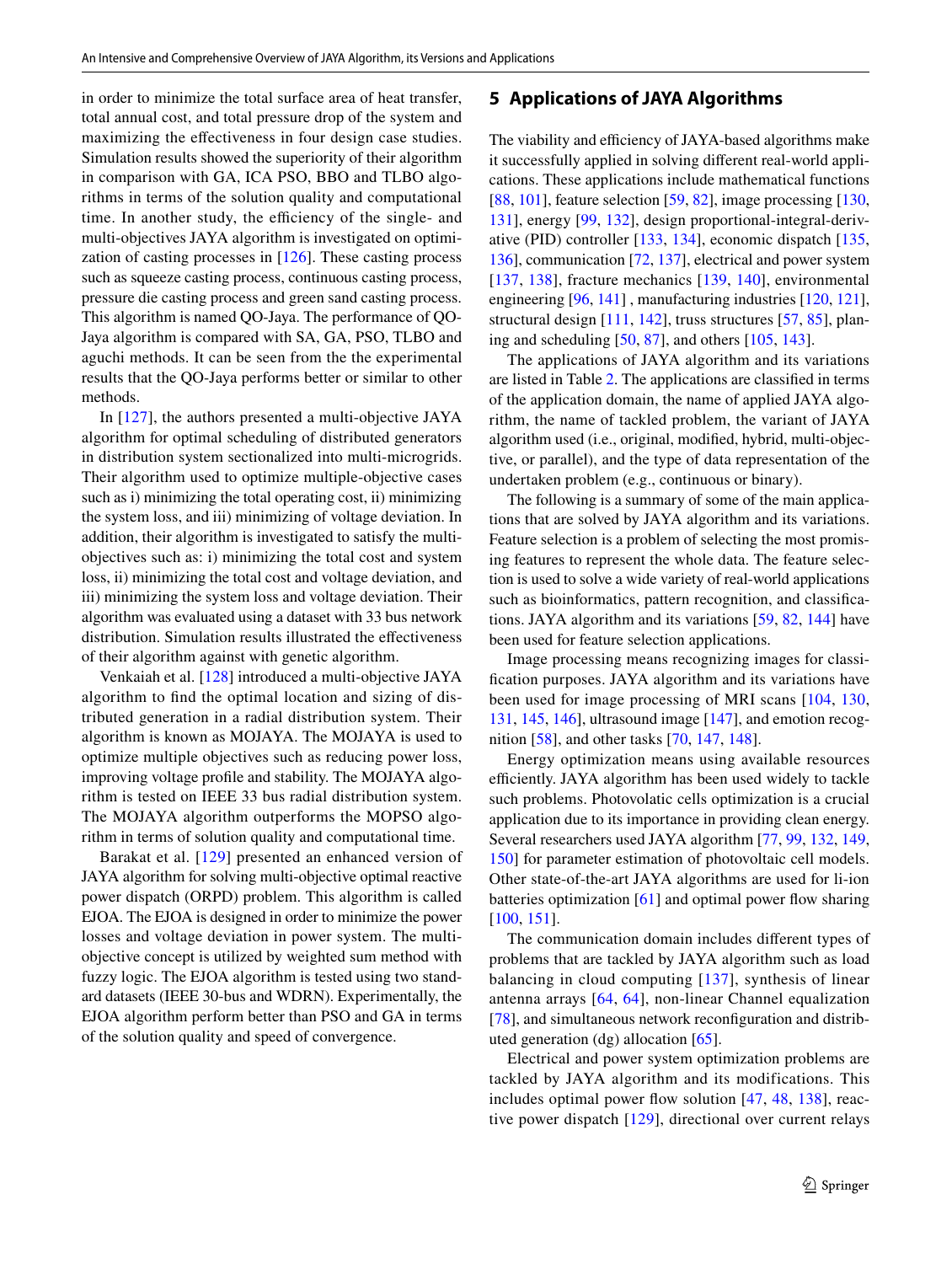in order to minimize the total surface area of heat transfer, total annual cost, and total pressure drop of the system and maximizing the effectiveness in four design case studies. Simulation results showed the superiority of their algorithm in comparison with GA, ICA PSO, BBO and TLBO algorithms in terms of the solution quality and computational time. In another study, the efficiency of the single- and multi-objectives JAYA algorithm is investigated on optimization of casting processes in [[126\]](#page-27-18). These casting process such as squeeze casting process, continuous casting process, pressure die casting process and green sand casting process. This algorithm is named QO-Jaya. The performance of QO-Jaya algorithm is compared with SA, GA, PSO, TLBO and aguchi methods. It can be seen from the the experimental results that the QO-Jaya performs better or similar to other methods.

In [\[127\]](#page-27-19), the authors presented a multi-objective JAYA algorithm for optimal scheduling of distributed generators in distribution system sectionalized into multi-microgrids. Their algorithm used to optimize multiple-objective cases such as i) minimizing the total operating cost, ii) minimizing the system loss, and iii) minimizing of voltage deviation. In addition, their algorithm is investigated to satisfy the multiobjectives such as: i) minimizing the total cost and system loss, ii) minimizing the total cost and voltage deviation, and iii) minimizing the system loss and voltage deviation. Their algorithm was evaluated using a dataset with 33 bus network distribution. Simulation results illustrated the effectiveness of their algorithm against with genetic algorithm.

Venkaiah et al. [[128](#page-27-20)] introduced a multi-objective JAYA algorithm to find the optimal location and sizing of distributed generation in a radial distribution system. Their algorithm is known as MOJAYA. The MOJAYA is used to optimize multiple objectives such as reducing power loss, improving voltage profile and stability. The MOJAYA algorithm is tested on IEEE 33 bus radial distribution system. The MOJAYA algorithm outperforms the MOPSO algorithm in terms of solution quality and computational time.

Barakat et al. [[129](#page-27-21)] presented an enhanced version of JAYA algorithm for solving multi-objective optimal reactive power dispatch (ORPD) problem. This algorithm is called EJOA. The EJOA is designed in order to minimize the power losses and voltage deviation in power system. The multiobjective concept is utilized by weighted sum method with fuzzy logic. The EJOA algorithm is tested using two standard datasets (IEEE 30-bus and WDRN). Experimentally, the EJOA algorithm perform better than PSO and GA in terms of the solution quality and speed of convergence.

### <span id="page-18-0"></span>**5 Applications of JAYA Algorithms**

The viability and efficiency of JAYA-based algorithms make it successfully applied in solving different real-world applications. These applications include mathematical functions [\[88,](#page-26-16) [101](#page-26-28)], feature selection [[59,](#page-25-31) [82](#page-26-10)], image processing [[130,](#page-27-22) [131](#page-27-23)], energy [[99,](#page-26-26) [132](#page-27-24)], design proportional-integral-derivative (PID) controller [[133](#page-27-25), [134\]](#page-27-26), economic dispatch [[135,](#page-27-27) [136](#page-27-28)], communication [[72,](#page-26-2) [137](#page-27-29)], electrical and power system [[137](#page-27-29), [138\]](#page-27-30), fracture mechanics [[139](#page-27-31), [140](#page-27-32)], environmental engineering [\[96,](#page-26-23) [141\]](#page-27-33) , manufacturing industries [[120,](#page-27-12) [121](#page-27-13)], structural design [\[111](#page-27-3), [142](#page-27-34)], truss structures [[57](#page-25-29), [85](#page-26-13)], planing and scheduling  $[50, 87]$  $[50, 87]$  $[50, 87]$  $[50, 87]$  $[50, 87]$ , and others  $[105, 143]$  $[105, 143]$  $[105, 143]$  $[105, 143]$ .

The applications of JAYA algorithm and its variations are listed in Table [2](#page-19-0). The applications are classified in terms of the application domain, the name of applied JAYA algorithm, the name of tackled problem, the variant of JAYA algorithm used (i.e., original, modified, hybrid, multi-objective, or parallel), and the type of data representation of the undertaken problem (e.g., continuous or binary).

The following is a summary of some of the main applications that are solved by JAYA algorithm and its variations. Feature selection is a problem of selecting the most promising features to represent the whole data. The feature selection is used to solve a wide variety of real-world applications such as bioinformatics, pattern recognition, and classifications. JAYA algorithm and its variations [\[59,](#page-25-31) [82,](#page-26-10) [144\]](#page-28-0) have been used for feature selection applications.

Image processing means recognizing images for classification purposes. JAYA algorithm and its variations have been used for image processing of MRI scans [[104](#page-26-31), [130,](#page-27-22) [131](#page-27-23), [145](#page-28-1), [146\]](#page-28-2), ultrasound image [[147\]](#page-28-3), and emotion recognition [[58\]](#page-25-30), and other tasks [\[70,](#page-26-0) [147,](#page-28-3) [148\]](#page-28-4).

Energy optimization means using available resources efficiently. JAYA algorithm has been used widely to tackle such problems. Photovolatic cells optimization is a crucial application due to its importance in providing clean energy. Several researchers used JAYA algorithm [\[77](#page-26-5), [99](#page-26-26), [132,](#page-27-24) [149,](#page-28-5) [150](#page-28-6)] for parameter estimation of photovoltaic cell models. Other state-of-the-art JAYA algorithms are used for li-ion batteries optimization [\[61](#page-25-33)] and optimal power flow sharing [[100,](#page-26-27) [151\]](#page-28-7).

The communication domain includes different types of problems that are tackled by JAYA algorithm such as load balancing in cloud computing [[137](#page-27-29)], synthesis of linear antenna arrays [[64](#page-25-36), [64](#page-25-36)], non-linear Channel equalization [\[78\]](#page-26-6), and simultaneous network reconfiguration and distributed generation (dg) allocation [[65](#page-25-37)].

Electrical and power system optimization problems are tackled by JAYA algorithm and its modifications. This includes optimal power flow solution [\[47,](#page-25-19) [48,](#page-25-20) [138\]](#page-27-30), reactive power dispatch [[129\]](#page-27-21), directional over current relays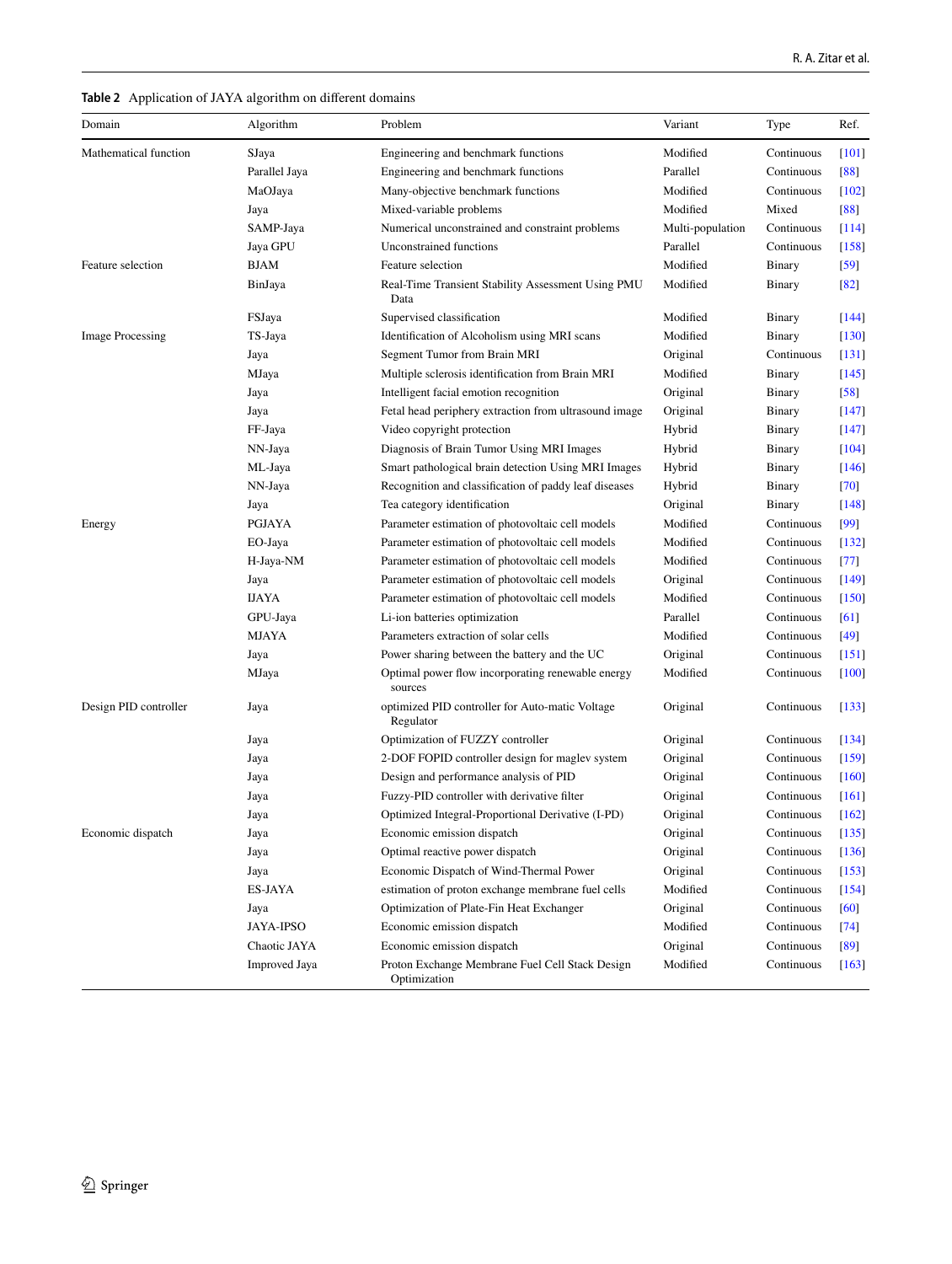<span id="page-19-0"></span>

| Domain                  | Algorithm            | Problem                                                         | Variant          | Type       | Ref.    |
|-------------------------|----------------------|-----------------------------------------------------------------|------------------|------------|---------|
| Mathematical function   | SJaya                | Engineering and benchmark functions                             | Modified         | Continuous | $[101]$ |
|                         | Parallel Jaya        | Engineering and benchmark functions                             | Parallel         | Continuous | [88]    |
|                         | MaOJaya              | Many-objective benchmark functions                              | Modified         | Continuous | $[102]$ |
|                         | Jaya                 | Mixed-variable problems                                         | Modified         | Mixed      | [88]    |
|                         | SAMP-Jaya            | Numerical unconstrained and constraint problems                 | Multi-population | Continuous | $[114]$ |
|                         | Jaya GPU             | Unconstrained functions                                         | Parallel         | Continuous | [158]   |
| Feature selection       | <b>BJAM</b>          | Feature selection                                               | Modified         | Binary     | $[59]$  |
|                         | BinJaya              | Real-Time Transient Stability Assessment Using PMU<br>Data      | Modified         | Binary     | [82]    |
|                         | FSJaya               | Supervised classification                                       | Modified         | Binary     | $[144]$ |
| <b>Image Processing</b> | TS-Jaya              | Identification of Alcoholism using MRI scans                    | Modified         | Binary     | $[130]$ |
|                         | Jaya                 | Segment Tumor from Brain MRI                                    | Original         | Continuous | $[131]$ |
|                         | MJaya                | Multiple sclerosis identification from Brain MRI                | Modified         | Binary     | $[145]$ |
|                         | Jaya                 | Intelligent facial emotion recognition                          | Original         | Binary     | [58]    |
|                         | Jaya                 | Fetal head periphery extraction from ultrasound image           | Original         | Binary     | $[147]$ |
|                         | FF-Jaya              | Video copyright protection                                      | Hybrid           | Binary     | $[147]$ |
|                         | NN-Jaya              | Diagnosis of Brain Tumor Using MRI Images                       | Hybrid           | Binary     | $[104]$ |
|                         | ML-Jaya              | Smart pathological brain detection Using MRI Images             | Hybrid           | Binary     | $[146]$ |
|                         | NN-Jaya              | Recognition and classification of paddy leaf diseases           | Hybrid           | Binary     | $[70]$  |
|                         | Jaya                 | Tea category identification                                     | Original         | Binary     | $[148]$ |
| Energy                  | <b>PGJAYA</b>        | Parameter estimation of photovoltaic cell models                | Modified         | Continuous | [99]    |
|                         | EO-Jaya              | Parameter estimation of photovoltaic cell models                | Modified         | Continuous | $[132]$ |
|                         | H-Jaya-NM            | Parameter estimation of photovoltaic cell models                | Modified         | Continuous | [77]    |
|                         | Jaya                 | Parameter estimation of photovoltaic cell models                | Original         | Continuous | $[149]$ |
|                         | <b>IJAYA</b>         | Parameter estimation of photovoltaic cell models                | Modified         | Continuous | $[150]$ |
|                         | GPU-Jaya             | Li-ion batteries optimization                                   | Parallel         | Continuous | [61]    |
|                         | <b>MJAYA</b>         | Parameters extraction of solar cells                            | Modified         | Continuous | $[49]$  |
|                         | Jaya                 | Power sharing between the battery and the UC                    | Original         | Continuous | $[151]$ |
|                         | MJaya                | Optimal power flow incorporating renewable energy<br>sources    | Modified         | Continuous | $[100]$ |
| Design PID controller   | Jaya                 | optimized PID controller for Auto-matic Voltage<br>Regulator    | Original         | Continuous | $[133]$ |
|                         | Jaya                 | Optimization of FUZZY controller                                | Original         | Continuous | $[134]$ |
|                         | Jaya                 | 2-DOF FOPID controller design for maglev system                 | Original         | Continuous | $[159]$ |
|                         | Jaya                 | Design and performance analysis of PID                          | Original         | Continuous | [160]   |
|                         | Jaya                 | Fuzzy-PID controller with derivative filter                     | Original         | Continuous | [161]   |
|                         | Jaya                 | Optimized Integral-Proportional Derivative (I-PD)               | Original         | Continuous | $[162]$ |
| Economic dispatch       | Jaya                 | Economic emission dispatch                                      | Original         | Continuous | $[135]$ |
|                         | Jaya                 | Optimal reactive power dispatch                                 | Original         | Continuous | $[136]$ |
|                         | Jaya                 | Economic Dispatch of Wind-Thermal Power                         | Original         | Continuous | $[153]$ |
|                         | ES-JAYA              | estimation of proton exchange membrane fuel cells               | Modified         | Continuous | $[154]$ |
|                         | Jaya                 | Optimization of Plate-Fin Heat Exchanger                        | Original         | Continuous | [60]    |
|                         | <b>JAYA-IPSO</b>     | Economic emission dispatch                                      | Modified         | Continuous | [74]    |
|                         | Chaotic JAYA         | Economic emission dispatch                                      | Original         | Continuous | $[89]$  |
|                         | <b>Improved Jaya</b> | Proton Exchange Membrane Fuel Cell Stack Design<br>Optimization | Modified         | Continuous | $[163]$ |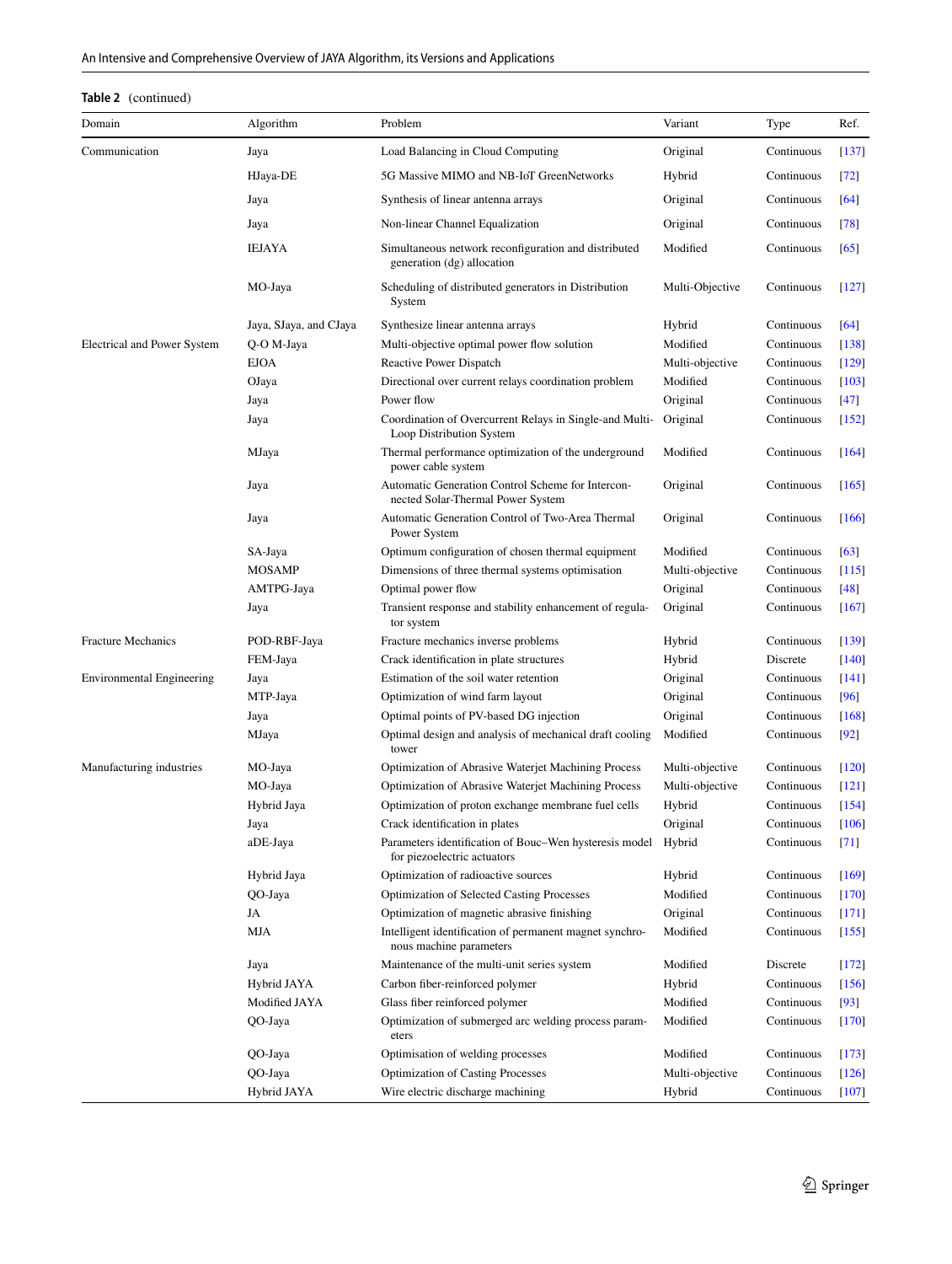## **Table 2** (continued)

| Domain                             | Algorithm              | Problem                                                                                      | Variant         | Type       | Ref.    |
|------------------------------------|------------------------|----------------------------------------------------------------------------------------------|-----------------|------------|---------|
| Communication                      | Jaya                   | Load Balancing in Cloud Computing                                                            | Original        | Continuous | $[137]$ |
|                                    | HJaya-DE               | 5G Massive MIMO and NB-IoT GreenNetworks                                                     | Hybrid          | Continuous | [72]    |
|                                    | Jaya                   | Synthesis of linear antenna arrays                                                           | Original        | Continuous | [64]    |
|                                    | Jaya                   | Non-linear Channel Equalization                                                              | Original        | Continuous | [78]    |
|                                    | <b>IEJAYA</b>          | Simultaneous network reconfiguration and distributed<br>generation (dg) allocation           | Modified        | Continuous | [65]    |
|                                    | MO-Jaya                | Scheduling of distributed generators in Distribution<br>System                               | Multi-Objective | Continuous | $[127]$ |
|                                    | Jaya, SJaya, and CJaya | Synthesize linear antenna arrays                                                             | Hybrid          | Continuous | $[64]$  |
| <b>Electrical and Power System</b> | Q-O M-Jaya             | Multi-objective optimal power flow solution                                                  | Modified        | Continuous | $[138]$ |
|                                    | <b>EJOA</b>            | Reactive Power Dispatch                                                                      | Multi-objective | Continuous | $[129]$ |
|                                    | OJaya                  | Directional over current relays coordination problem                                         | Modified        | Continuous | $[103]$ |
|                                    | Jaya                   | Power flow                                                                                   | Original        | Continuous | $[47]$  |
|                                    | Jaya                   | Coordination of Overcurrent Relays in Single-and Multi-<br>Loop Distribution System          | Original        | Continuous | $[152]$ |
|                                    | MJaya                  | Thermal performance optimization of the underground<br>power cable system                    | Modified        | Continuous | $[164]$ |
|                                    | Jaya                   | Automatic Generation Control Scheme for Intercon-<br>nected Solar-Thermal Power System       | Original        | Continuous | $[165]$ |
|                                    | Jaya                   | Automatic Generation Control of Two-Area Thermal<br>Power System                             | Original        | Continuous | $[166]$ |
|                                    | SA-Jaya                | Optimum configuration of chosen thermal equipment                                            | Modified        | Continuous | [63]    |
|                                    | <b>MOSAMP</b>          | Dimensions of three thermal systems optimisation                                             | Multi-objective | Continuous | $[115]$ |
|                                    | AMTPG-Jaya             | Optimal power flow                                                                           | Original        | Continuous | $[48]$  |
|                                    | Jaya                   | Transient response and stability enhancement of regula-<br>tor system                        | Original        | Continuous | $[167]$ |
| <b>Fracture Mechanics</b>          | POD-RBF-Jaya           | Fracture mechanics inverse problems                                                          | Hybrid          | Continuous | $[139]$ |
|                                    | FEM-Jaya               | Crack identification in plate structures                                                     | Hybrid          | Discrete   | $[140]$ |
| Environmental Engineering          | Jaya                   | Estimation of the soil water retention                                                       | Original        | Continuous | $[141]$ |
|                                    | MTP-Jaya               | Optimization of wind farm layout                                                             | Original        | Continuous | [96]    |
|                                    | Jaya                   | Optimal points of PV-based DG injection                                                      | Original        | Continuous | [168]   |
|                                    | MJaya                  | Optimal design and analysis of mechanical draft cooling<br>tower                             | Modified        | Continuous | $[92]$  |
| Manufacturing industries           | MO-Jaya                | <b>Optimization of Abrasive Waterjet Machining Process</b>                                   | Multi-objective | Continuous | $[120]$ |
|                                    | MO-Jaya                | Optimization of Abrasive Waterjet Machining Process                                          | Multi-objective | Continuous | $[121]$ |
|                                    | Hybrid Jaya            | Optimization of proton exchange membrane fuel cells                                          | Hybrid          | Continuous | $[154]$ |
|                                    | Jaya                   | Crack identification in plates                                                               | Original        | Continuous | $[106]$ |
|                                    | aDE-Jaya               | Parameters identification of Bouc-Wen hysteresis model Hybrid<br>for piezoelectric actuators |                 | Continuous | $[71]$  |
|                                    | Hybrid Jaya            | Optimization of radioactive sources                                                          | Hybrid          | Continuous | $[169]$ |
|                                    | QO-Jaya                | <b>Optimization of Selected Casting Processes</b>                                            | Modified        | Continuous | $[170]$ |
|                                    | JA                     | Optimization of magnetic abrasive finishing                                                  | Original        | Continuous | [171]   |
|                                    | MJA                    | Intelligent identification of permanent magnet synchro-<br>nous machine parameters           | Modified        | Continuous | $[155]$ |
|                                    | Jaya                   | Maintenance of the multi-unit series system                                                  | Modified        | Discrete   | $[172]$ |
|                                    | Hybrid JAYA            | Carbon fiber-reinforced polymer                                                              | Hybrid          | Continuous | $[156]$ |
|                                    | Modified JAYA          | Glass fiber reinforced polymer                                                               | Modified        | Continuous | $[93]$  |
|                                    | QO-Jaya                | Optimization of submerged arc welding process param-<br>eters                                | Modified        | Continuous | $[170]$ |
|                                    | QO-Jaya                | Optimisation of welding processes                                                            | Modified        | Continuous | [173]   |
|                                    | QO-Jaya                | <b>Optimization of Casting Processes</b>                                                     | Multi-objective | Continuous | $[126]$ |
|                                    | Hybrid JAYA            | Wire electric discharge machining                                                            | Hybrid          | Continuous | $[107]$ |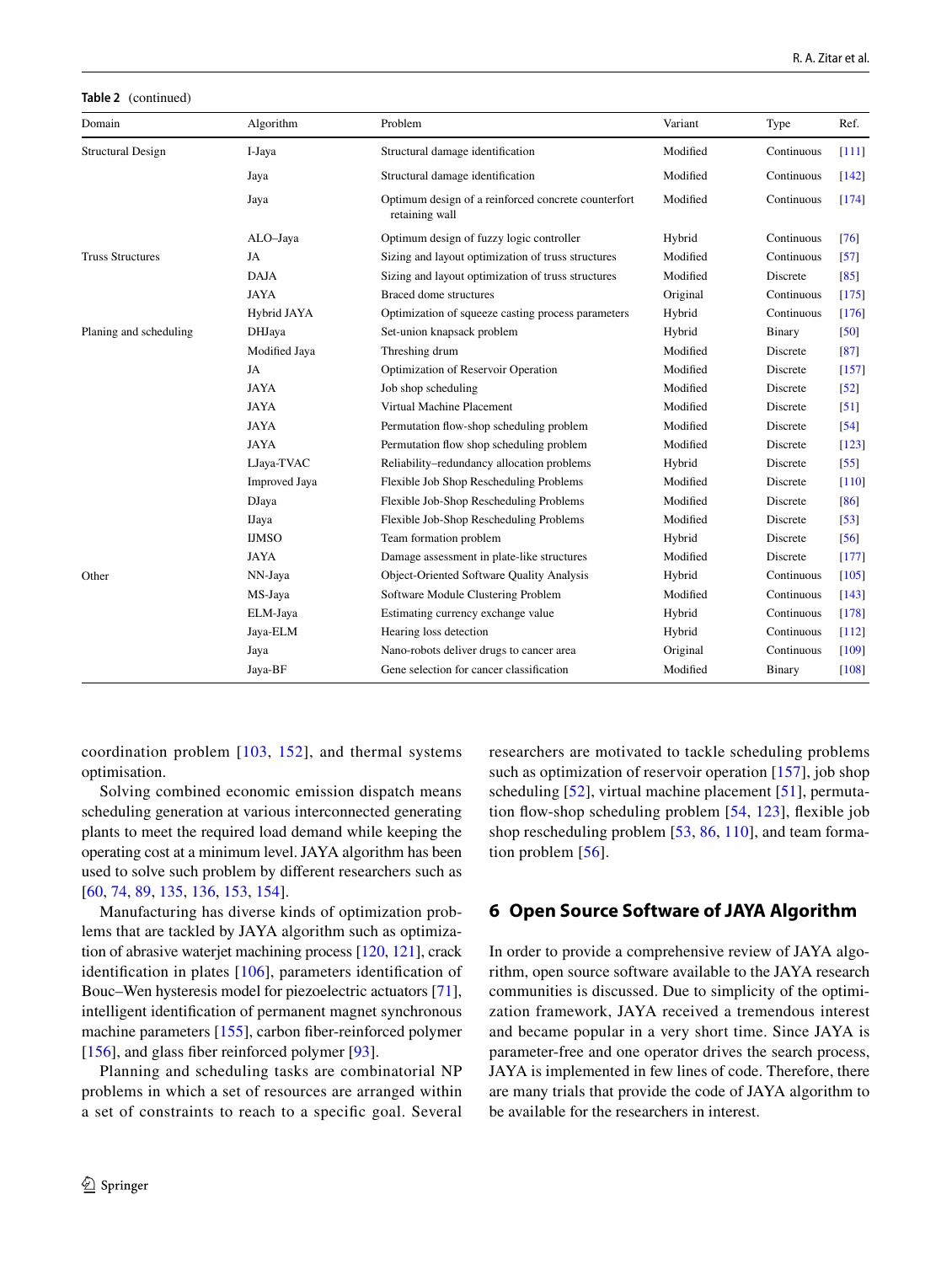**Table 2** (continued)

| Domain                   | Algorithm            | Problem                                                               | Variant  | Type       | Ref.    |
|--------------------------|----------------------|-----------------------------------------------------------------------|----------|------------|---------|
| <b>Structural Design</b> | I-Jaya               | Structural damage identification                                      | Modified | Continuous | [111]   |
|                          | Jaya                 | Structural damage identification                                      | Modified | Continuous | $[142]$ |
|                          | Jaya                 | Optimum design of a reinforced concrete counterfort<br>retaining wall | Modified | Continuous | [174]   |
|                          | ALO-Jaya             | Optimum design of fuzzy logic controller                              | Hybrid   | Continuous | [76]    |
| <b>Truss Structures</b>  | JA                   | Sizing and layout optimization of truss structures                    | Modified | Continuous | $[57]$  |
|                          | <b>DAJA</b>          | Sizing and layout optimization of truss structures                    | Modified | Discrete   | [85]    |
|                          | <b>JAYA</b>          | Braced dome structures                                                | Original | Continuous | [175]   |
|                          | Hybrid JAYA          | Optimization of squeeze casting process parameters                    | Hybrid   | Continuous | [176]   |
| Planing and scheduling   | DHJaya               | Set-union knapsack problem                                            | Hybrid   | Binary     | $[50]$  |
|                          | Modified Jaya        | Threshing drum                                                        | Modified | Discrete   | $[87]$  |
|                          | JA                   | Optimization of Reservoir Operation                                   | Modified | Discrete   | [157]   |
|                          | <b>JAYA</b>          | Job shop scheduling                                                   | Modified | Discrete   | $[52]$  |
|                          | <b>JAYA</b>          | Virtual Machine Placement                                             | Modified | Discrete   | [51]    |
|                          | <b>JAYA</b>          | Permutation flow-shop scheduling problem                              | Modified | Discrete   | $[54]$  |
|                          | <b>JAYA</b>          | Permutation flow shop scheduling problem                              | Modified | Discrete   | $[123]$ |
|                          | LJaya-TVAC           | Reliability-redundancy allocation problems                            | Hybrid   | Discrete   | $[55]$  |
|                          | <b>Improved Jaya</b> | Flexible Job Shop Rescheduling Problems                               | Modified | Discrete   | $[110]$ |
|                          | <b>DJaya</b>         | Flexible Job-Shop Rescheduling Problems                               | Modified | Discrete   | [86]    |
|                          | <b>IJaya</b>         | Flexible Job-Shop Rescheduling Problems                               | Modified | Discrete   | $[53]$  |
|                          | <b>IJMSO</b>         | Team formation problem                                                | Hybrid   | Discrete   | [56]    |
|                          | <b>JAYA</b>          | Damage assessment in plate-like structures                            | Modified | Discrete   | [177]   |
| Other                    | NN-Jaya              | Object-Oriented Software Quality Analysis                             | Hybrid   | Continuous | [105]   |
|                          | MS-Jaya              | Software Module Clustering Problem                                    | Modified | Continuous | [143]   |
|                          | ELM-Jaya             | Estimating currency exchange value                                    | Hybrid   | Continuous | [178]   |
|                          | Jaya-ELM             | Hearing loss detection                                                | Hybrid   | Continuous | $[112]$ |
|                          | Jaya                 | Nano-robots deliver drugs to cancer area                              | Original | Continuous | [109]   |
|                          | Jaya-BF              | Gene selection for cancer classification                              | Modified | Binary     | [108]   |

coordination problem [[103](#page-26-30), [152\]](#page-28-16), and thermal systems optimisation.

Solving combined economic emission dispatch means scheduling generation at various interconnected generating plants to meet the required load demand while keeping the operating cost at a minimum level. JAYA algorithm has been used to solve such problem by different researchers such as [\[60,](#page-25-32) [74,](#page-26-35) [89,](#page-26-17) [135,](#page-27-27) [136,](#page-27-28) [153](#page-28-13), [154](#page-28-14)].

Manufacturing has diverse kinds of optimization problems that are tackled by JAYA algorithm such as optimization of abrasive waterjet machining process [\[120,](#page-27-12) [121](#page-27-13)], crack identification in plates [\[106\]](#page-26-33), parameters identification of Bouc–Wen hysteresis model for piezoelectric actuators [\[71](#page-26-1)], intelligent identification of permanent magnet synchronous machine parameters [\[155](#page-28-25)], carbon fiber-reinforced polymer [\[156\]](#page-28-27), and glass fiber reinforced polymer [\[93\]](#page-26-20).

Planning and scheduling tasks are combinatorial NP problems in which a set of resources are arranged within a set of constraints to reach to a specific goal. Several researchers are motivated to tackle scheduling problems such as optimization of reservoir operation [[157](#page-28-29)], job shop scheduling [\[52](#page-25-24)], virtual machine placement [[51\]](#page-25-23), permutation flow-shop scheduling problem [[54](#page-25-26), [123](#page-27-15)], flexible job shop rescheduling problem [[53,](#page-25-25) [86](#page-26-14), [110\]](#page-27-2), and team forma-tion problem [\[56](#page-25-28)].

## <span id="page-21-0"></span>**6 Open Source Software of JAYA Algorithm**

In order to provide a comprehensive review of JAYA algorithm, open source software available to the JAYA research communities is discussed. Due to simplicity of the optimization framework, JAYA received a tremendous interest and became popular in a very short time. Since JAYA is parameter-free and one operator drives the search process, JAYA is implemented in few lines of code. Therefore, there are many trials that provide the code of JAYA algorithm to be available for the researchers in interest.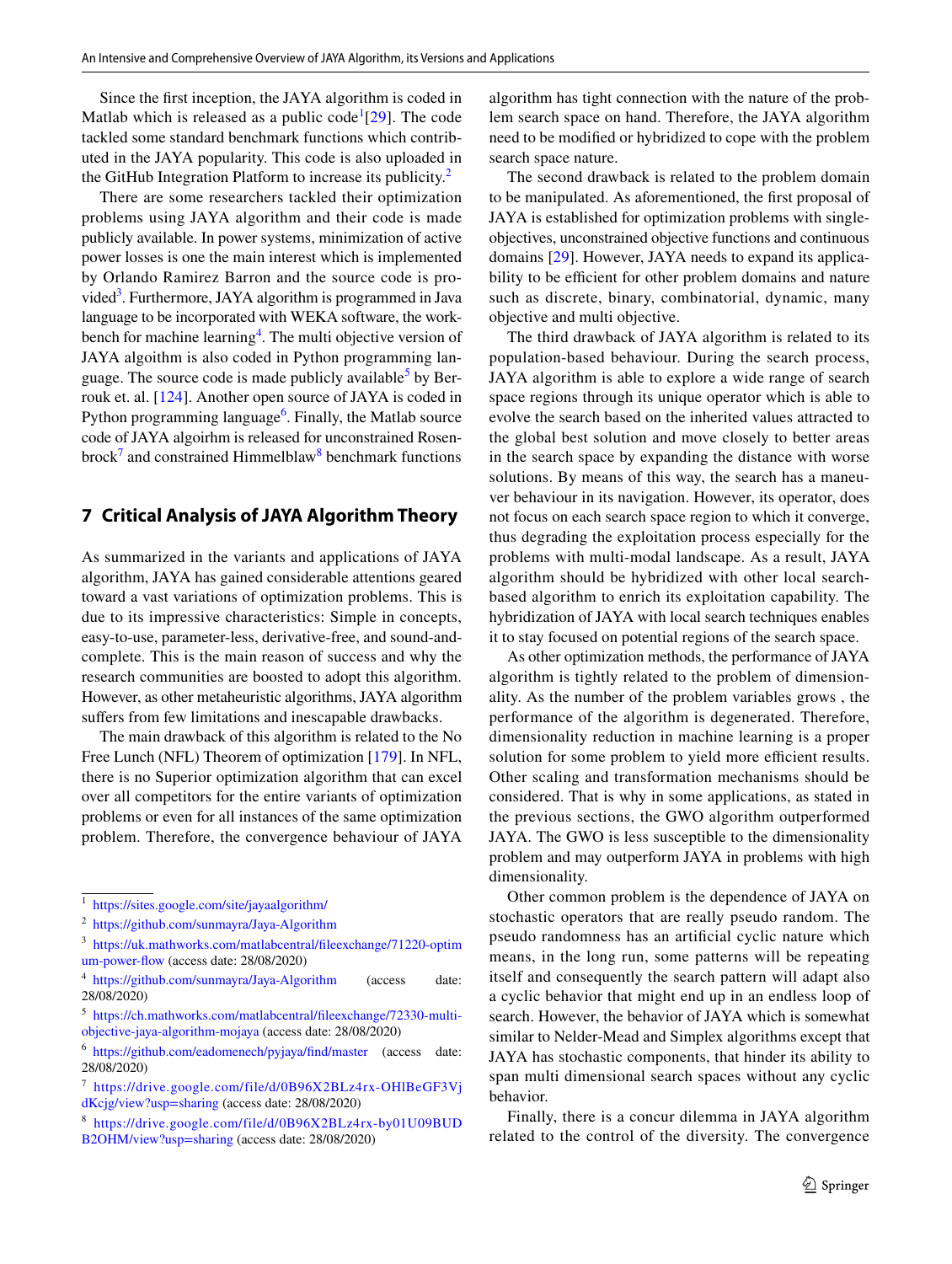Since the first inception, the JAYA algorithm is coded in Matlab which is released as a public code<sup>[1](#page-22-1)</sup>[[29\]](#page-25-1). The code tackled some standard benchmark functions which contributed in the JAYA popularity. This code is also uploaded in the GitHub Integration Platform to increase its publicity.<sup>[2](#page-22-2)</sup>

There are some researchers tackled their optimization problems using JAYA algorithm and their code is made publicly available. In power systems, minimization of active power losses is one the main interest which is implemented by Orlando Ramirez Barron and the source code is pro-vided<sup>[3](#page-22-3)</sup>. Furthermore, JAYA algorithm is programmed in Java language to be incorporated with WEKA software, the work-bench for machine learning<sup>[4](#page-22-4)</sup>. The multi objective version of JAYA algoithm is also coded in Python programming lan-guage. The source code is made publicly available<sup>[5](#page-22-5)</sup> by Berrouk et. al. [\[124\]](#page-27-16). Another open source of JAYA is coded in Python programming language<sup>[6](#page-22-6)</sup>. Finally, the Matlab source code of JAYA algoirhm is released for unconstrained Rosen-brock<sup>[7](#page-22-7)</sup> and constrained Himmelblaw<sup>[8](#page-22-8)</sup> benchmark functions

## <span id="page-22-0"></span>**7 Critical Analysis of JAYA Algorithm Theory**

As summarized in the variants and applications of JAYA algorithm, JAYA has gained considerable attentions geared toward a vast variations of optimization problems. This is due to its impressive characteristics: Simple in concepts, easy-to-use, parameter-less, derivative-free, and sound-andcomplete. This is the main reason of success and why the research communities are boosted to adopt this algorithm. However, as other metaheuristic algorithms, JAYA algorithm suffers from few limitations and inescapable drawbacks.

The main drawback of this algorithm is related to the No Free Lunch (NFL) Theorem of optimization [\[179\]](#page-29-1). In NFL, there is no Superior optimization algorithm that can excel over all competitors for the entire variants of optimization problems or even for all instances of the same optimization problem. Therefore, the convergence behaviour of JAYA

algorithm has tight connection with the nature of the problem search space on hand. Therefore, the JAYA algorithm need to be modified or hybridized to cope with the problem search space nature.

The second drawback is related to the problem domain to be manipulated. As aforementioned, the first proposal of JAYA is established for optimization problems with singleobjectives, unconstrained objective functions and continuous domains [\[29](#page-25-1)]. However, JAYA needs to expand its applicability to be efficient for other problem domains and nature such as discrete, binary, combinatorial, dynamic, many objective and multi objective.

The third drawback of JAYA algorithm is related to its population-based behaviour. During the search process, JAYA algorithm is able to explore a wide range of search space regions through its unique operator which is able to evolve the search based on the inherited values attracted to the global best solution and move closely to better areas in the search space by expanding the distance with worse solutions. By means of this way, the search has a maneuver behaviour in its navigation. However, its operator, does not focus on each search space region to which it converge, thus degrading the exploitation process especially for the problems with multi-modal landscape. As a result, JAYA algorithm should be hybridized with other local searchbased algorithm to enrich its exploitation capability. The hybridization of JAYA with local search techniques enables it to stay focused on potential regions of the search space.

As other optimization methods, the performance of JAYA algorithm is tightly related to the problem of dimensionality. As the number of the problem variables grows , the performance of the algorithm is degenerated. Therefore, dimensionality reduction in machine learning is a proper solution for some problem to yield more efficient results. Other scaling and transformation mechanisms should be considered. That is why in some applications, as stated in the previous sections, the GWO algorithm outperformed JAYA. The GWO is less susceptible to the dimensionality problem and may outperform JAYA in problems with high dimensionality.

Other common problem is the dependence of JAYA on stochastic operators that are really pseudo random. The pseudo randomness has an artificial cyclic nature which means, in the long run, some patterns will be repeating itself and consequently the search pattern will adapt also a cyclic behavior that might end up in an endless loop of search. However, the behavior of JAYA which is somewhat similar to Nelder-Mead and Simplex algorithms except that JAYA has stochastic components, that hinder its ability to span multi dimensional search spaces without any cyclic behavior.

Finally, there is a concur dilemma in JAYA algorithm related to the control of the diversity. The convergence

<span id="page-22-1"></span><sup>1</sup> https://sites.google.com/site/jayaalgorithm/

<span id="page-22-2"></span><sup>&</sup>lt;sup>2</sup> https://github.com/sunmayra/Jaya-Algorithm

<span id="page-22-3"></span><sup>&</sup>lt;sup>3</sup> https://uk.mathworks.com/matlabcentral/fileexchange/71220-optim um-power-flow (access date: 28/08/2020)

<span id="page-22-4"></span><sup>&</sup>lt;sup>4</sup> https://github.com/sunmayra/Jaya-Algorithm (access date: 28/08/2020)

<span id="page-22-5"></span><sup>&</sup>lt;sup>5</sup> https://ch.mathworks.com/matlabcentral/fileexchange/72330-multiobjective-jaya-algorithm-mojaya (access date: 28/08/2020)

<span id="page-22-6"></span><sup>&</sup>lt;sup>6</sup> https://github.com/eadomenech/pyjaya/find/master (access date: 28/08/2020)

<span id="page-22-7"></span><sup>&</sup>lt;sup>7</sup> https://drive.google.com/file/d/0B96X2BLz4rx-OHlBeGF3Vj dKcjg/view?usp=sharing (access date: 28/08/2020)

<span id="page-22-8"></span><sup>8</sup> https://drive.google.com/file/d/0B96X2BLz4rx-by01U09BUD B2OHM/view?usp=sharing (access date: 28/08/2020)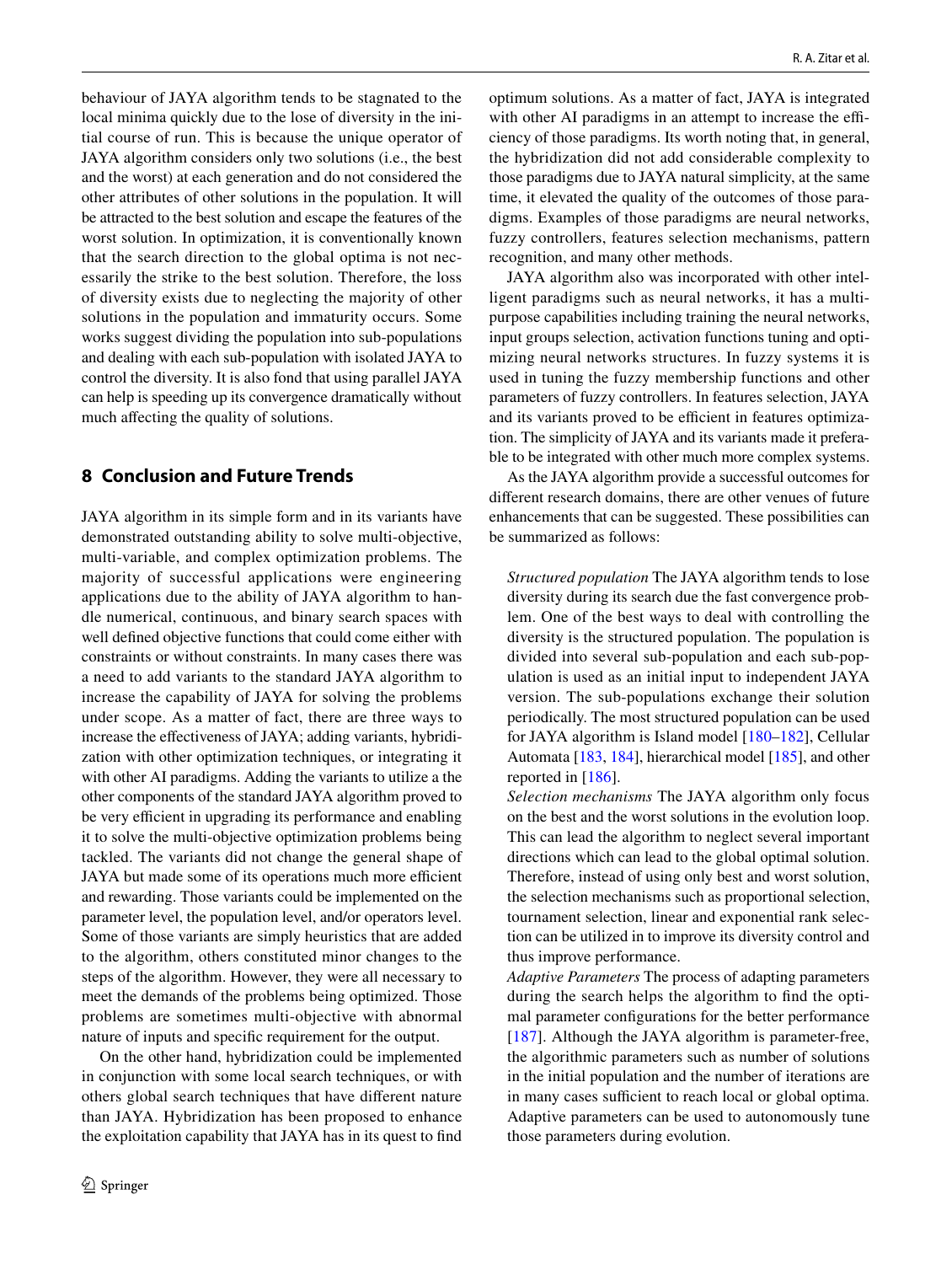behaviour of JAYA algorithm tends to be stagnated to the local minima quickly due to the lose of diversity in the initial course of run. This is because the unique operator of JAYA algorithm considers only two solutions (i.e., the best and the worst) at each generation and do not considered the other attributes of other solutions in the population. It will be attracted to the best solution and escape the features of the worst solution. In optimization, it is conventionally known that the search direction to the global optima is not necessarily the strike to the best solution. Therefore, the loss of diversity exists due to neglecting the majority of other solutions in the population and immaturity occurs. Some works suggest dividing the population into sub-populations and dealing with each sub-population with isolated JAYA to control the diversity. It is also fond that using parallel JAYA can help is speeding up its convergence dramatically without much affecting the quality of solutions.

## <span id="page-23-0"></span>**8 Conclusion and Future Trends**

JAYA algorithm in its simple form and in its variants have demonstrated outstanding ability to solve multi-objective, multi-variable, and complex optimization problems. The majority of successful applications were engineering applications due to the ability of JAYA algorithm to handle numerical, continuous, and binary search spaces with well defined objective functions that could come either with constraints or without constraints. In many cases there was a need to add variants to the standard JAYA algorithm to increase the capability of JAYA for solving the problems under scope. As a matter of fact, there are three ways to increase the effectiveness of JAYA; adding variants, hybridization with other optimization techniques, or integrating it with other AI paradigms. Adding the variants to utilize a the other components of the standard JAYA algorithm proved to be very efficient in upgrading its performance and enabling it to solve the multi-objective optimization problems being tackled. The variants did not change the general shape of JAYA but made some of its operations much more efficient and rewarding. Those variants could be implemented on the parameter level, the population level, and/or operators level. Some of those variants are simply heuristics that are added to the algorithm, others constituted minor changes to the steps of the algorithm. However, they were all necessary to meet the demands of the problems being optimized. Those problems are sometimes multi-objective with abnormal nature of inputs and specific requirement for the output.

On the other hand, hybridization could be implemented in conjunction with some local search techniques, or with others global search techniques that have different nature than JAYA. Hybridization has been proposed to enhance the exploitation capability that JAYA has in its quest to find optimum solutions. As a matter of fact, JAYA is integrated with other AI paradigms in an attempt to increase the efficiency of those paradigms. Its worth noting that, in general, the hybridization did not add considerable complexity to those paradigms due to JAYA natural simplicity, at the same time, it elevated the quality of the outcomes of those paradigms. Examples of those paradigms are neural networks, fuzzy controllers, features selection mechanisms, pattern recognition, and many other methods.

JAYA algorithm also was incorporated with other intelligent paradigms such as neural networks, it has a multipurpose capabilities including training the neural networks, input groups selection, activation functions tuning and optimizing neural networks structures. In fuzzy systems it is used in tuning the fuzzy membership functions and other parameters of fuzzy controllers. In features selection, JAYA and its variants proved to be efficient in features optimization. The simplicity of JAYA and its variants made it preferable to be integrated with other much more complex systems.

As the JAYA algorithm provide a successful outcomes for different research domains, there are other venues of future enhancements that can be suggested. These possibilities can be summarized as follows:

*Structured population* The JAYA algorithm tends to lose diversity during its search due the fast convergence problem. One of the best ways to deal with controlling the diversity is the structured population. The population is divided into several sub-population and each sub-population is used as an initial input to independent JAYA version. The sub-populations exchange their solution periodically. The most structured population can be used for JAYA algorithm is Island model [[180](#page-29-2)[–182](#page-29-3)], Cellular Automata [\[183](#page-29-4), [184\]](#page-29-5), hierarchical model [\[185](#page-29-6)], and other reported in [[186\]](#page-29-7).

*Selection mechanisms* The JAYA algorithm only focus on the best and the worst solutions in the evolution loop. This can lead the algorithm to neglect several important directions which can lead to the global optimal solution. Therefore, instead of using only best and worst solution, the selection mechanisms such as proportional selection, tournament selection, linear and exponential rank selection can be utilized in to improve its diversity control and thus improve performance.

*Adaptive Parameters* The process of adapting parameters during the search helps the algorithm to find the optimal parameter configurations for the better performance [[187](#page-29-8)]. Although the JAYA algorithm is parameter-free, the algorithmic parameters such as number of solutions in the initial population and the number of iterations are in many cases sufficient to reach local or global optima. Adaptive parameters can be used to autonomously tune those parameters during evolution.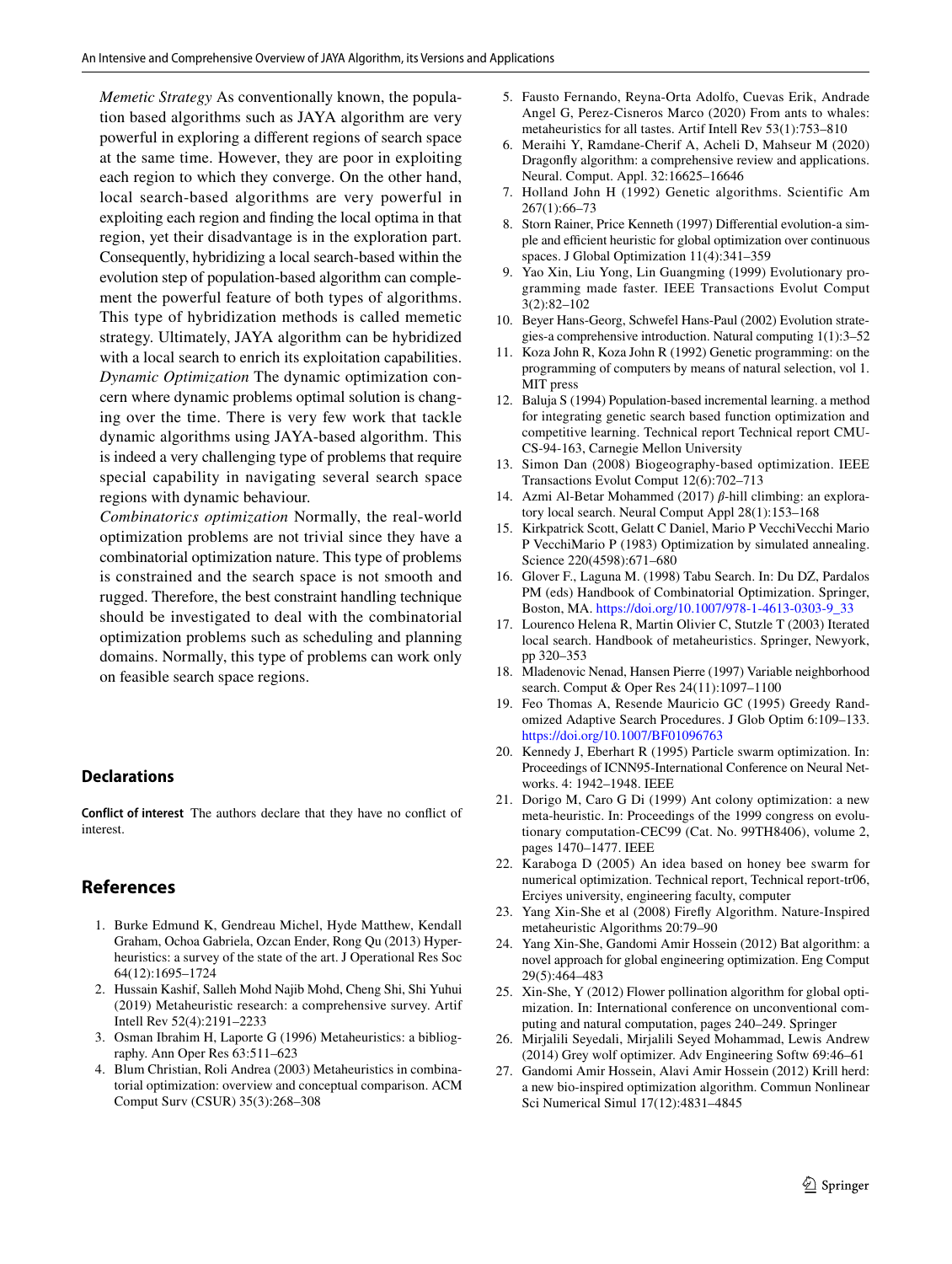*Memetic Strategy* As conventionally known, the population based algorithms such as JAYA algorithm are very powerful in exploring a different regions of search space at the same time. However, they are poor in exploiting each region to which they converge. On the other hand, local search-based algorithms are very powerful in exploiting each region and finding the local optima in that region, yet their disadvantage is in the exploration part. Consequently, hybridizing a local search-based within the evolution step of population-based algorithm can complement the powerful feature of both types of algorithms. This type of hybridization methods is called memetic strategy. Ultimately, JAYA algorithm can be hybridized with a local search to enrich its exploitation capabilities. *Dynamic Optimization* The dynamic optimization concern where dynamic problems optimal solution is changing over the time. There is very few work that tackle dynamic algorithms using JAYA-based algorithm. This is indeed a very challenging type of problems that require special capability in navigating several search space regions with dynamic behaviour.

*Combinatorics optimization* Normally, the real-world optimization problems are not trivial since they have a combinatorial optimization nature. This type of problems is constrained and the search space is not smooth and rugged. Therefore, the best constraint handling technique should be investigated to deal with the combinatorial optimization problems such as scheduling and planning domains. Normally, this type of problems can work only on feasible search space regions.

## **Declarations**

**Conflict of interest** The authors declare that they have no conflict of interest.

## **References**

- <span id="page-24-0"></span> 1. Burke Edmund K, Gendreau Michel, Hyde Matthew, Kendall Graham, Ochoa Gabriela, Ozcan Ender, Rong Qu (2013) Hyperheuristics: a survey of the state of the art. J Operational Res Soc 64(12):1695–1724
- <span id="page-24-1"></span> 2. Hussain Kashif, Salleh Mohd Najib Mohd, Cheng Shi, Shi Yuhui (2019) Metaheuristic research: a comprehensive survey. Artif Intell Rev 52(4):2191–2233
- <span id="page-24-2"></span> 3. Osman Ibrahim H, Laporte G (1996) Metaheuristics: a bibliography. Ann Oper Res 63:511–623
- <span id="page-24-3"></span> 4. Blum Christian, Roli Andrea (2003) Metaheuristics in combinatorial optimization: overview and conceptual comparison. ACM Comput Surv (CSUR) 35(3):268–308
- <span id="page-24-4"></span> 5. Fausto Fernando, Reyna-Orta Adolfo, Cuevas Erik, Andrade Angel G, Perez-Cisneros Marco (2020) From ants to whales: metaheuristics for all tastes. Artif Intell Rev 53(1):753–810
- <span id="page-24-5"></span> 6. Meraihi Y, Ramdane-Cherif A, Acheli D, Mahseur M (2020) Dragonfly algorithm: a comprehensive review and applications. Neural. Comput. Appl. 32:16625–16646
- <span id="page-24-6"></span> 7. Holland John H (1992) Genetic algorithms. Scientific Am 267(1):66–73
- <span id="page-24-7"></span> 8. Storn Rainer, Price Kenneth (1997) Differential evolution-a simple and efficient heuristic for global optimization over continuous spaces. J Global Optimization 11(4):341–359
- <span id="page-24-8"></span> 9. Yao Xin, Liu Yong, Lin Guangming (1999) Evolutionary programming made faster. IEEE Transactions Evolut Comput 3(2):82–102
- <span id="page-24-9"></span> 10. Beyer Hans-Georg, Schwefel Hans-Paul (2002) Evolution strategies-a comprehensive introduction. Natural computing 1(1):3–52
- <span id="page-24-10"></span> 11. Koza John R, Koza John R (1992) Genetic programming: on the programming of computers by means of natural selection, vol 1. MIT press
- <span id="page-24-11"></span> 12. Baluja S (1994) Population-based incremental learning. a method for integrating genetic search based function optimization and competitive learning. Technical report Technical report CMU-CS-94-163, Carnegie Mellon University
- <span id="page-24-12"></span> 13. Simon Dan (2008) Biogeography-based optimization. IEEE Transactions Evolut Comput 12(6):702–713
- <span id="page-24-13"></span>14. Azmi Al-Betar Mohammed (2017) β-hill climbing: an exploratory local search. Neural Comput Appl 28(1):153–168
- <span id="page-24-14"></span> 15. Kirkpatrick Scott, Gelatt C Daniel, Mario P VecchiVecchi Mario P VecchiMario P (1983) Optimization by simulated annealing. Science 220(4598):671–680
- <span id="page-24-15"></span> 16. Glover F., Laguna M. (1998) Tabu Search. In: Du DZ, Pardalos PM (eds) Handbook of Combinatorial Optimization. Springer, Boston, MA. https://doi.org/10.1007/978-1-4613-0303-9\_33
- <span id="page-24-16"></span> 17. Lourenco Helena R, Martin Olivier C, Stutzle T (2003) Iterated local search. Handbook of metaheuristics. Springer, Newyork, pp 320–353
- <span id="page-24-17"></span> 18. Mladenovic Nenad, Hansen Pierre (1997) Variable neighborhood search. Comput & Oper Res 24(11):1097–1100
- <span id="page-24-18"></span> 19. Feo Thomas A, Resende Mauricio GC (1995) Greedy Randomized Adaptive Search Procedures. J Glob Optim 6:109–133. https://doi.org/10.1007/BF01096763
- <span id="page-24-19"></span> 20. Kennedy J, Eberhart R (1995) Particle swarm optimization. In: Proceedings of ICNN95-International Conference on Neural Networks. 4: 1942–1948. IEEE
- <span id="page-24-20"></span> 21. Dorigo M, Caro G Di (1999) Ant colony optimization: a new meta-heuristic. In: Proceedings of the 1999 congress on evolutionary computation-CEC99 (Cat. No. 99TH8406), volume 2, pages 1470–1477. IEEE
- <span id="page-24-21"></span> 22. Karaboga D (2005) An idea based on honey bee swarm for numerical optimization. Technical report, Technical report-tr06, Erciyes university, engineering faculty, computer
- <span id="page-24-22"></span> 23. Yang Xin-She et al (2008) Firefly Algorithm. Nature-Inspired metaheuristic Algorithms 20:79–90
- <span id="page-24-23"></span> 24. Yang Xin-She, Gandomi Amir Hossein (2012) Bat algorithm: a novel approach for global engineering optimization. Eng Comput 29(5):464–483
- <span id="page-24-24"></span> 25. Xin-She, Y (2012) Flower pollination algorithm for global optimization. In: International conference on unconventional computing and natural computation, pages 240–249. Springer
- <span id="page-24-25"></span> 26. Mirjalili Seyedali, Mirjalili Seyed Mohammad, Lewis Andrew (2014) Grey wolf optimizer. Adv Engineering Softw 69:46–61
- <span id="page-24-26"></span> 27. Gandomi Amir Hossein, Alavi Amir Hossein (2012) Krill herd: a new bio-inspired optimization algorithm. Commun Nonlinear Sci Numerical Simul 17(12):4831–4845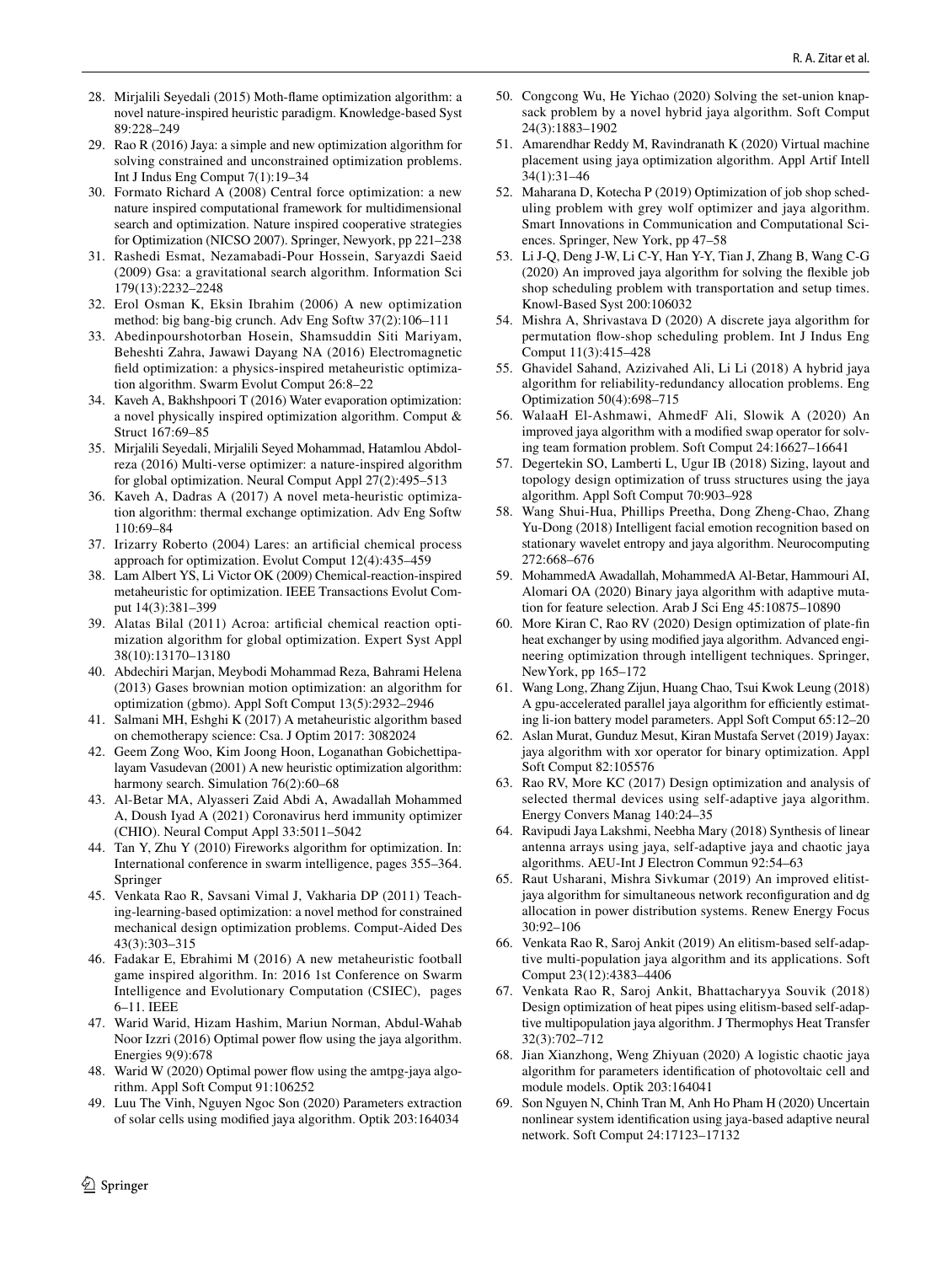- <span id="page-25-0"></span> 28. Mirjalili Seyedali (2015) Moth-flame optimization algorithm: a novel nature-inspired heuristic paradigm. Knowledge-based Syst 89:228–249
- <span id="page-25-1"></span> 29. Rao R (2016) Jaya: a simple and new optimization algorithm for solving constrained and unconstrained optimization problems. Int J Indus Eng Comput 7(1):19–34
- <span id="page-25-2"></span> 30. Formato Richard A (2008) Central force optimization: a new nature inspired computational framework for multidimensional search and optimization. Nature inspired cooperative strategies for Optimization (NICSO 2007). Springer, Newyork, pp 221–238
- <span id="page-25-3"></span> 31. Rashedi Esmat, Nezamabadi-Pour Hossein, Saryazdi Saeid (2009) Gsa: a gravitational search algorithm. Information Sci 179(13):2232–2248
- <span id="page-25-4"></span> 32. Erol Osman K, Eksin Ibrahim (2006) A new optimization method: big bang-big crunch. Adv Eng Softw 37(2):106–111
- <span id="page-25-5"></span> 33. Abedinpourshotorban Hosein, Shamsuddin Siti Mariyam, Beheshti Zahra, Jawawi Dayang NA (2016) Electromagnetic field optimization: a physics-inspired metaheuristic optimization algorithm. Swarm Evolut Comput 26:8–22
- <span id="page-25-6"></span> 34. Kaveh A, Bakhshpoori T (2016) Water evaporation optimization: a novel physically inspired optimization algorithm. Comput & Struct 167:69–85
- <span id="page-25-7"></span> 35. Mirjalili Seyedali, Mirjalili Seyed Mohammad, Hatamlou Abdolreza (2016) Multi-verse optimizer: a nature-inspired algorithm for global optimization. Neural Comput Appl 27(2):495–513
- <span id="page-25-8"></span> 36. Kaveh A, Dadras A (2017) A novel meta-heuristic optimization algorithm: thermal exchange optimization. Adv Eng Softw 110:69–84
- <span id="page-25-9"></span> 37. Irizarry Roberto (2004) Lares: an artificial chemical process approach for optimization. Evolut Comput 12(4):435–459
- <span id="page-25-10"></span> 38. Lam Albert YS, Li Victor OK (2009) Chemical-reaction-inspired metaheuristic for optimization. IEEE Transactions Evolut Comput 14(3):381–399
- <span id="page-25-11"></span> 39. Alatas Bilal (2011) Acroa: artificial chemical reaction optimization algorithm for global optimization. Expert Syst Appl 38(10):13170–13180
- <span id="page-25-12"></span> 40. Abdechiri Marjan, Meybodi Mohammad Reza, Bahrami Helena (2013) Gases brownian motion optimization: an algorithm for optimization (gbmo). Appl Soft Comput 13(5):2932–2946
- <span id="page-25-13"></span> 41. Salmani MH, Eshghi K (2017) A metaheuristic algorithm based on chemotherapy science: Csa. J Optim 2017: 3082024
- <span id="page-25-14"></span> 42. Geem Zong Woo, Kim Joong Hoon, Loganathan Gobichettipalayam Vasudevan (2001) A new heuristic optimization algorithm: harmony search. Simulation 76(2):60–68
- <span id="page-25-15"></span> 43. Al-Betar MA, Alyasseri Zaid Abdi A, Awadallah Mohammed A, Doush Iyad A (2021) Coronavirus herd immunity optimizer (CHIO). Neural Comput Appl 33:5011–5042
- <span id="page-25-16"></span> 44. Tan Y, Zhu Y (2010) Fireworks algorithm for optimization. In: International conference in swarm intelligence, pages 355–364. Springer
- <span id="page-25-17"></span> 45. Venkata Rao R, Savsani Vimal J, Vakharia DP (2011) Teaching-learning-based optimization: a novel method for constrained mechanical design optimization problems. Comput-Aided Des 43(3):303–315
- <span id="page-25-18"></span> 46. Fadakar E, Ebrahimi M (2016) A new metaheuristic football game inspired algorithm. In: 2016 1st Conference on Swarm Intelligence and Evolutionary Computation (CSIEC), pages 6–11. IEEE
- <span id="page-25-19"></span> 47. Warid Warid, Hizam Hashim, Mariun Norman, Abdul-Wahab Noor Izzri (2016) Optimal power flow using the jaya algorithm. Energies 9(9):678
- <span id="page-25-20"></span> 48. Warid W (2020) Optimal power flow using the amtpg-jaya algorithm. Appl Soft Comput 91:106252
- <span id="page-25-21"></span> 49. Luu The Vinh, Nguyen Ngoc Son (2020) Parameters extraction of solar cells using modified jaya algorithm. Optik 203:164034
- <span id="page-25-22"></span> 50. Congcong Wu, He Yichao (2020) Solving the set-union knapsack problem by a novel hybrid jaya algorithm. Soft Comput 24(3):1883–1902
- <span id="page-25-23"></span> 51. Amarendhar Reddy M, Ravindranath K (2020) Virtual machine placement using jaya optimization algorithm. Appl Artif Intell 34(1):31–46
- <span id="page-25-24"></span> 52. Maharana D, Kotecha P (2019) Optimization of job shop scheduling problem with grey wolf optimizer and jaya algorithm. Smart Innovations in Communication and Computational Sciences. Springer, New York, pp 47–58
- <span id="page-25-25"></span> 53. Li J-Q, Deng J-W, Li C-Y, Han Y-Y, Tian J, Zhang B, Wang C-G (2020) An improved jaya algorithm for solving the flexible job shop scheduling problem with transportation and setup times. Knowl-Based Syst 200:106032
- <span id="page-25-26"></span> 54. Mishra A, Shrivastava D (2020) A discrete jaya algorithm for permutation flow-shop scheduling problem. Int J Indus Eng Comput 11(3):415–428
- <span id="page-25-27"></span> 55. Ghavidel Sahand, Azizivahed Ali, Li Li (2018) A hybrid jaya algorithm for reliability-redundancy allocation problems. Eng Optimization 50(4):698–715
- <span id="page-25-28"></span> 56. WalaaH El-Ashmawi, AhmedF Ali, Slowik A (2020) An improved jaya algorithm with a modified swap operator for solving team formation problem. Soft Comput 24:16627–16641
- <span id="page-25-29"></span> 57. Degertekin SO, Lamberti L, Ugur IB (2018) Sizing, layout and topology design optimization of truss structures using the jaya algorithm. Appl Soft Comput 70:903–928
- <span id="page-25-30"></span> 58. Wang Shui-Hua, Phillips Preetha, Dong Zheng-Chao, Zhang Yu-Dong (2018) Intelligent facial emotion recognition based on stationary wavelet entropy and jaya algorithm. Neurocomputing 272:668–676
- <span id="page-25-31"></span> 59. MohammedA Awadallah, MohammedA Al-Betar, Hammouri AI, Alomari OA (2020) Binary jaya algorithm with adaptive mutation for feature selection. Arab J Sci Eng 45:10875–10890
- <span id="page-25-32"></span> 60. More Kiran C, Rao RV (2020) Design optimization of plate-fin heat exchanger by using modified jaya algorithm. Advanced engineering optimization through intelligent techniques. Springer, NewYork, pp 165–172
- <span id="page-25-33"></span> 61. Wang Long, Zhang Zijun, Huang Chao, Tsui Kwok Leung (2018) A gpu-accelerated parallel jaya algorithm for efficiently estimating li-ion battery model parameters. Appl Soft Comput 65:12–20
- <span id="page-25-34"></span> 62. Aslan Murat, Gunduz Mesut, Kiran Mustafa Servet (2019) Jayax: jaya algorithm with xor operator for binary optimization. Appl Soft Comput 82:105576
- <span id="page-25-35"></span> 63. Rao RV, More KC (2017) Design optimization and analysis of selected thermal devices using self-adaptive jaya algorithm. Energy Convers Manag 140:24–35
- <span id="page-25-36"></span> 64. Ravipudi Jaya Lakshmi, Neebha Mary (2018) Synthesis of linear antenna arrays using jaya, self-adaptive jaya and chaotic jaya algorithms. AEU-Int J Electron Commun 92:54–63
- <span id="page-25-37"></span> 65. Raut Usharani, Mishra Sivkumar (2019) An improved elitistjaya algorithm for simultaneous network reconfiguration and dg allocation in power distribution systems. Renew Energy Focus 30:92–106
- <span id="page-25-38"></span> 66. Venkata Rao R, Saroj Ankit (2019) An elitism-based self-adaptive multi-population jaya algorithm and its applications. Soft Comput 23(12):4383–4406
- <span id="page-25-39"></span> 67. Venkata Rao R, Saroj Ankit, Bhattacharyya Souvik (2018) Design optimization of heat pipes using elitism-based self-adaptive multipopulation jaya algorithm. J Thermophys Heat Transfer 32(3):702–712
- <span id="page-25-40"></span> 68. Jian Xianzhong, Weng Zhiyuan (2020) A logistic chaotic jaya algorithm for parameters identification of photovoltaic cell and module models. Optik 203:164041
- <span id="page-25-41"></span> 69. Son Nguyen N, Chinh Tran M, Anh Ho Pham H (2020) Uncertain nonlinear system identification using jaya-based adaptive neural network. Soft Comput 24:17123–17132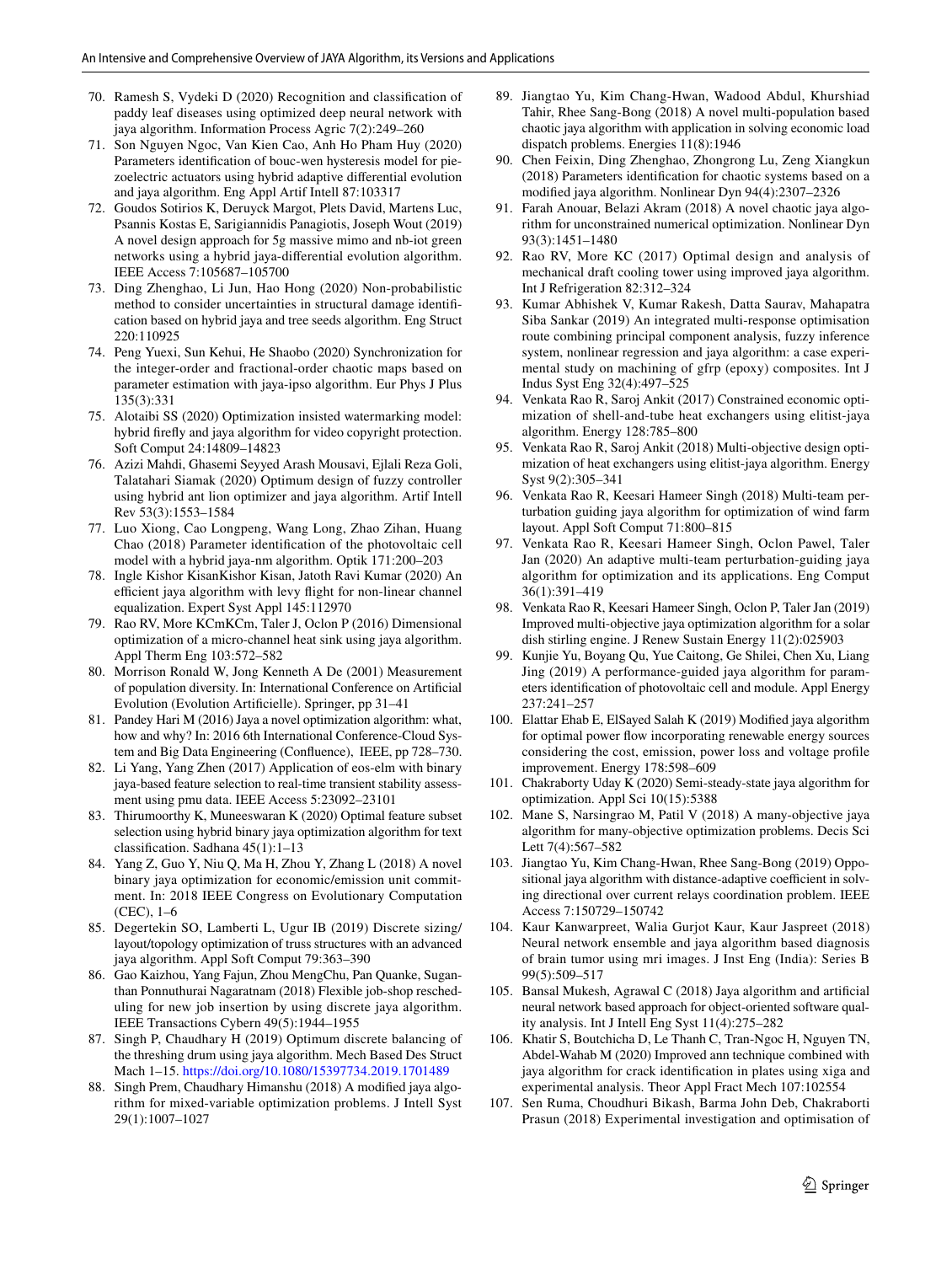- <span id="page-26-0"></span> 70. Ramesh S, Vydeki D (2020) Recognition and classification of paddy leaf diseases using optimized deep neural network with jaya algorithm. Information Process Agric 7(2):249–260
- <span id="page-26-1"></span> 71. Son Nguyen Ngoc, Van Kien Cao, Anh Ho Pham Huy (2020) Parameters identification of bouc-wen hysteresis model for piezoelectric actuators using hybrid adaptive differential evolution and jaya algorithm. Eng Appl Artif Intell 87:103317
- <span id="page-26-2"></span> 72. Goudos Sotirios K, Deruyck Margot, Plets David, Martens Luc, Psannis Kostas E, Sarigiannidis Panagiotis, Joseph Wout (2019) A novel design approach for 5g massive mimo and nb-iot green networks using a hybrid jaya-differential evolution algorithm. IEEE Access 7:105687–105700
- <span id="page-26-3"></span> 73. Ding Zhenghao, Li Jun, Hao Hong (2020) Non-probabilistic method to consider uncertainties in structural damage identification based on hybrid jaya and tree seeds algorithm. Eng Struct 220:110925
- <span id="page-26-35"></span> 74. Peng Yuexi, Sun Kehui, He Shaobo (2020) Synchronization for the integer-order and fractional-order chaotic maps based on parameter estimation with jaya-ipso algorithm. Eur Phys J Plus 135(3):331
- <span id="page-26-36"></span> 75. Alotaibi SS (2020) Optimization insisted watermarking model: hybrid firefly and jaya algorithm for video copyright protection. Soft Comput 24:14809–14823
- <span id="page-26-4"></span> 76. Azizi Mahdi, Ghasemi Seyyed Arash Mousavi, Ejlali Reza Goli, Talatahari Siamak (2020) Optimum design of fuzzy controller using hybrid ant lion optimizer and jaya algorithm. Artif Intell Rev 53(3):1553–1584
- <span id="page-26-5"></span> 77. Luo Xiong, Cao Longpeng, Wang Long, Zhao Zihan, Huang Chao (2018) Parameter identification of the photovoltaic cell model with a hybrid jaya-nm algorithm. Optik 171:200–203
- <span id="page-26-6"></span> 78. Ingle Kishor KisanKishor Kisan, Jatoth Ravi Kumar (2020) An efficient jaya algorithm with levy flight for non-linear channel equalization. Expert Syst Appl 145:112970
- <span id="page-26-7"></span> 79. Rao RV, More KCmKCm, Taler J, Oclon P (2016) Dimensional optimization of a micro-channel heat sink using jaya algorithm. Appl Therm Eng 103:572–582
- <span id="page-26-8"></span> 80. Morrison Ronald W, Jong Kenneth A De (2001) Measurement of population diversity. In: International Conference on Artificial Evolution (Evolution Artificielle). Springer, pp 31–41
- <span id="page-26-9"></span> 81. Pandey Hari M (2016) Jaya a novel optimization algorithm: what, how and why? In: 2016 6th International Conference-Cloud System and Big Data Engineering (Confluence), IEEE, pp 728–730.
- <span id="page-26-10"></span> 82. Li Yang, Yang Zhen (2017) Application of eos-elm with binary jaya-based feature selection to real-time transient stability assessment using pmu data. IEEE Access 5:23092–23101
- <span id="page-26-12"></span> 83. Thirumoorthy K, Muneeswaran K (2020) Optimal feature subset selection using hybrid binary jaya optimization algorithm for text classification. Sadhana 45(1):1–13
- <span id="page-26-11"></span> 84. Yang Z, Guo Y, Niu Q, Ma H, Zhou Y, Zhang L (2018) A novel binary jaya optimization for economic/emission unit commitment. In: 2018 IEEE Congress on Evolutionary Computation (CEC), 1–6
- <span id="page-26-13"></span> 85. Degertekin SO, Lamberti L, Ugur IB (2019) Discrete sizing/ layout/topology optimization of truss structures with an advanced jaya algorithm. Appl Soft Comput 79:363–390
- <span id="page-26-14"></span> 86. Gao Kaizhou, Yang Fajun, Zhou MengChu, Pan Quanke, Suganthan Ponnuthurai Nagaratnam (2018) Flexible job-shop rescheduling for new job insertion by using discrete jaya algorithm. IEEE Transactions Cybern 49(5):1944–1955
- <span id="page-26-15"></span> 87. Singh P, Chaudhary H (2019) Optimum discrete balancing of the threshing drum using jaya algorithm. Mech Based Des Struct Mach 1-15. https://doi.org/10.1080/15397734.2019.1701489
- <span id="page-26-16"></span> 88. Singh Prem, Chaudhary Himanshu (2018) A modified jaya algorithm for mixed-variable optimization problems. J Intell Syst 29(1):1007–1027
- <span id="page-26-17"></span> 89. Jiangtao Yu, Kim Chang-Hwan, Wadood Abdul, Khurshiad Tahir, Rhee Sang-Bong (2018) A novel multi-population based chaotic jaya algorithm with application in solving economic load dispatch problems. Energies 11(8):1946
- 90. Chen Feixin, Ding Zhenghao, Zhongrong Lu, Zeng Xiangkun (2018) Parameters identification for chaotic systems based on a modified jaya algorithm. Nonlinear Dyn 94(4):2307–2326
- <span id="page-26-18"></span> 91. Farah Anouar, Belazi Akram (2018) A novel chaotic jaya algorithm for unconstrained numerical optimization. Nonlinear Dyn 93(3):1451–1480
- <span id="page-26-19"></span> 92. Rao RV, More KC (2017) Optimal design and analysis of mechanical draft cooling tower using improved jaya algorithm. Int J Refrigeration 82:312–324
- <span id="page-26-20"></span> 93. Kumar Abhishek V, Kumar Rakesh, Datta Saurav, Mahapatra Siba Sankar (2019) An integrated multi-response optimisation route combining principal component analysis, fuzzy inference system, nonlinear regression and jaya algorithm: a case experimental study on machining of gfrp (epoxy) composites. Int J Indus Syst Eng 32(4):497–525
- <span id="page-26-21"></span> 94. Venkata Rao R, Saroj Ankit (2017) Constrained economic optimization of shell-and-tube heat exchangers using elitist-jaya algorithm. Energy 128:785–800
- <span id="page-26-22"></span> 95. Venkata Rao R, Saroj Ankit (2018) Multi-objective design optimization of heat exchangers using elitist-jaya algorithm. Energy Syst 9(2):305–341
- <span id="page-26-23"></span> 96. Venkata Rao R, Keesari Hameer Singh (2018) Multi-team perturbation guiding jaya algorithm for optimization of wind farm layout. Appl Soft Comput 71:800–815
- <span id="page-26-24"></span> 97. Venkata Rao R, Keesari Hameer Singh, Oclon Pawel, Taler Jan (2020) An adaptive multi-team perturbation-guiding jaya algorithm for optimization and its applications. Eng Comput 36(1):391–419
- <span id="page-26-25"></span> 98. Venkata Rao R, Keesari Hameer Singh, Oclon P, Taler Jan (2019) Improved multi-objective jaya optimization algorithm for a solar dish stirling engine. J Renew Sustain Energy 11(2):025903
- <span id="page-26-26"></span> 99. Kunjie Yu, Boyang Qu, Yue Caitong, Ge Shilei, Chen Xu, Liang Jing (2019) A performance-guided jaya algorithm for parameters identification of photovoltaic cell and module. Appl Energy 237:241–257
- <span id="page-26-27"></span> 100. Elattar Ehab E, ElSayed Salah K (2019) Modified jaya algorithm for optimal power flow incorporating renewable energy sources considering the cost, emission, power loss and voltage profile improvement. Energy 178:598–609
- <span id="page-26-28"></span> 101. Chakraborty Uday K (2020) Semi-steady-state jaya algorithm for optimization. Appl Sci 10(15):5388
- <span id="page-26-29"></span> 102. Mane S, Narsingrao M, Patil V (2018) A many-objective jaya algorithm for many-objective optimization problems. Decis Sci Lett 7(4):567–582
- <span id="page-26-30"></span> 103. Jiangtao Yu, Kim Chang-Hwan, Rhee Sang-Bong (2019) Oppositional jaya algorithm with distance-adaptive coefficient in solving directional over current relays coordination problem. IEEE Access 7:150729–150742
- <span id="page-26-31"></span> 104. Kaur Kanwarpreet, Walia Gurjot Kaur, Kaur Jaspreet (2018) Neural network ensemble and jaya algorithm based diagnosis of brain tumor using mri images. J Inst Eng (India): Series B 99(5):509–517
- <span id="page-26-32"></span> 105. Bansal Mukesh, Agrawal C (2018) Jaya algorithm and artificial neural network based approach for object-oriented software quality analysis. Int J Intell Eng Syst 11(4):275–282
- <span id="page-26-33"></span> 106. Khatir S, Boutchicha D, Le Thanh C, Tran-Ngoc H, Nguyen TN, Abdel-Wahab M (2020) Improved ann technique combined with jaya algorithm for crack identification in plates using xiga and experimental analysis. Theor Appl Fract Mech 107:102554
- <span id="page-26-34"></span> 107. Sen Ruma, Choudhuri Bikash, Barma John Deb, Chakraborti Prasun (2018) Experimental investigation and optimisation of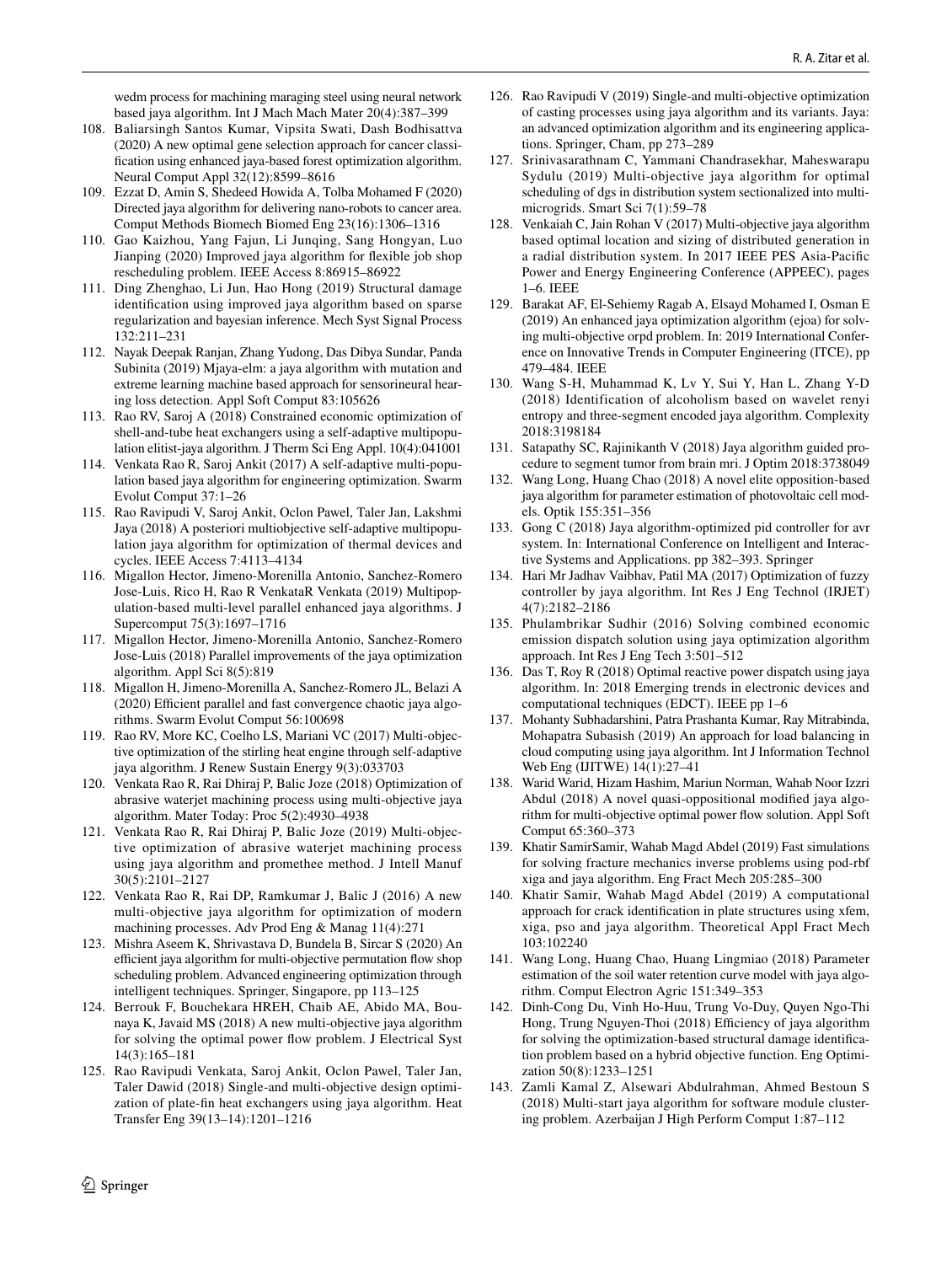wedm process for machining maraging steel using neural network based jaya algorithm. Int J Mach Mach Mater 20(4):387–399

- <span id="page-27-0"></span> 108. Baliarsingh Santos Kumar, Vipsita Swati, Dash Bodhisattva (2020) A new optimal gene selection approach for cancer classification using enhanced jaya-based forest optimization algorithm. Neural Comput Appl 32(12):8599–8616
- <span id="page-27-1"></span> 109. Ezzat D, Amin S, Shedeed Howida A, Tolba Mohamed F (2020) Directed jaya algorithm for delivering nano-robots to cancer area. Comput Methods Biomech Biomed Eng 23(16):1306–1316
- <span id="page-27-2"></span> 110. Gao Kaizhou, Yang Fajun, Li Junqing, Sang Hongyan, Luo Jianping (2020) Improved jaya algorithm for flexible job shop rescheduling problem. IEEE Access 8:86915–86922
- <span id="page-27-3"></span> 111. Ding Zhenghao, Li Jun, Hao Hong (2019) Structural damage identification using improved jaya algorithm based on sparse regularization and bayesian inference. Mech Syst Signal Process 132:211–231
- <span id="page-27-4"></span> 112. Nayak Deepak Ranjan, Zhang Yudong, Das Dibya Sundar, Panda Subinita (2019) Mjaya-elm: a jaya algorithm with mutation and extreme learning machine based approach for sensorineural hearing loss detection. Appl Soft Comput 83:105626
- <span id="page-27-5"></span> 113. Rao RV, Saroj A (2018) Constrained economic optimization of shell-and-tube heat exchangers using a self-adaptive multipopulation elitist-jaya algorithm. J Therm Sci Eng Appl. 10(4):041001
- <span id="page-27-6"></span> 114. Venkata Rao R, Saroj Ankit (2017) A self-adaptive multi-population based jaya algorithm for engineering optimization. Swarm Evolut Comput 37:1–26
- <span id="page-27-7"></span> 115. Rao Ravipudi V, Saroj Ankit, Oclon Pawel, Taler Jan, Lakshmi Jaya (2018) A posteriori multiobjective self-adaptive multipopulation jaya algorithm for optimization of thermal devices and cycles. IEEE Access 7:4113–4134
- <span id="page-27-8"></span> 116. Migallon Hector, Jimeno-Morenilla Antonio, Sanchez-Romero Jose-Luis, Rico H, Rao R VenkataR Venkata (2019) Multipopulation-based multi-level parallel enhanced jaya algorithms. J Supercomput 75(3):1697–1716
- <span id="page-27-9"></span> 117. Migallon Hector, Jimeno-Morenilla Antonio, Sanchez-Romero Jose-Luis (2018) Parallel improvements of the jaya optimization algorithm. Appl Sci 8(5):819
- <span id="page-27-10"></span> 118. Migallon H, Jimeno-Morenilla A, Sanchez-Romero JL, Belazi A (2020) Efficient parallel and fast convergence chaotic jaya algorithms. Swarm Evolut Comput 56:100698
- <span id="page-27-11"></span> 119. Rao RV, More KC, Coelho LS, Mariani VC (2017) Multi-objective optimization of the stirling heat engine through self-adaptive jaya algorithm. J Renew Sustain Energy 9(3):033703
- <span id="page-27-12"></span> 120. Venkata Rao R, Rai Dhiraj P, Balic Joze (2018) Optimization of abrasive waterjet machining process using multi-objective jaya algorithm. Mater Today: Proc 5(2):4930–4938
- <span id="page-27-13"></span> 121. Venkata Rao R, Rai Dhiraj P, Balic Joze (2019) Multi-objective optimization of abrasive waterjet machining process using jaya algorithm and promethee method. J Intell Manuf 30(5):2101–2127
- <span id="page-27-14"></span> 122. Venkata Rao R, Rai DP, Ramkumar J, Balic J (2016) A new multi-objective jaya algorithm for optimization of modern machining processes. Adv Prod Eng & Manag 11(4):271
- <span id="page-27-15"></span> 123. Mishra Aseem K, Shrivastava D, Bundela B, Sircar S (2020) An efficient jaya algorithm for multi-objective permutation flow shop scheduling problem. Advanced engineering optimization through intelligent techniques. Springer, Singapore, pp 113–125
- <span id="page-27-16"></span> 124. Berrouk F, Bouchekara HREH, Chaib AE, Abido MA, Bounaya K, Javaid MS (2018) A new multi-objective jaya algorithm for solving the optimal power flow problem. J Electrical Syst 14(3):165–181
- <span id="page-27-17"></span> 125. Rao Ravipudi Venkata, Saroj Ankit, Oclon Pawel, Taler Jan, Taler Dawid (2018) Single-and multi-objective design optimization of plate-fin heat exchangers using jaya algorithm. Heat Transfer Eng 39(13–14):1201–1216
- <span id="page-27-18"></span> 126. Rao Ravipudi V (2019) Single-and multi-objective optimization of casting processes using jaya algorithm and its variants. Jaya: an advanced optimization algorithm and its engineering applications. Springer, Cham, pp 273–289
- <span id="page-27-19"></span> 127. Srinivasarathnam C, Yammani Chandrasekhar, Maheswarapu Sydulu (2019) Multi-objective jaya algorithm for optimal scheduling of dgs in distribution system sectionalized into multimicrogrids. Smart Sci 7(1):59–78
- <span id="page-27-20"></span> 128. Venkaiah C, Jain Rohan V (2017) Multi-objective jaya algorithm based optimal location and sizing of distributed generation in a radial distribution system. In 2017 IEEE PES Asia-Pacific Power and Energy Engineering Conference (APPEEC), pages 1–6. IEEE
- <span id="page-27-21"></span> 129. Barakat AF, El-Sehiemy Ragab A, Elsayd Mohamed I, Osman E (2019) An enhanced jaya optimization algorithm (ejoa) for solving multi-objective orpd problem. In: 2019 International Conference on Innovative Trends in Computer Engineering (ITCE), pp 479–484. IEEE
- <span id="page-27-22"></span> 130. Wang S-H, Muhammad K, Lv Y, Sui Y, Han L, Zhang Y-D (2018) Identification of alcoholism based on wavelet renyi entropy and three-segment encoded jaya algorithm. Complexity 2018:3198184
- <span id="page-27-23"></span> 131. Satapathy SC, Rajinikanth V (2018) Jaya algorithm guided procedure to segment tumor from brain mri. J Optim 2018:3738049
- <span id="page-27-24"></span> 132. Wang Long, Huang Chao (2018) A novel elite opposition-based jaya algorithm for parameter estimation of photovoltaic cell models. Optik 155:351–356
- <span id="page-27-25"></span> 133. Gong C (2018) Jaya algorithm-optimized pid controller for avr system. In: International Conference on Intelligent and Interactive Systems and Applications. pp 382–393. Springer
- <span id="page-27-26"></span> 134. Hari Mr Jadhav Vaibhav, Patil MA (2017) Optimization of fuzzy controller by jaya algorithm. Int Res J Eng Technol (IRJET) 4(7):2182–2186
- <span id="page-27-27"></span> 135. Phulambrikar Sudhir (2016) Solving combined economic emission dispatch solution using jaya optimization algorithm approach. Int Res J Eng Tech 3:501–512
- <span id="page-27-28"></span> 136. Das T, Roy R (2018) Optimal reactive power dispatch using jaya algorithm. In: 2018 Emerging trends in electronic devices and computational techniques (EDCT). IEEE pp 1–6
- <span id="page-27-29"></span> 137. Mohanty Subhadarshini, Patra Prashanta Kumar, Ray Mitrabinda, Mohapatra Subasish (2019) An approach for load balancing in cloud computing using jaya algorithm. Int J Information Technol Web Eng (IJITWE) 14(1):27–41
- <span id="page-27-30"></span> 138. Warid Warid, Hizam Hashim, Mariun Norman, Wahab Noor Izzri Abdul (2018) A novel quasi-oppositional modified jaya algorithm for multi-objective optimal power flow solution. Appl Soft Comput 65:360–373
- <span id="page-27-31"></span> 139. Khatir SamirSamir, Wahab Magd Abdel (2019) Fast simulations for solving fracture mechanics inverse problems using pod-rbf xiga and jaya algorithm. Eng Fract Mech 205:285–300
- <span id="page-27-32"></span> 140. Khatir Samir, Wahab Magd Abdel (2019) A computational approach for crack identification in plate structures using xfem, xiga, pso and jaya algorithm. Theoretical Appl Fract Mech 103:102240
- <span id="page-27-33"></span> 141. Wang Long, Huang Chao, Huang Lingmiao (2018) Parameter estimation of the soil water retention curve model with jaya algorithm. Comput Electron Agric 151:349–353
- <span id="page-27-34"></span> 142. Dinh-Cong Du, Vinh Ho-Huu, Trung Vo-Duy, Quyen Ngo-Thi Hong, Trung Nguyen-Thoi (2018) Efficiency of jaya algorithm for solving the optimization-based structural damage identification problem based on a hybrid objective function. Eng Optimization 50(8):1233–1251
- <span id="page-27-35"></span> 143. Zamli Kamal Z, Alsewari Abdulrahman, Ahmed Bestoun S (2018) Multi-start jaya algorithm for software module clustering problem. Azerbaijan J High Perform Comput 1:87–112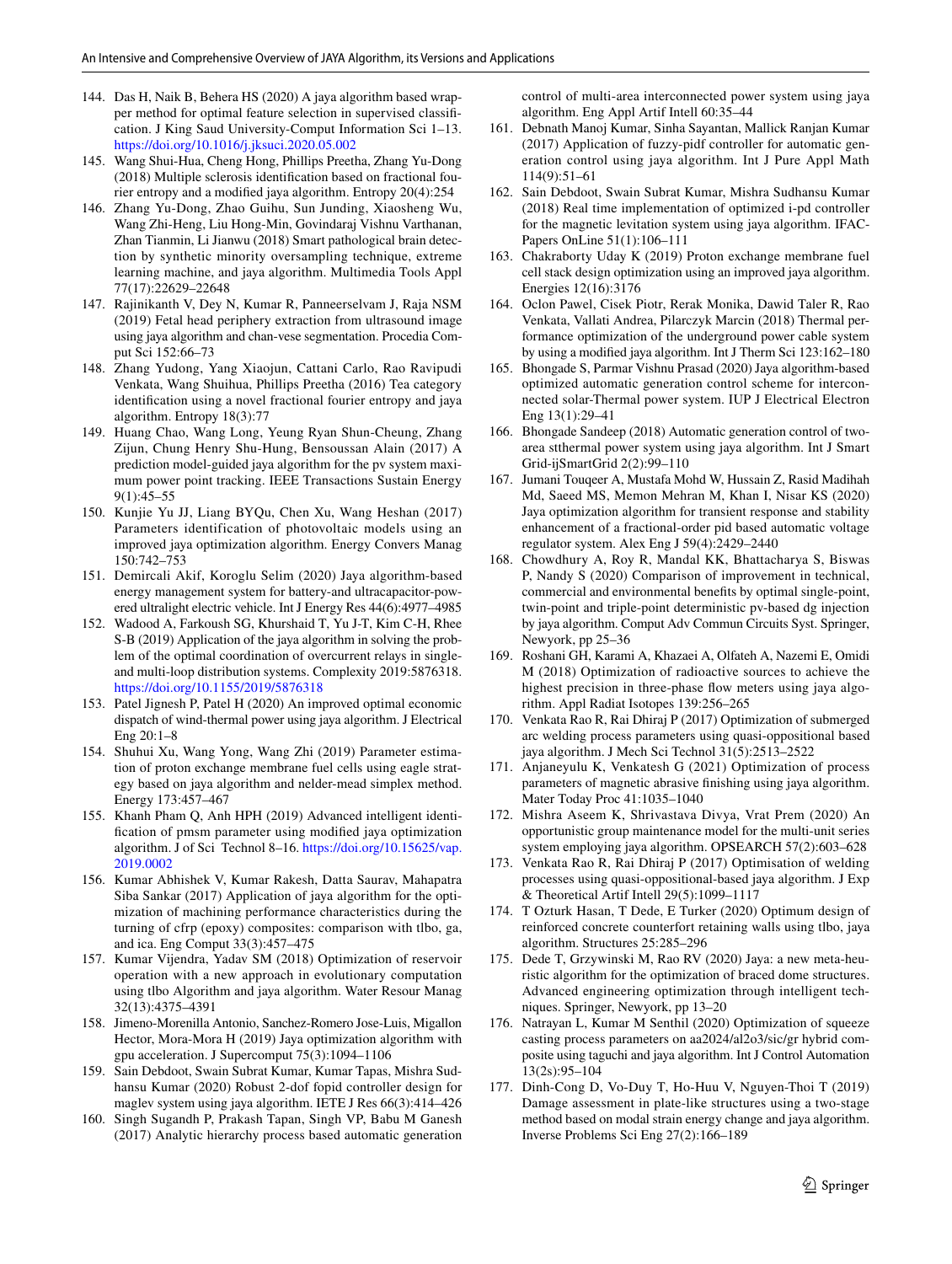- <span id="page-28-0"></span> 144. Das H, Naik B, Behera HS (2020) A jaya algorithm based wrapper method for optimal feature selection in supervised classification. J King Saud University-Comput Information Sci 1–13. https://doi.org/10.1016/j.jksuci.2020.05.002
- <span id="page-28-1"></span> 145. Wang Shui-Hua, Cheng Hong, Phillips Preetha, Zhang Yu-Dong (2018) Multiple sclerosis identification based on fractional fourier entropy and a modified jaya algorithm. Entropy 20(4):254
- <span id="page-28-2"></span> 146. Zhang Yu-Dong, Zhao Guihu, Sun Junding, Xiaosheng Wu, Wang Zhi-Heng, Liu Hong-Min, Govindaraj Vishnu Varthanan, Zhan Tianmin, Li Jianwu (2018) Smart pathological brain detection by synthetic minority oversampling technique, extreme learning machine, and jaya algorithm. Multimedia Tools Appl 77(17):22629–22648
- <span id="page-28-3"></span> 147. Rajinikanth V, Dey N, Kumar R, Panneerselvam J, Raja NSM (2019) Fetal head periphery extraction from ultrasound image using jaya algorithm and chan-vese segmentation. Procedia Comput Sci 152:66–73
- <span id="page-28-4"></span> 148. Zhang Yudong, Yang Xiaojun, Cattani Carlo, Rao Ravipudi Venkata, Wang Shuihua, Phillips Preetha (2016) Tea category identification using a novel fractional fourier entropy and jaya algorithm. Entropy 18(3):77
- <span id="page-28-5"></span> 149. Huang Chao, Wang Long, Yeung Ryan Shun-Cheung, Zhang Zijun, Chung Henry Shu-Hung, Bensoussan Alain (2017) A prediction model-guided jaya algorithm for the pv system maximum power point tracking. IEEE Transactions Sustain Energy 9(1):45–55
- <span id="page-28-6"></span> 150. Kunjie Yu JJ, Liang BYQu, Chen Xu, Wang Heshan (2017) Parameters identification of photovoltaic models using an improved jaya optimization algorithm. Energy Convers Manag 150:742–753
- <span id="page-28-7"></span> 151. Demircali Akif, Koroglu Selim (2020) Jaya algorithm-based energy management system for battery-and ultracapacitor-powered ultralight electric vehicle. Int J Energy Res 44(6):4977–4985
- <span id="page-28-16"></span> 152. Wadood A, Farkoush SG, Khurshaid T, Yu J-T, Kim C-H, Rhee S-B (2019) Application of the jaya algorithm in solving the problem of the optimal coordination of overcurrent relays in singleand multi-loop distribution systems. Complexity 2019:5876318. https://doi.org/10.1155/2019/5876318
- <span id="page-28-13"></span> 153. Patel Jignesh P, Patel H (2020) An improved optimal economic dispatch of wind-thermal power using jaya algorithm. J Electrical Eng 20:1–8
- <span id="page-28-14"></span> 154. Shuhui Xu, Wang Yong, Wang Zhi (2019) Parameter estimation of proton exchange membrane fuel cells using eagle strategy based on jaya algorithm and nelder-mead simplex method. Energy 173:457–467
- <span id="page-28-25"></span> 155. Khanh Pham Q, Anh HPH (2019) Advanced intelligent identification of pmsm parameter using modified jaya optimization algorithm. J of Sci Technol 8-16. https://doi.org/10.15625/vap. [2019. 0002](https://doi.org/10.15625/vap.2019.0002)
- <span id="page-28-27"></span> 156. Kumar Abhishek V, Kumar Rakesh, Datta Saurav, Mahapatra Siba Sankar (2017) Application of jaya algorithm for the optimization of machining performance characteristics during the turning of cfrp (epoxy) composites: comparison with tlbo, ga, and ica. Eng Comput 33(3):457–475
- <span id="page-28-29"></span> 157. Kumar Vijendra, Yadav SM (2018) Optimization of reservoir operation with a new approach in evolutionary computation using tlbo Algorithm and jaya algorithm. Water Resour Manag 32(13):4375–4391
- <span id="page-28-8"></span> 158. Jimeno-Morenilla Antonio, Sanchez-Romero Jose-Luis, Migallon Hector, Mora-Mora H (2019) Jaya optimization algorithm with gpu acceleration. J Supercomput 75(3):1094–1106
- <span id="page-28-9"></span> 159. Sain Debdoot, Swain Subrat Kumar, Kumar Tapas, Mishra Sudhansu Kumar (2020) Robust 2-dof fopid controller design for maglev system using jaya algorithm. IETE J Res 66(3):414–426
- <span id="page-28-10"></span> 160. Singh Sugandh P, Prakash Tapan, Singh VP, Babu M Ganesh (2017) Analytic hierarchy process based automatic generation

control of multi-area interconnected power system using jaya algorithm. Eng Appl Artif Intell 60:35–44

- <span id="page-28-11"></span> 161. Debnath Manoj Kumar, Sinha Sayantan, Mallick Ranjan Kumar (2017) Application of fuzzy-pidf controller for automatic generation control using jaya algorithm. Int J Pure Appl Math 114(9):51–61
- <span id="page-28-12"></span> 162. Sain Debdoot, Swain Subrat Kumar, Mishra Sudhansu Kumar (2018) Real time implementation of optimized i-pd controller for the magnetic levitation system using jaya algorithm. IFAC-Papers OnLine 51(1):106–111
- <span id="page-28-15"></span> 163. Chakraborty Uday K (2019) Proton exchange membrane fuel cell stack design optimization using an improved jaya algorithm. Energies 12(16):3176
- <span id="page-28-17"></span> 164. Oclon Pawel, Cisek Piotr, Rerak Monika, Dawid Taler R, Rao Venkata, Vallati Andrea, Pilarczyk Marcin (2018) Thermal performance optimization of the underground power cable system by using a modified jaya algorithm. Int J Therm Sci 123:162–180
- <span id="page-28-18"></span> 165. Bhongade S, Parmar Vishnu Prasad (2020) Jaya algorithm-based optimized automatic generation control scheme for interconnected solar-Thermal power system. IUP J Electrical Electron Eng 13(1):29–41
- <span id="page-28-19"></span> 166. Bhongade Sandeep (2018) Automatic generation control of twoarea stthermal power system using jaya algorithm. Int J Smart Grid-ijSmartGrid 2(2):99–110
- <span id="page-28-20"></span> 167. Jumani Touqeer A, Mustafa Mohd W, Hussain Z, Rasid Madihah Md, Saeed MS, Memon Mehran M, Khan I, Nisar KS (2020) Jaya optimization algorithm for transient response and stability enhancement of a fractional-order pid based automatic voltage regulator system. Alex Eng J 59(4):2429–2440
- <span id="page-28-21"></span> 168. Chowdhury A, Roy R, Mandal KK, Bhattacharya S, Biswas P, Nandy S (2020) Comparison of improvement in technical, commercial and environmental benefits by optimal single-point, twin-point and triple-point deterministic pv-based dg injection by jaya algorithm. Comput Adv Commun Circuits Syst. Springer, Newyork, pp 25–36
- <span id="page-28-22"></span> 169. Roshani GH, Karami A, Khazaei A, Olfateh A, Nazemi E, Omidi M (2018) Optimization of radioactive sources to achieve the highest precision in three-phase flow meters using jaya algorithm. Appl Radiat Isotopes 139:256–265
- <span id="page-28-23"></span> 170. Venkata Rao R, Rai Dhiraj P (2017) Optimization of submerged arc welding process parameters using quasi-oppositional based jaya algorithm. J Mech Sci Technol 31(5):2513–2522
- <span id="page-28-24"></span> 171. Anjaneyulu K, Venkatesh G (2021) Optimization of process parameters of magnetic abrasive finishing using jaya algorithm. Mater Today Proc 41:1035–1040
- <span id="page-28-26"></span> 172. Mishra Aseem K, Shrivastava Divya, Vrat Prem (2020) An opportunistic group maintenance model for the multi-unit series system employing jaya algorithm. OPSEARCH 57(2):603–628
- <span id="page-28-28"></span> 173. Venkata Rao R, Rai Dhiraj P (2017) Optimisation of welding processes using quasi-oppositional-based jaya algorithm. J Exp & Theoretical Artif Intell 29(5):1099–1117
- <span id="page-28-30"></span> 174. T Ozturk Hasan, T Dede, E Turker (2020) Optimum design of reinforced concrete counterfort retaining walls using tlbo, jaya algorithm. Structures 25:285–296
- <span id="page-28-31"></span> 175. Dede T, Grzywinski M, Rao RV (2020) Jaya: a new meta-heuristic algorithm for the optimization of braced dome structures. Advanced engineering optimization through intelligent techniques. Springer, Newyork, pp 13–20
- <span id="page-28-32"></span> 176. Natrayan L, Kumar M Senthil (2020) Optimization of squeeze casting process parameters on aa2024/al2o3/sic/gr hybrid composite using taguchi and jaya algorithm. Int J Control Automation 13(2s):95–104
- <span id="page-28-33"></span> 177. Dinh-Cong D, Vo-Duy T, Ho-Huu V, Nguyen-Thoi T (2019) Damage assessment in plate-like structures using a two-stage method based on modal strain energy change and jaya algorithm. Inverse Problems Sci Eng 27(2):166–189